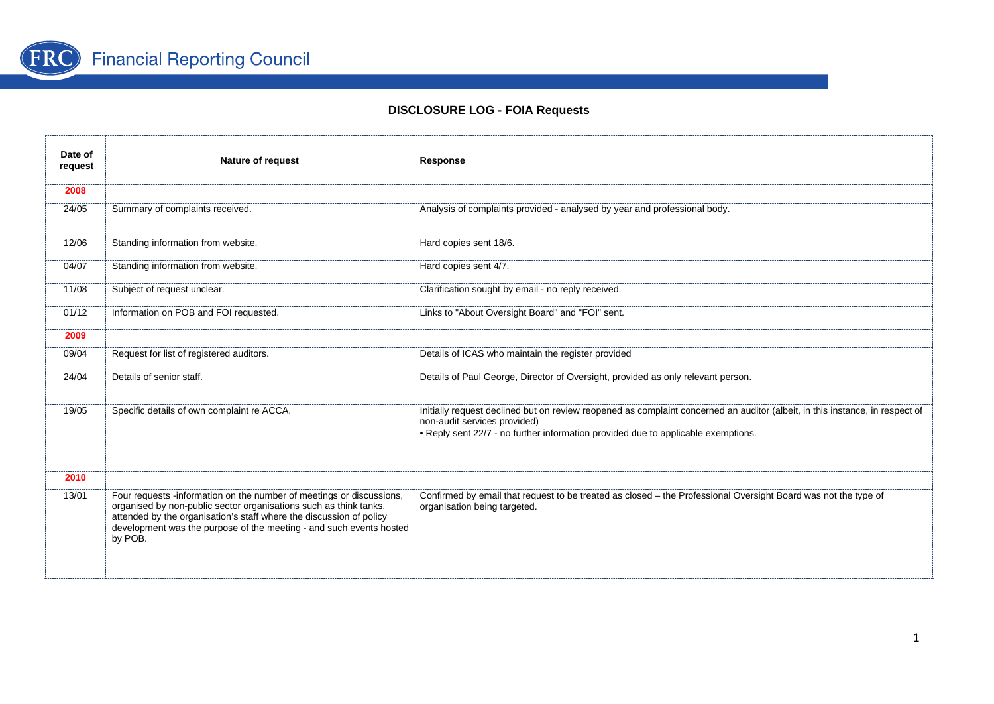

| Date of<br>request | Nature of request                                                                                                                                                                                                                                                                                  | Response                                                                                                                                                                                                                                          |
|--------------------|----------------------------------------------------------------------------------------------------------------------------------------------------------------------------------------------------------------------------------------------------------------------------------------------------|---------------------------------------------------------------------------------------------------------------------------------------------------------------------------------------------------------------------------------------------------|
| 2008               |                                                                                                                                                                                                                                                                                                    |                                                                                                                                                                                                                                                   |
| 24/05              | Summary of complaints received.                                                                                                                                                                                                                                                                    | Analysis of complaints provided - analysed by year and professional body.                                                                                                                                                                         |
| 12/06              | Standing information from website.                                                                                                                                                                                                                                                                 | Hard copies sent 18/6.                                                                                                                                                                                                                            |
| 04/07              | Standing information from website.                                                                                                                                                                                                                                                                 | Hard copies sent 4/7.                                                                                                                                                                                                                             |
| 11/08              | Subject of request unclear.                                                                                                                                                                                                                                                                        | Clarification sought by email - no reply received.                                                                                                                                                                                                |
| 01/12              | Information on POB and FOI requested.                                                                                                                                                                                                                                                              | Links to "About Oversight Board" and "FOI" sent.                                                                                                                                                                                                  |
| 2009               |                                                                                                                                                                                                                                                                                                    |                                                                                                                                                                                                                                                   |
| 09/04              | Request for list of registered auditors.                                                                                                                                                                                                                                                           | Details of ICAS who maintain the register provided                                                                                                                                                                                                |
| 24/04              | Details of senior staff.                                                                                                                                                                                                                                                                           | Details of Paul George, Director of Oversight, provided as only relevant person.                                                                                                                                                                  |
| 19/05              | Specific details of own complaint re ACCA.                                                                                                                                                                                                                                                         | Initially request declined but on review reopened as complaint concerned an auditor (albeit, in this instance, in respect of<br>non-audit services provided)<br>• Reply sent 22/7 - no further information provided due to applicable exemptions. |
| 2010               |                                                                                                                                                                                                                                                                                                    |                                                                                                                                                                                                                                                   |
| 13/01              | Four requests -information on the number of meetings or discussions,<br>organised by non-public sector organisations such as think tanks,<br>attended by the organisation's staff where the discussion of policy<br>development was the purpose of the meeting - and such events hosted<br>by POB. | Confirmed by email that request to be treated as closed - the Professional Oversight Board was not the type of<br>organisation being targeted.                                                                                                    |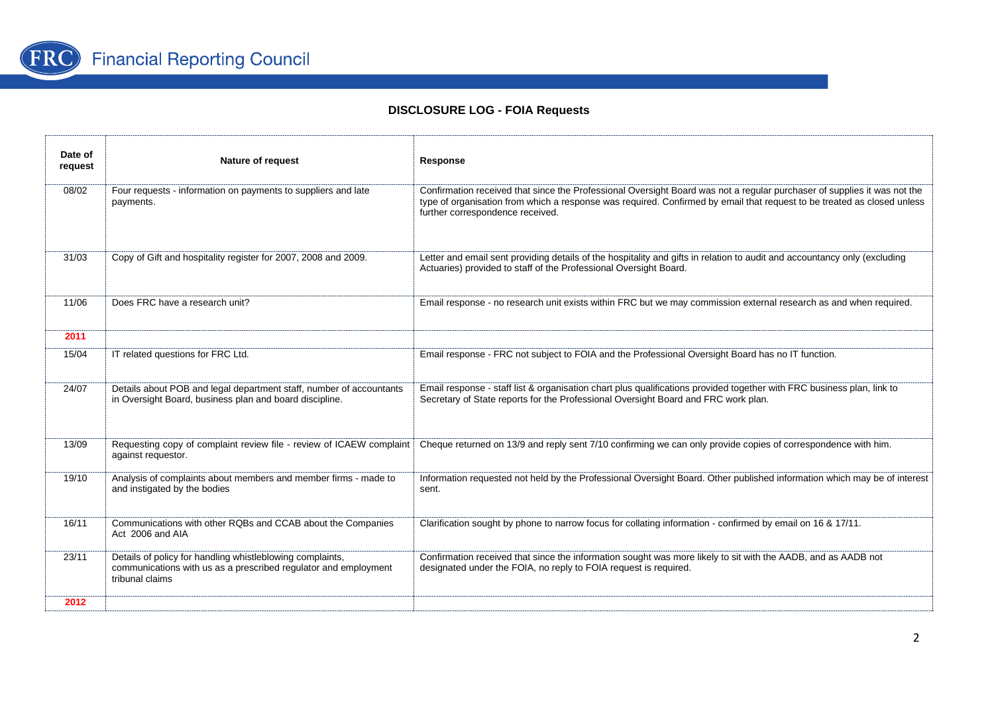

| Date of<br>request | Nature of request                                                                                                                               | Response                                                                                                                                                                                                                                                                                |
|--------------------|-------------------------------------------------------------------------------------------------------------------------------------------------|-----------------------------------------------------------------------------------------------------------------------------------------------------------------------------------------------------------------------------------------------------------------------------------------|
| 08/02              | Four requests - information on payments to suppliers and late<br>payments.                                                                      | Confirmation received that since the Professional Oversight Board was not a regular purchaser of supplies it was not the<br>type of organisation from which a response was required. Confirmed by email that request to be treated as closed unless<br>further correspondence received. |
| 31/03              | Copy of Gift and hospitality register for 2007, 2008 and 2009.                                                                                  | Letter and email sent providing details of the hospitality and gifts in relation to audit and accountancy only (excluding<br>Actuaries) provided to staff of the Professional Oversight Board.                                                                                          |
| 11/06              | Does FRC have a research unit?                                                                                                                  | Email response - no research unit exists within FRC but we may commission external research as and when required.                                                                                                                                                                       |
| 2011               |                                                                                                                                                 |                                                                                                                                                                                                                                                                                         |
| 15/04              | IT related questions for FRC Ltd.                                                                                                               | Email response - FRC not subject to FOIA and the Professional Oversight Board has no IT function.                                                                                                                                                                                       |
| 24/07              | Details about POB and legal department staff, number of accountants<br>in Oversight Board, business plan and board discipline.                  | Email response - staff list & organisation chart plus qualifications provided together with FRC business plan, link to<br>Secretary of State reports for the Professional Oversight Board and FRC work plan.                                                                            |
| 13/09              | Requesting copy of complaint review file - review of ICAEW complaint<br>against requestor.                                                      | Cheque returned on 13/9 and reply sent 7/10 confirming we can only provide copies of correspondence with him.                                                                                                                                                                           |
| 19/10              | Analysis of complaints about members and member firms - made to<br>and instigated by the bodies                                                 | Information requested not held by the Professional Oversight Board. Other published information which may be of interest<br>sent.                                                                                                                                                       |
| 16/11              | Communications with other RQBs and CCAB about the Companies<br>Act 2006 and AIA                                                                 | Clarification sought by phone to narrow focus for collating information - confirmed by email on 16 & 17/11.                                                                                                                                                                             |
| 23/11              | Details of policy for handling whistleblowing complaints,<br>communications with us as a prescribed regulator and employment<br>tribunal claims | Confirmation received that since the information sought was more likely to sit with the AADB, and as AADB not<br>designated under the FOIA, no reply to FOIA request is required.                                                                                                       |
| 2012               |                                                                                                                                                 |                                                                                                                                                                                                                                                                                         |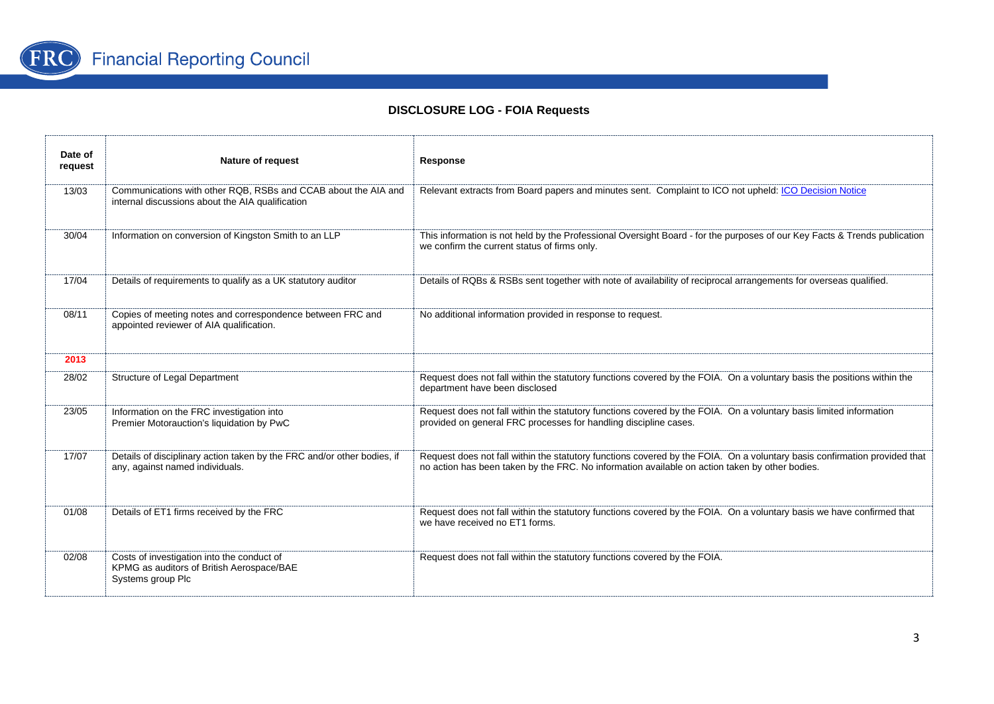

| Date of<br>request | Nature of request                                                                                                  | Response                                                                                                                                                                                                                    |
|--------------------|--------------------------------------------------------------------------------------------------------------------|-----------------------------------------------------------------------------------------------------------------------------------------------------------------------------------------------------------------------------|
| 13/03              | Communications with other RQB, RSBs and CCAB about the AIA and<br>internal discussions about the AIA qualification | Relevant extracts from Board papers and minutes sent. Complaint to ICO not upheld: ICO Decision Notice                                                                                                                      |
| 30/04              | Information on conversion of Kingston Smith to an LLP                                                              | This information is not held by the Professional Oversight Board - for the purposes of our Key Facts & Trends publication<br>we confirm the current status of firms only.                                                   |
| 17/04              | Details of requirements to qualify as a UK statutory auditor                                                       | Details of RQBs & RSBs sent together with note of availability of reciprocal arrangements for overseas qualified.                                                                                                           |
| 08/11              | Copies of meeting notes and correspondence between FRC and<br>appointed reviewer of AIA qualification.             | No additional information provided in response to request.                                                                                                                                                                  |
| 2013               |                                                                                                                    |                                                                                                                                                                                                                             |
| 28/02              | Structure of Legal Department                                                                                      | Request does not fall within the statutory functions covered by the FOIA. On a voluntary basis the positions within the<br>department have been disclosed                                                                   |
| 23/05              | Information on the FRC investigation into<br>Premier Motorauction's liquidation by PwC                             | Request does not fall within the statutory functions covered by the FOIA. On a voluntary basis limited information<br>provided on general FRC processes for handling discipline cases.                                      |
| 17/07              | Details of disciplinary action taken by the FRC and/or other bodies, if<br>any, against named individuals.         | Request does not fall within the statutory functions covered by the FOIA. On a voluntary basis confirmation provided that<br>no action has been taken by the FRC. No information available on action taken by other bodies. |
| 01/08              | Details of ET1 firms received by the FRC                                                                           | Request does not fall within the statutory functions covered by the FOIA. On a voluntary basis we have confirmed that<br>we have received no ET1 forms.                                                                     |
| 02/08              | Costs of investigation into the conduct of<br>KPMG as auditors of British Aerospace/BAE<br>Systems group Plc       | Request does not fall within the statutory functions covered by the FOIA.                                                                                                                                                   |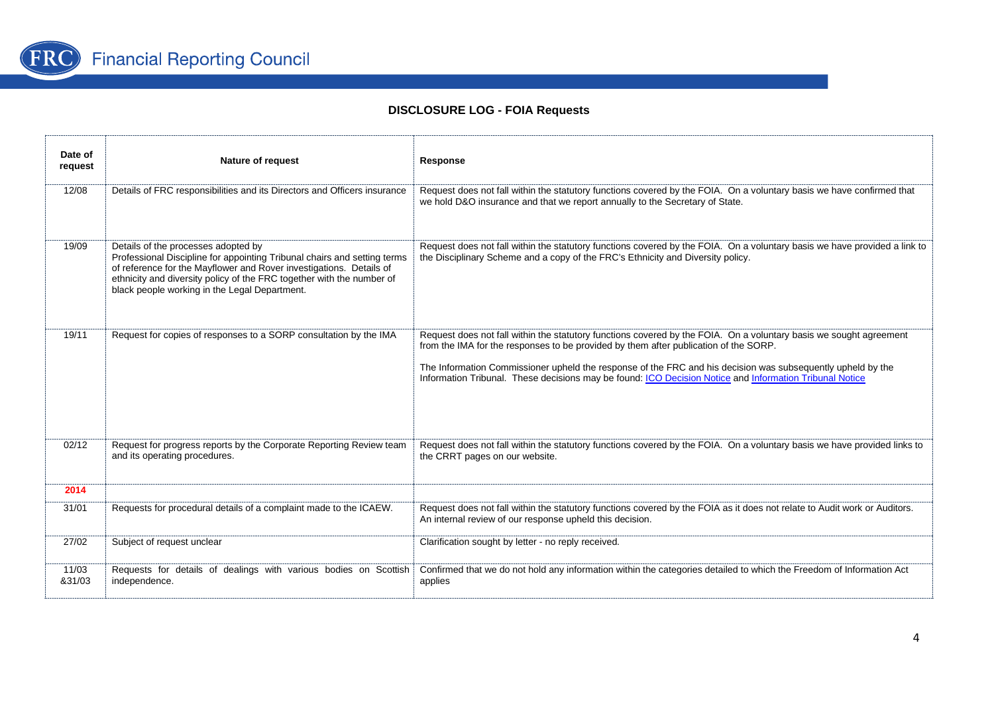

| Date of<br>request | <b>Nature of request</b>                                                                                                                                                                                                                                                                                         | Response                                                                                                                                                                                                                                                                                                                                                                                                                             |
|--------------------|------------------------------------------------------------------------------------------------------------------------------------------------------------------------------------------------------------------------------------------------------------------------------------------------------------------|--------------------------------------------------------------------------------------------------------------------------------------------------------------------------------------------------------------------------------------------------------------------------------------------------------------------------------------------------------------------------------------------------------------------------------------|
| 12/08              | Details of FRC responsibilities and its Directors and Officers insurance                                                                                                                                                                                                                                         | Request does not fall within the statutory functions covered by the FOIA. On a voluntary basis we have confirmed that<br>we hold D&O insurance and that we report annually to the Secretary of State.                                                                                                                                                                                                                                |
| 19/09              | Details of the processes adopted by<br>Professional Discipline for appointing Tribunal chairs and setting terms<br>of reference for the Mayflower and Rover investigations. Details of<br>ethnicity and diversity policy of the FRC together with the number of<br>black people working in the Legal Department. | Request does not fall within the statutory functions covered by the FOIA. On a voluntary basis we have provided a link to<br>the Disciplinary Scheme and a copy of the FRC's Ethnicity and Diversity policy.                                                                                                                                                                                                                         |
| 19/11              | Request for copies of responses to a SORP consultation by the IMA                                                                                                                                                                                                                                                | Request does not fall within the statutory functions covered by the FOIA. On a voluntary basis we sought agreement<br>from the IMA for the responses to be provided by them after publication of the SORP.<br>The Information Commissioner upheld the response of the FRC and his decision was subsequently upheld by the<br>Information Tribunal. These decisions may be found: ICO Decision Notice and Information Tribunal Notice |
| 02/12              | Request for progress reports by the Corporate Reporting Review team<br>and its operating procedures.                                                                                                                                                                                                             | Request does not fall within the statutory functions covered by the FOIA. On a voluntary basis we have provided links to<br>the CRRT pages on our website.                                                                                                                                                                                                                                                                           |
| 2014               |                                                                                                                                                                                                                                                                                                                  |                                                                                                                                                                                                                                                                                                                                                                                                                                      |
| 31/01              | Requests for procedural details of a complaint made to the ICAEW.                                                                                                                                                                                                                                                | Request does not fall within the statutory functions covered by the FOIA as it does not relate to Audit work or Auditors.<br>An internal review of our response upheld this decision.                                                                                                                                                                                                                                                |
| 27/02              | Subject of request unclear                                                                                                                                                                                                                                                                                       | Clarification sought by letter - no reply received.                                                                                                                                                                                                                                                                                                                                                                                  |
| 11/03<br>&31/03    | Requests for details of dealings with various bodies on Scottish<br>independence.                                                                                                                                                                                                                                | Confirmed that we do not hold any information within the categories detailed to which the Freedom of Information Act<br>applies                                                                                                                                                                                                                                                                                                      |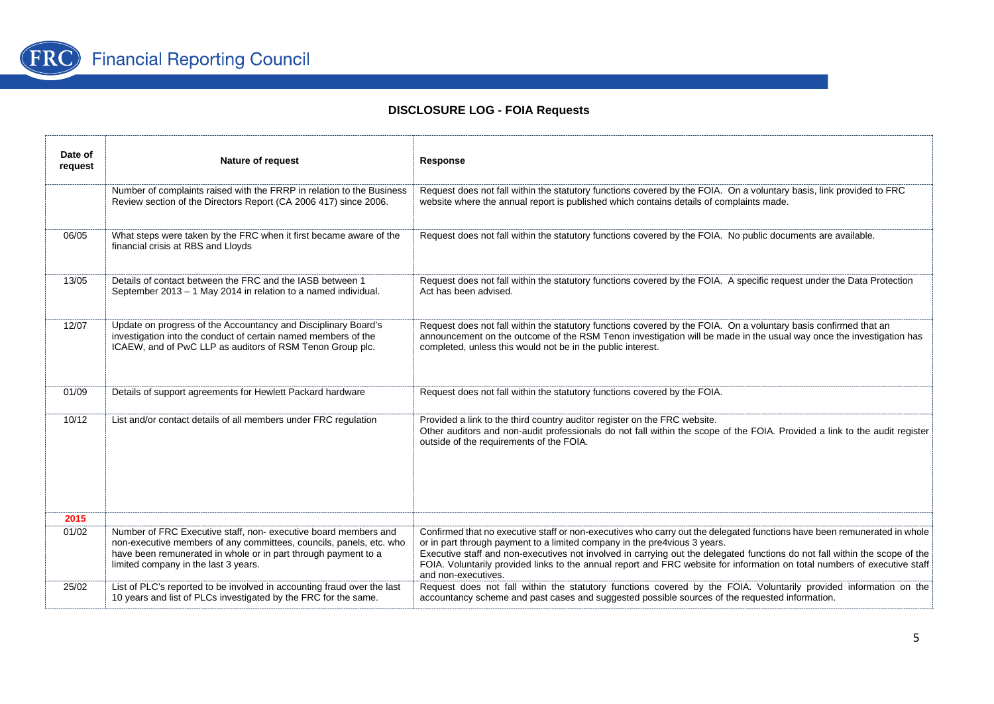

| Date of<br>request | <b>Nature of request</b>                                                                                                                                                                                                                        | Response                                                                                                                                                                                                                                                                                                                                                                                                                                                                                 |
|--------------------|-------------------------------------------------------------------------------------------------------------------------------------------------------------------------------------------------------------------------------------------------|------------------------------------------------------------------------------------------------------------------------------------------------------------------------------------------------------------------------------------------------------------------------------------------------------------------------------------------------------------------------------------------------------------------------------------------------------------------------------------------|
|                    | Number of complaints raised with the FRRP in relation to the Business<br>Review section of the Directors Report (CA 2006 417) since 2006.                                                                                                       | Request does not fall within the statutory functions covered by the FOIA. On a voluntary basis, link provided to FRC<br>website where the annual report is published which contains details of complaints made.                                                                                                                                                                                                                                                                          |
| 06/05              | What steps were taken by the FRC when it first became aware of the<br>financial crisis at RBS and Lloyds                                                                                                                                        | Request does not fall within the statutory functions covered by the FOIA. No public documents are available.                                                                                                                                                                                                                                                                                                                                                                             |
| 13/05              | Details of contact between the FRC and the IASB between 1<br>September 2013 - 1 May 2014 in relation to a named individual.                                                                                                                     | Request does not fall within the statutory functions covered by the FOIA. A specific request under the Data Protection<br>Act has been advised.                                                                                                                                                                                                                                                                                                                                          |
| 12/07              | Update on progress of the Accountancy and Disciplinary Board's<br>investigation into the conduct of certain named members of the<br>ICAEW, and of PwC LLP as auditors of RSM Tenon Group plc.                                                   | Request does not fall within the statutory functions covered by the FOIA. On a voluntary basis confirmed that an<br>announcement on the outcome of the RSM Tenon investigation will be made in the usual way once the investigation has<br>completed, unless this would not be in the public interest.                                                                                                                                                                                   |
| 01/09              | Details of support agreements for Hewlett Packard hardware                                                                                                                                                                                      | Request does not fall within the statutory functions covered by the FOIA.                                                                                                                                                                                                                                                                                                                                                                                                                |
| 10/12              | List and/or contact details of all members under FRC regulation                                                                                                                                                                                 | Provided a link to the third country auditor register on the FRC website.<br>Other auditors and non-audit professionals do not fall within the scope of the FOIA. Provided a link to the audit register<br>outside of the requirements of the FOIA.                                                                                                                                                                                                                                      |
| 2015               |                                                                                                                                                                                                                                                 |                                                                                                                                                                                                                                                                                                                                                                                                                                                                                          |
| 01/02              | Number of FRC Executive staff, non-executive board members and<br>non-executive members of any committees, councils, panels, etc. who<br>have been remunerated in whole or in part through payment to a<br>limited company in the last 3 years. | Confirmed that no executive staff or non-executives who carry out the delegated functions have been remunerated in whole<br>or in part through payment to a limited company in the pre4vious 3 years.<br>Executive staff and non-executives not involved in carrying out the delegated functions do not fall within the scope of the<br>FOIA. Voluntarily provided links to the annual report and FRC website for information on total numbers of executive staff<br>and non-executives. |
| 25/02              | List of PLC's reported to be involved in accounting fraud over the last<br>10 years and list of PLCs investigated by the FRC for the same.                                                                                                      | Request does not fall within the statutory functions covered by the FOIA. Voluntarily provided information on the<br>accountancy scheme and past cases and suggested possible sources of the requested information.                                                                                                                                                                                                                                                                      |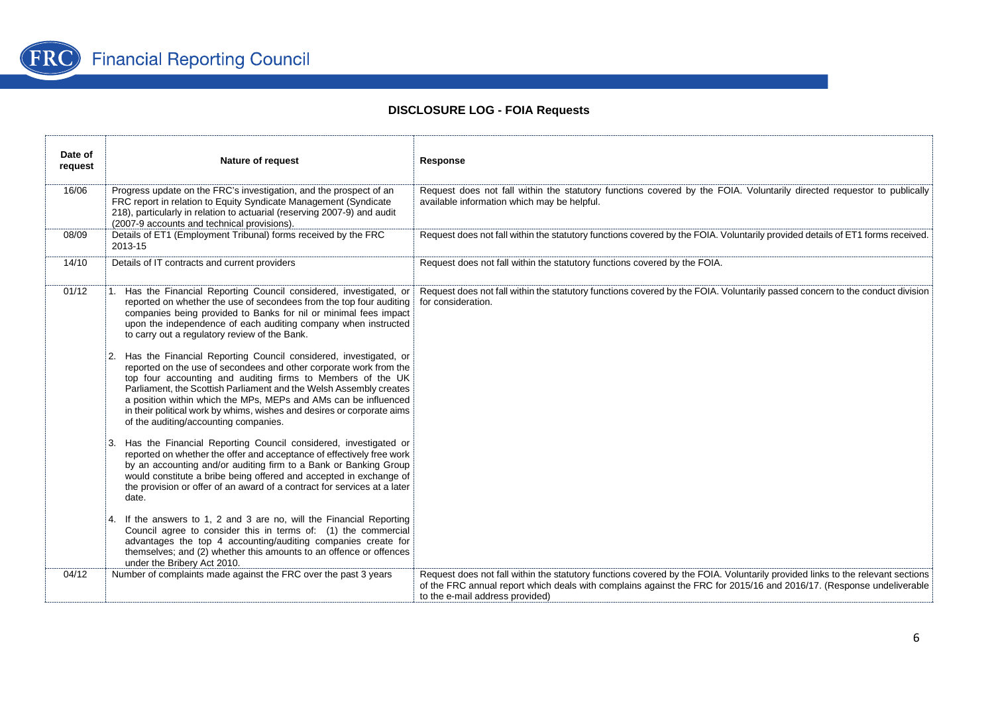

| Date of<br>request | Nature of request                                                                                                                                                                                                                                                                                                                                                                                                                                                                                                                                                                                                                                                                                                                                                                                                                                                                                                                                                                                                                                                                                                                                                                 | Response                                                                                                                                                                                                                                                                                 |
|--------------------|-----------------------------------------------------------------------------------------------------------------------------------------------------------------------------------------------------------------------------------------------------------------------------------------------------------------------------------------------------------------------------------------------------------------------------------------------------------------------------------------------------------------------------------------------------------------------------------------------------------------------------------------------------------------------------------------------------------------------------------------------------------------------------------------------------------------------------------------------------------------------------------------------------------------------------------------------------------------------------------------------------------------------------------------------------------------------------------------------------------------------------------------------------------------------------------|------------------------------------------------------------------------------------------------------------------------------------------------------------------------------------------------------------------------------------------------------------------------------------------|
| 16/06              | Progress update on the FRC's investigation, and the prospect of an<br>FRC report in relation to Equity Syndicate Management (Syndicate<br>218), particularly in relation to actuarial (reserving 2007-9) and audit<br>(2007-9 accounts and technical provisions).                                                                                                                                                                                                                                                                                                                                                                                                                                                                                                                                                                                                                                                                                                                                                                                                                                                                                                                 | Request does not fall within the statutory functions covered by the FOIA. Voluntarily directed requestor to publically<br>available information which may be helpful.                                                                                                                    |
| 08/09              | Details of ET1 (Employment Tribunal) forms received by the FRC<br>2013-15                                                                                                                                                                                                                                                                                                                                                                                                                                                                                                                                                                                                                                                                                                                                                                                                                                                                                                                                                                                                                                                                                                         | Request does not fall within the statutory functions covered by the FOIA. Voluntarily provided details of ET1 forms received.                                                                                                                                                            |
| 14/10              | Details of IT contracts and current providers                                                                                                                                                                                                                                                                                                                                                                                                                                                                                                                                                                                                                                                                                                                                                                                                                                                                                                                                                                                                                                                                                                                                     | Request does not fall within the statutory functions covered by the FOIA.                                                                                                                                                                                                                |
| 01/12              | 1. Has the Financial Reporting Council considered, investigated, or<br>reported on whether the use of secondees from the top four auditing<br>companies being provided to Banks for nil or minimal fees impact<br>upon the independence of each auditing company when instructed<br>to carry out a regulatory review of the Bank.<br>Has the Financial Reporting Council considered, investigated, or<br>reported on the use of secondees and other corporate work from the<br>top four accounting and auditing firms to Members of the UK<br>Parliament, the Scottish Parliament and the Welsh Assembly creates<br>a position within which the MPs, MEPs and AMs can be influenced<br>in their political work by whims, wishes and desires or corporate aims<br>of the auditing/accounting companies.<br>Has the Financial Reporting Council considered, investigated or<br>reported on whether the offer and acceptance of effectively free work<br>by an accounting and/or auditing firm to a Bank or Banking Group<br>would constitute a bribe being offered and accepted in exchange of<br>the provision or offer of an award of a contract for services at a later<br>date. | Request does not fall within the statutory functions covered by the FOIA. Voluntarily passed concern to the conduct division<br>for consideration.                                                                                                                                       |
|                    | If the answers to 1, 2 and 3 are no, will the Financial Reporting<br>Council agree to consider this in terms of: (1) the commercial<br>advantages the top 4 accounting/auditing companies create for<br>themselves; and (2) whether this amounts to an offence or offences<br>under the Bribery Act 2010.                                                                                                                                                                                                                                                                                                                                                                                                                                                                                                                                                                                                                                                                                                                                                                                                                                                                         |                                                                                                                                                                                                                                                                                          |
| 04/12              | Number of complaints made against the FRC over the past 3 years                                                                                                                                                                                                                                                                                                                                                                                                                                                                                                                                                                                                                                                                                                                                                                                                                                                                                                                                                                                                                                                                                                                   | Request does not fall within the statutory functions covered by the FOIA. Voluntarily provided links to the relevant sections<br>of the FRC annual report which deals with complains against the FRC for 2015/16 and 2016/17. (Response undeliverable<br>to the e-mail address provided) |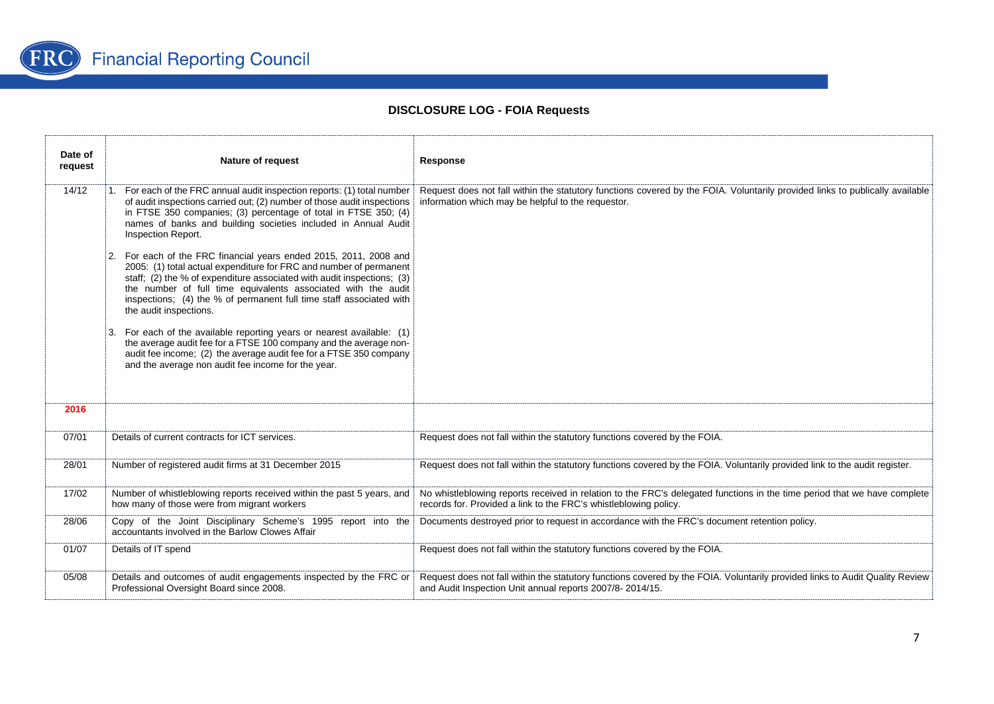

| Date of<br>request | Nature of request                                                                                                                                                                                                                                                                                                                                                                                                                                                                                                                                                                                                                                                                                                                                                                                                                                                                                                          | Response                                                                                                                                                                                     |
|--------------------|----------------------------------------------------------------------------------------------------------------------------------------------------------------------------------------------------------------------------------------------------------------------------------------------------------------------------------------------------------------------------------------------------------------------------------------------------------------------------------------------------------------------------------------------------------------------------------------------------------------------------------------------------------------------------------------------------------------------------------------------------------------------------------------------------------------------------------------------------------------------------------------------------------------------------|----------------------------------------------------------------------------------------------------------------------------------------------------------------------------------------------|
| 14/12              | 1. For each of the FRC annual audit inspection reports: (1) total number<br>of audit inspections carried out; (2) number of those audit inspections<br>in FTSE 350 companies; (3) percentage of total in FTSE 350; (4)<br>names of banks and building societies included in Annual Audit<br>Inspection Report.<br>2. For each of the FRC financial years ended 2015, 2011, 2008 and<br>2005: (1) total actual expenditure for FRC and number of permanent<br>staff; (2) the % of expenditure associated with audit inspections; (3)<br>the number of full time equivalents associated with the audit<br>inspections; (4) the % of permanent full time staff associated with<br>the audit inspections.<br>3. For each of the available reporting years or nearest available: (1)<br>the average audit fee for a FTSE 100 company and the average non-<br>audit fee income; (2) the average audit fee for a FTSE 350 company | Request does not fall within the statutory functions covered by the FOIA. Voluntarily provided links to publically available<br>information which may be helpful to the requestor.           |
| 2016               | and the average non audit fee income for the year.                                                                                                                                                                                                                                                                                                                                                                                                                                                                                                                                                                                                                                                                                                                                                                                                                                                                         |                                                                                                                                                                                              |
|                    |                                                                                                                                                                                                                                                                                                                                                                                                                                                                                                                                                                                                                                                                                                                                                                                                                                                                                                                            |                                                                                                                                                                                              |
| 07/01              | Details of current contracts for ICT services.                                                                                                                                                                                                                                                                                                                                                                                                                                                                                                                                                                                                                                                                                                                                                                                                                                                                             | Request does not fall within the statutory functions covered by the FOIA.                                                                                                                    |
| 28/01              | Number of registered audit firms at 31 December 2015                                                                                                                                                                                                                                                                                                                                                                                                                                                                                                                                                                                                                                                                                                                                                                                                                                                                       | Request does not fall within the statutory functions covered by the FOIA. Voluntarily provided link to the audit register.                                                                   |
| 17/02              | Number of whistleblowing reports received within the past 5 years, and<br>how many of those were from migrant workers                                                                                                                                                                                                                                                                                                                                                                                                                                                                                                                                                                                                                                                                                                                                                                                                      | No whistleblowing reports received in relation to the FRC's delegated functions in the time period that we have complete<br>records for. Provided a link to the FRC's whistleblowing policy. |
| 28/06              | Copy of the Joint Disciplinary Scheme's 1995 report into the<br>accountants involved in the Barlow Clowes Affair                                                                                                                                                                                                                                                                                                                                                                                                                                                                                                                                                                                                                                                                                                                                                                                                           | Documents destroyed prior to request in accordance with the FRC's document retention policy.                                                                                                 |
| 01/07              | Details of IT spend                                                                                                                                                                                                                                                                                                                                                                                                                                                                                                                                                                                                                                                                                                                                                                                                                                                                                                        | Request does not fall within the statutory functions covered by the FOIA.                                                                                                                    |
| 05/08              | Details and outcomes of audit engagements inspected by the FRC or<br>Professional Oversight Board since 2008.                                                                                                                                                                                                                                                                                                                                                                                                                                                                                                                                                                                                                                                                                                                                                                                                              | Request does not fall within the statutory functions covered by the FOIA. Voluntarily provided links to Audit Quality Review<br>and Audit Inspection Unit annual reports 2007/8-2014/15.     |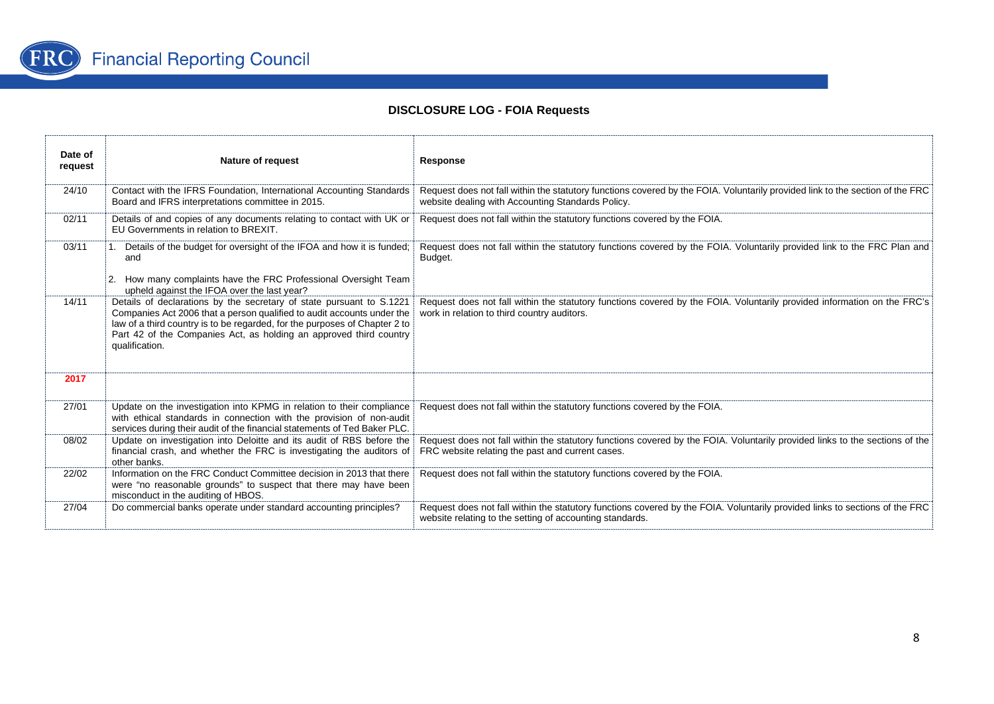

| Date of<br>request | <b>Nature of request</b>                                                                                                                                                                                                                                                                                             | Response                                                                                                                                                                                |
|--------------------|----------------------------------------------------------------------------------------------------------------------------------------------------------------------------------------------------------------------------------------------------------------------------------------------------------------------|-----------------------------------------------------------------------------------------------------------------------------------------------------------------------------------------|
| 24/10              | Contact with the IFRS Foundation, International Accounting Standards<br>Board and IFRS interpretations committee in 2015.                                                                                                                                                                                            | Request does not fall within the statutory functions covered by the FOIA. Voluntarily provided link to the section of the FRC<br>website dealing with Accounting Standards Policy.      |
| 02/11              | Details of and copies of any documents relating to contact with UK or<br>EU Governments in relation to BREXIT.                                                                                                                                                                                                       | Request does not fall within the statutory functions covered by the FOIA.                                                                                                               |
| 03/11              | 1. Details of the budget for oversight of the IFOA and how it is funded;<br>and<br>2. How many complaints have the FRC Professional Oversight Team<br>upheld against the IFOA over the last year?                                                                                                                    | Request does not fall within the statutory functions covered by the FOIA. Voluntarily provided link to the FRC Plan and<br>Budget.                                                      |
| 14/11              | Details of declarations by the secretary of state pursuant to S.1221<br>Companies Act 2006 that a person qualified to audit accounts under the<br>law of a third country is to be regarded, for the purposes of Chapter 2 to<br>Part 42 of the Companies Act, as holding an approved third country<br>qualification. | Request does not fall within the statutory functions covered by the FOIA. Voluntarily provided information on the FRC's<br>work in relation to third country auditors.                  |
| 2017               |                                                                                                                                                                                                                                                                                                                      |                                                                                                                                                                                         |
| 27/01              | Update on the investigation into KPMG in relation to their compliance<br>with ethical standards in connection with the provision of non-audit<br>services during their audit of the financial statements of Ted Baker PLC.                                                                                           | Request does not fall within the statutory functions covered by the FOIA.                                                                                                               |
| 08/02              | Update on investigation into Deloitte and its audit of RBS before the<br>financial crash, and whether the FRC is investigating the auditors of<br>other banks.                                                                                                                                                       | Request does not fall within the statutory functions covered by the FOIA. Voluntarily provided links to the sections of the<br>FRC website relating the past and current cases.         |
| 22/02              | Information on the FRC Conduct Committee decision in 2013 that there<br>were "no reasonable grounds" to suspect that there may have been<br>misconduct in the auditing of HBOS.                                                                                                                                      | Request does not fall within the statutory functions covered by the FOIA.                                                                                                               |
| 27/04              | Do commercial banks operate under standard accounting principles?                                                                                                                                                                                                                                                    | Request does not fall within the statutory functions covered by the FOIA. Voluntarily provided links to sections of the FRC<br>website relating to the setting of accounting standards. |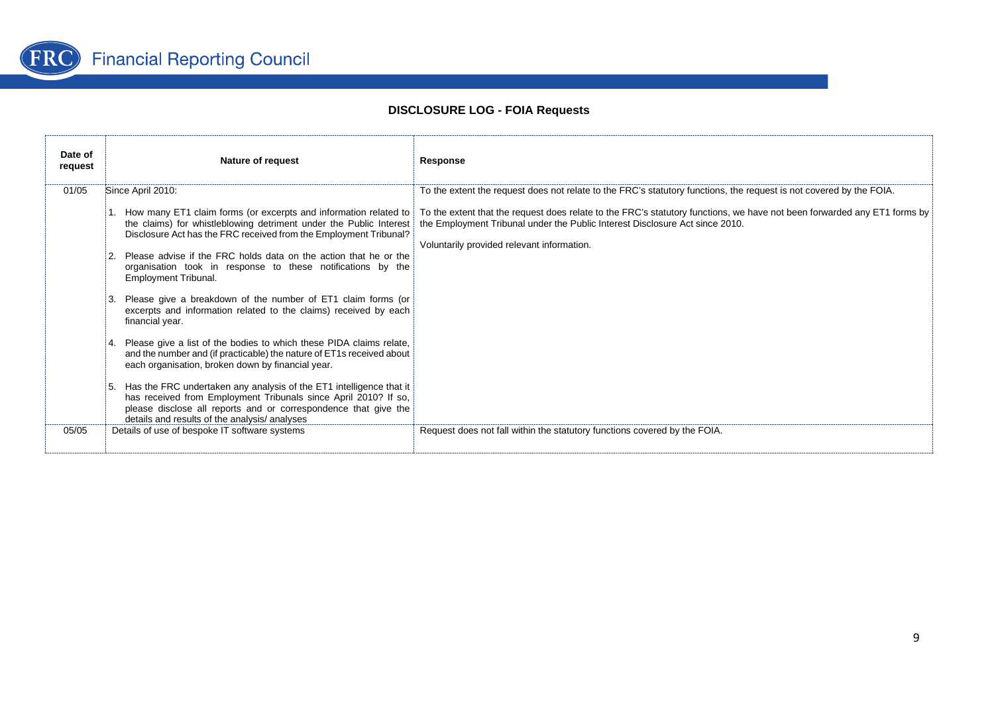

| Date of<br>request | Nature of request                                                                                                                                                                                                                                                                                                                                                                                                                                                                                                                                                                                                                                                                                                                                                                                                                                                           | Response                                                                                                                                                                                                                                                                                                                  |
|--------------------|-----------------------------------------------------------------------------------------------------------------------------------------------------------------------------------------------------------------------------------------------------------------------------------------------------------------------------------------------------------------------------------------------------------------------------------------------------------------------------------------------------------------------------------------------------------------------------------------------------------------------------------------------------------------------------------------------------------------------------------------------------------------------------------------------------------------------------------------------------------------------------|---------------------------------------------------------------------------------------------------------------------------------------------------------------------------------------------------------------------------------------------------------------------------------------------------------------------------|
| 01/05              | Since April 2010:                                                                                                                                                                                                                                                                                                                                                                                                                                                                                                                                                                                                                                                                                                                                                                                                                                                           | To the extent the request does not relate to the FRC's statutory functions, the request is not covered by the FOIA.                                                                                                                                                                                                       |
|                    | the claims) for whistleblowing detriment under the Public Interest<br>Disclosure Act has the FRC received from the Employment Tribunal?<br>Please advise if the FRC holds data on the action that he or the<br>organisation took in response to these notifications by the<br>Employment Tribunal.<br>Please give a breakdown of the number of ET1 claim forms (or<br>excerpts and information related to the claims) received by each<br>financial year.<br>Please give a list of the bodies to which these PIDA claims relate,<br>and the number and (if practicable) the nature of ET1s received about<br>each organisation, broken down by financial year.<br>Has the FRC undertaken any analysis of the ET1 intelligence that it<br>has received from Employment Tribunals since April 2010? If so,<br>please disclose all reports and or correspondence that give the | How many ET1 claim forms (or excerpts and information related to   To the extent that the request does relate to the FRC's statutory functions, we have not been forwarded any ET1 forms by<br>the Employment Tribunal under the Public Interest Disclosure Act since 2010.<br>Voluntarily provided relevant information. |
| 05/05              | details and results of the analysis/analyses<br>Details of use of bespoke IT software systems                                                                                                                                                                                                                                                                                                                                                                                                                                                                                                                                                                                                                                                                                                                                                                               | Request does not fall within the statutory functions covered by the FOIA.                                                                                                                                                                                                                                                 |
|                    |                                                                                                                                                                                                                                                                                                                                                                                                                                                                                                                                                                                                                                                                                                                                                                                                                                                                             |                                                                                                                                                                                                                                                                                                                           |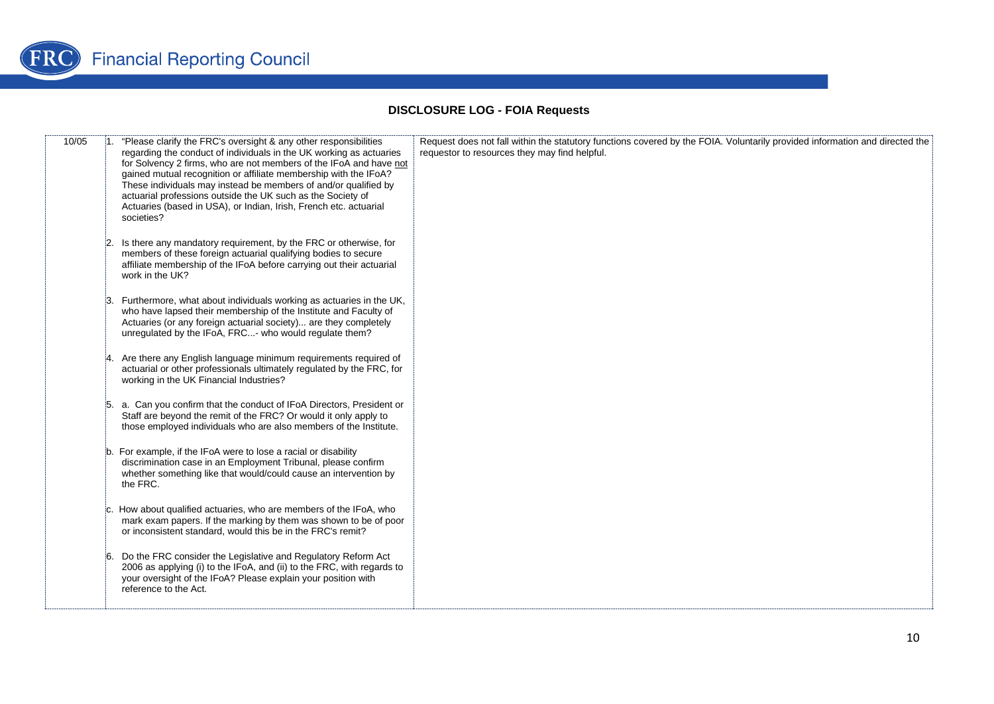

| 10/05 | 1. "Please clarify the FRC's oversight & any other responsibilities<br>regarding the conduct of individuals in the UK working as actuaries<br>for Solvency 2 firms, who are not members of the IFoA and have not<br>gained mutual recognition or affiliate membership with the IFoA?<br>These individuals may instead be members of and/or qualified by<br>actuarial professions outside the UK such as the Society of<br>Actuaries (based in USA), or Indian, Irish, French etc. actuarial<br>societies? | Request does not fall within the statutory functions covered by the FOIA. Voluntarily provided information and directed the<br>requestor to resources they may find helpful. |
|-------|-----------------------------------------------------------------------------------------------------------------------------------------------------------------------------------------------------------------------------------------------------------------------------------------------------------------------------------------------------------------------------------------------------------------------------------------------------------------------------------------------------------|------------------------------------------------------------------------------------------------------------------------------------------------------------------------------|
|       | Is there any mandatory requirement, by the FRC or otherwise, for<br>members of these foreign actuarial qualifying bodies to secure<br>affiliate membership of the IFoA before carrying out their actuarial<br>work in the UK?                                                                                                                                                                                                                                                                             |                                                                                                                                                                              |
|       | Furthermore, what about individuals working as actuaries in the UK,<br>who have lapsed their membership of the Institute and Faculty of<br>Actuaries (or any foreign actuarial society) are they completely<br>unregulated by the IFoA, FRC- who would regulate them?                                                                                                                                                                                                                                     |                                                                                                                                                                              |
|       | Are there any English language minimum requirements required of<br>actuarial or other professionals ultimately regulated by the FRC, for<br>working in the UK Financial Industries?                                                                                                                                                                                                                                                                                                                       |                                                                                                                                                                              |
|       | 5. a. Can you confirm that the conduct of IFoA Directors, President or<br>Staff are beyond the remit of the FRC? Or would it only apply to<br>those employed individuals who are also members of the Institute.                                                                                                                                                                                                                                                                                           |                                                                                                                                                                              |
|       | b. For example, if the IFoA were to lose a racial or disability<br>discrimination case in an Employment Tribunal, please confirm<br>whether something like that would/could cause an intervention by<br>the FRC.                                                                                                                                                                                                                                                                                          |                                                                                                                                                                              |
|       | How about qualified actuaries, who are members of the IFoA, who<br>mark exam papers. If the marking by them was shown to be of poor<br>or inconsistent standard, would this be in the FRC's remit?                                                                                                                                                                                                                                                                                                        |                                                                                                                                                                              |
|       | Do the FRC consider the Legislative and Regulatory Reform Act<br>:6.<br>2006 as applying (i) to the IFoA, and (ii) to the FRC, with regards to<br>your oversight of the IFoA? Please explain your position with<br>reference to the Act.                                                                                                                                                                                                                                                                  |                                                                                                                                                                              |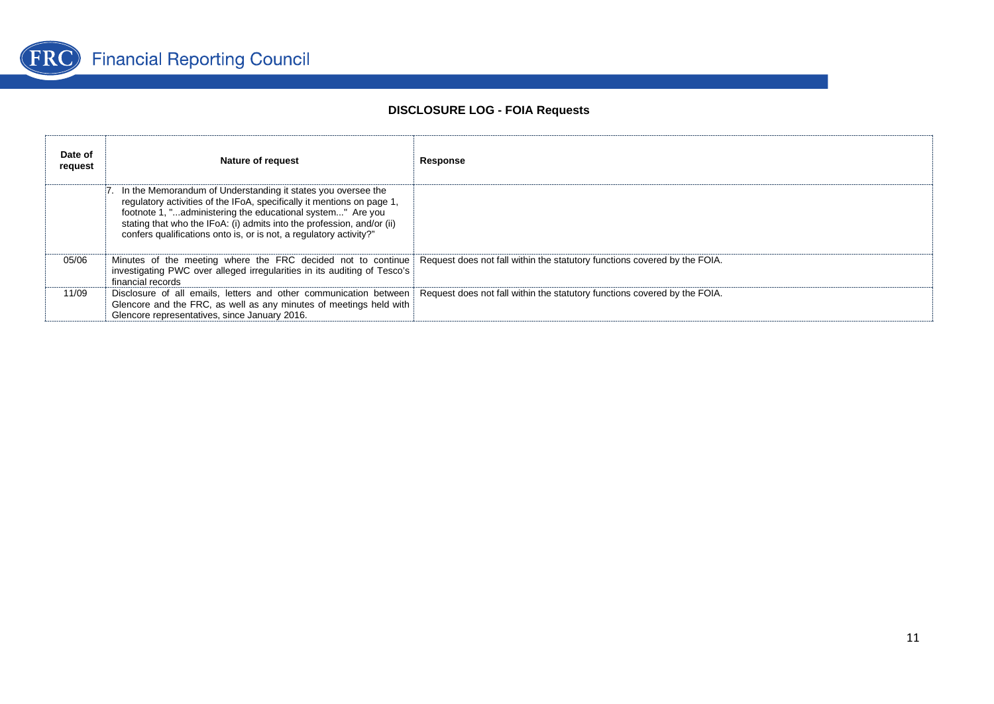

| Date of<br>request | Nature of request                                                                                                                                                                                                                                                                                                                                      | Response                                                                                                                                    |
|--------------------|--------------------------------------------------------------------------------------------------------------------------------------------------------------------------------------------------------------------------------------------------------------------------------------------------------------------------------------------------------|---------------------------------------------------------------------------------------------------------------------------------------------|
|                    | . In the Memorandum of Understanding it states you oversee the<br>regulatory activities of the IFoA, specifically it mentions on page 1,<br>footnote 1, "administering the educational system" Are you<br>stating that who the IFoA: (i) admits into the profession, and/or (ii)<br>confers qualifications onto is, or is not, a regulatory activity?" |                                                                                                                                             |
| 05/06              | investigating PWC over alleged irregularities in its auditing of Tesco's<br>financial records                                                                                                                                                                                                                                                          | Minutes of the meeting where the FRC decided not to continue Request does not fall within the statutory functions covered by the FOIA.      |
| 11/09              | Glencore and the FRC, as well as any minutes of meetings held with<br>Glencore representatives, since January 2016.                                                                                                                                                                                                                                    | Disclosure of all emails, letters and other communication between Request does not fall within the statutory functions covered by the FOIA. |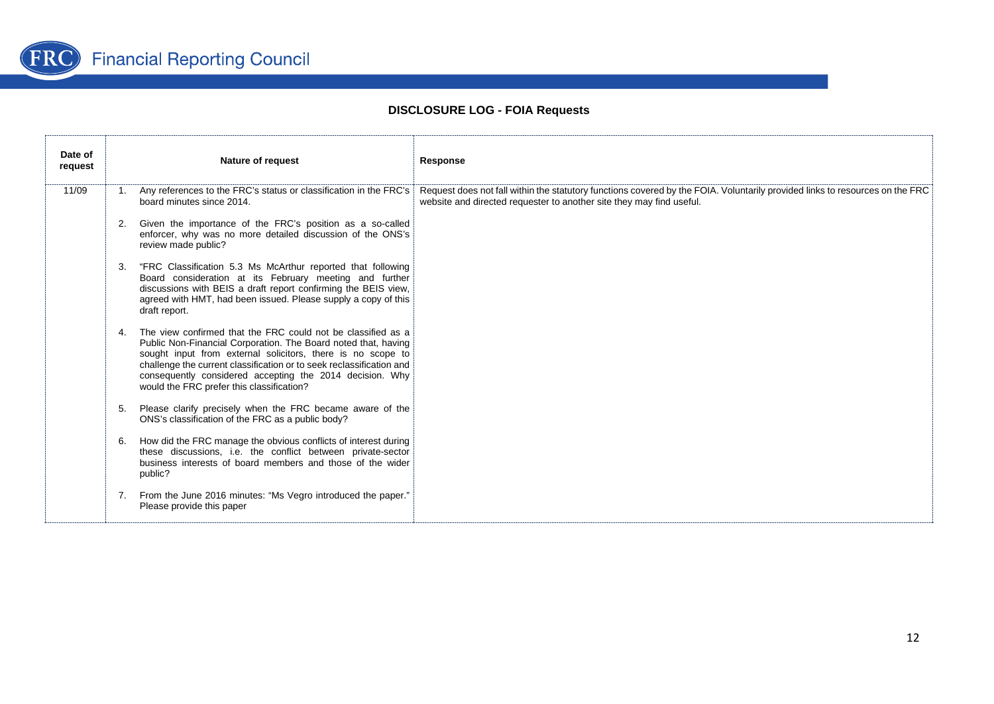

| Date of<br>request | <b>Nature of request</b>                                                                                                                                                                                                                                                                                                                                                                       | Response                                                                                                                                                                                             |
|--------------------|------------------------------------------------------------------------------------------------------------------------------------------------------------------------------------------------------------------------------------------------------------------------------------------------------------------------------------------------------------------------------------------------|------------------------------------------------------------------------------------------------------------------------------------------------------------------------------------------------------|
| 11/09              | 1. Any references to the FRC's status or classification in the FRC's<br>board minutes since 2014.                                                                                                                                                                                                                                                                                              | Request does not fall within the statutory functions covered by the FOIA. Voluntarily provided links to resources on the FRC<br>website and directed requester to another site they may find useful. |
|                    | Given the importance of the FRC's position as a so-called<br>enforcer, why was no more detailed discussion of the ONS's<br>review made public?                                                                                                                                                                                                                                                 |                                                                                                                                                                                                      |
|                    | 3.<br>"FRC Classification 5.3 Ms McArthur reported that following<br>Board consideration at its February meeting and further<br>discussions with BEIS a draft report confirming the BEIS view,<br>agreed with HMT, had been issued. Please supply a copy of this<br>draft report.                                                                                                              |                                                                                                                                                                                                      |
|                    | The view confirmed that the FRC could not be classified as a<br>$\mathbf{4}$<br>Public Non-Financial Corporation. The Board noted that, having<br>sought input from external solicitors, there is no scope to<br>challenge the current classification or to seek reclassification and<br>consequently considered accepting the 2014 decision. Why<br>would the FRC prefer this classification? |                                                                                                                                                                                                      |
|                    | Please clarify precisely when the FRC became aware of the<br>5.<br>ONS's classification of the FRC as a public body?                                                                                                                                                                                                                                                                           |                                                                                                                                                                                                      |
|                    | How did the FRC manage the obvious conflicts of interest during<br>6.<br>these discussions, i.e. the conflict between private-sector<br>business interests of board members and those of the wider<br>public?                                                                                                                                                                                  |                                                                                                                                                                                                      |
|                    | From the June 2016 minutes: "Ms Vegro introduced the paper."<br>7.<br>Please provide this paper                                                                                                                                                                                                                                                                                                |                                                                                                                                                                                                      |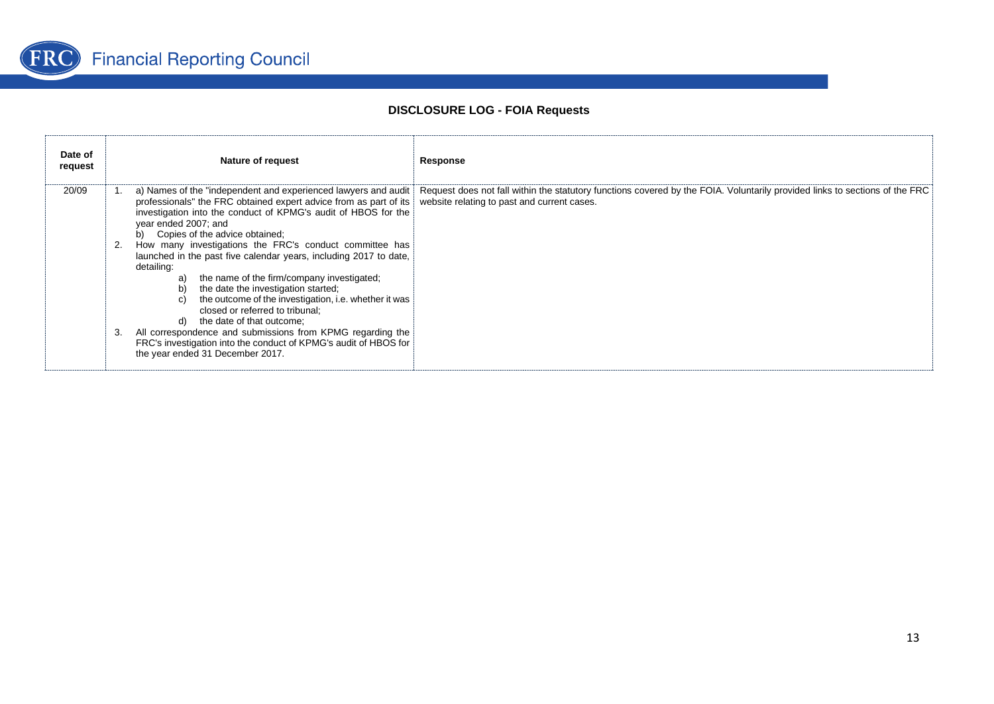

| Date of<br>request | <b>Nature of request</b>                                                                                                                                                                                                                                                                                                                                                                                                                                                                                                                                                                                                                                                                                                                                                                                                     | Response                                                                                                                                                                                     |
|--------------------|------------------------------------------------------------------------------------------------------------------------------------------------------------------------------------------------------------------------------------------------------------------------------------------------------------------------------------------------------------------------------------------------------------------------------------------------------------------------------------------------------------------------------------------------------------------------------------------------------------------------------------------------------------------------------------------------------------------------------------------------------------------------------------------------------------------------------|----------------------------------------------------------------------------------------------------------------------------------------------------------------------------------------------|
| 20/09              | professionals" the FRC obtained expert advice from as part of its website relating to past and current cases.<br>investigation into the conduct of KPMG's audit of HBOS for the<br>year ended 2007; and<br>b) Copies of the advice obtained:<br>How many investigations the FRC's conduct committee has<br>2.<br>launched in the past five calendar years, including 2017 to date,<br>detailing:<br>the name of the firm/company investigated,<br>a)<br>b)<br>the date the investigation started;<br>the outcome of the investigation, i.e. whether it was<br>$\mathbf{C}$<br>closed or referred to tribunal:<br>the date of that outcome:<br>d)<br>All correspondence and submissions from KPMG regarding the<br>3.<br>FRC's investigation into the conduct of KPMG's audit of HBOS for<br>the year ended 31 December 2017. | a) Names of the "independent and experienced lawyers and audit   Request does not fall within the statutory functions covered by the FOIA. Voluntarily provided links to sections of the FRC |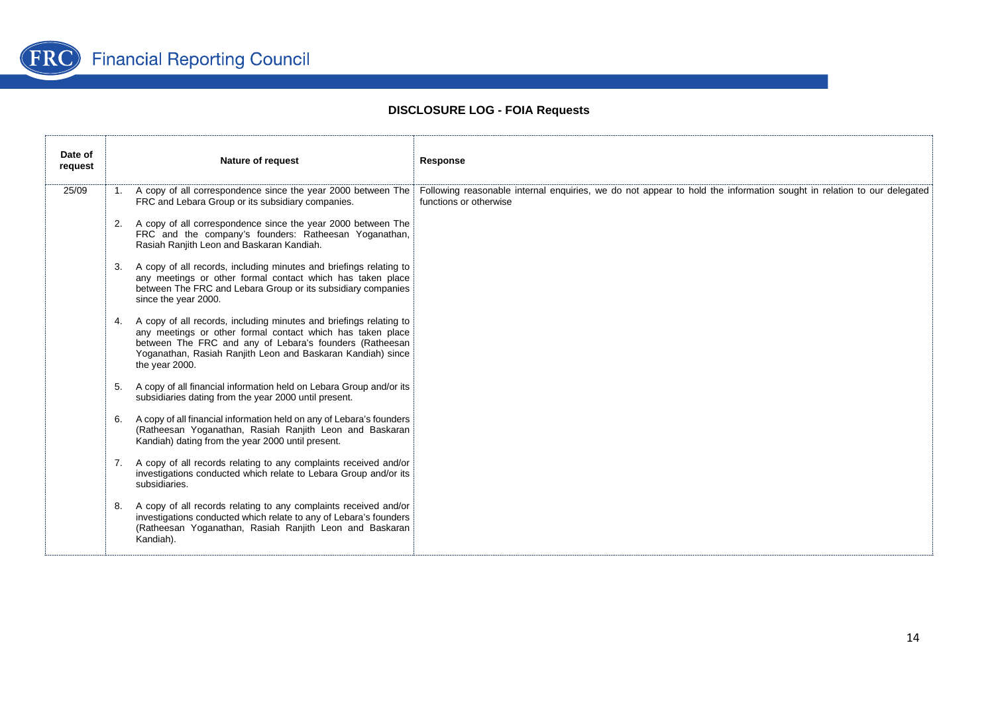

| Date of<br>request |    | Nature of request                                                                                                                                                                                                                                                               | Response                                                                                                                                        |
|--------------------|----|---------------------------------------------------------------------------------------------------------------------------------------------------------------------------------------------------------------------------------------------------------------------------------|-------------------------------------------------------------------------------------------------------------------------------------------------|
| 25/09              |    | 1. A copy of all correspondence since the year 2000 between The<br>FRC and Lebara Group or its subsidiary companies.                                                                                                                                                            | Following reasonable internal enquiries, we do not appear to hold the information sought in relation to our delegated<br>functions or otherwise |
|                    | 2. | A copy of all correspondence since the year 2000 between The<br>FRC and the company's founders: Ratheesan Yoganathan,<br>Rasiah Ranjith Leon and Baskaran Kandiah.                                                                                                              |                                                                                                                                                 |
|                    | 3. | A copy of all records, including minutes and briefings relating to<br>any meetings or other formal contact which has taken place<br>between The FRC and Lebara Group or its subsidiary companies<br>since the year 2000.                                                        |                                                                                                                                                 |
|                    |    | 4. A copy of all records, including minutes and briefings relating to<br>any meetings or other formal contact which has taken place<br>between The FRC and any of Lebara's founders (Ratheesan<br>Yoganathan, Rasiah Ranjith Leon and Baskaran Kandiah) since<br>the year 2000. |                                                                                                                                                 |
|                    | 5. | A copy of all financial information held on Lebara Group and/or its<br>subsidiaries dating from the year 2000 until present.                                                                                                                                                    |                                                                                                                                                 |
|                    | 6. | A copy of all financial information held on any of Lebara's founders<br>(Ratheesan Yoganathan, Rasiah Ranjith Leon and Baskaran<br>Kandiah) dating from the year 2000 until present.                                                                                            |                                                                                                                                                 |
|                    | 7. | A copy of all records relating to any complaints received and/or<br>investigations conducted which relate to Lebara Group and/or its<br>subsidiaries.                                                                                                                           |                                                                                                                                                 |
|                    |    | 8. A copy of all records relating to any complaints received and/or<br>investigations conducted which relate to any of Lebara's founders<br>(Ratheesan Yoganathan, Rasiah Ranjith Leon and Baskaran<br>Kandiah).                                                                |                                                                                                                                                 |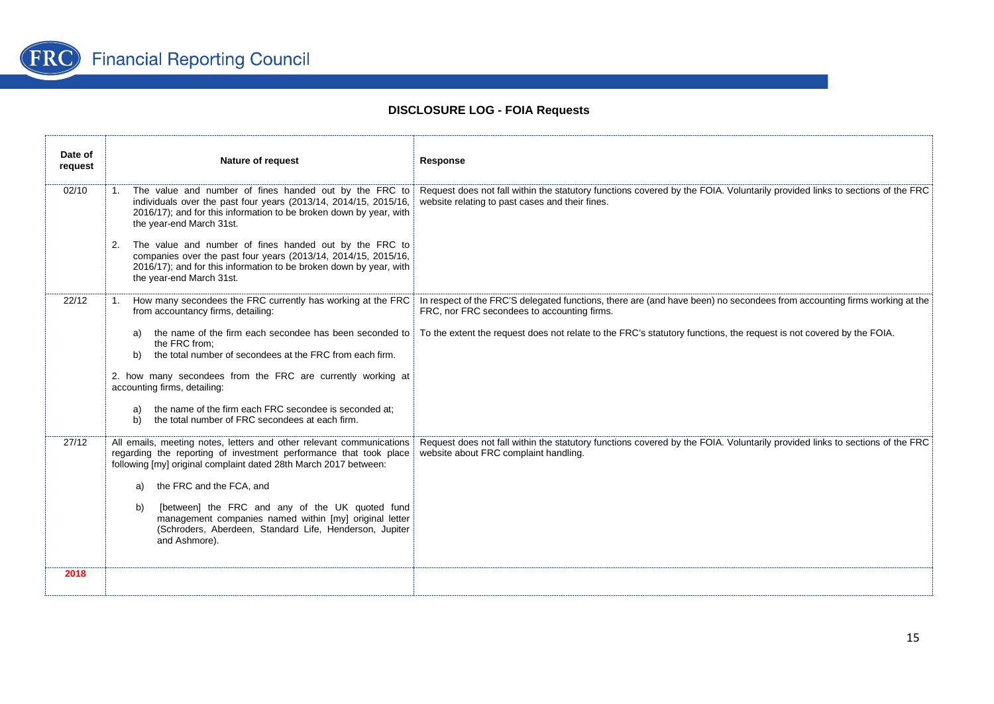

| Date of<br>request | Nature of request                                                                                                                                                                                                                | Response                                                                                                                                                                       |
|--------------------|----------------------------------------------------------------------------------------------------------------------------------------------------------------------------------------------------------------------------------|--------------------------------------------------------------------------------------------------------------------------------------------------------------------------------|
| 02/10              | 1. The value and number of fines handed out by the FRC to<br>individuals over the past four years (2013/14, 2014/15, 2015/16,<br>2016/17); and for this information to be broken down by year, with<br>the year-end March 31st.  | Request does not fall within the statutory functions covered by the FOIA. Voluntarily provided links to sections of the FRC<br>website relating to past cases and their fines. |
|                    | The value and number of fines handed out by the FRC to<br>2.<br>companies over the past four years (2013/14, 2014/15, 2015/16,<br>2016/17); and for this information to be broken down by year, with<br>the year-end March 31st. |                                                                                                                                                                                |
| 22/12              | How many secondees the FRC currently has working at the FRC<br>1.<br>from accountancy firms, detailing:                                                                                                                          | In respect of the FRC'S delegated functions, there are (and have been) no secondees from accounting firms working at the<br>FRC, nor FRC secondees to accounting firms.        |
|                    | the name of the firm each secondee has been seconded to<br>the FRC from:<br>the total number of secondees at the FRC from each firm.<br>b)                                                                                       | To the extent the request does not relate to the FRC's statutory functions, the request is not covered by the FOIA.                                                            |
|                    | 2. how many secondees from the FRC are currently working at<br>accounting firms, detailing:                                                                                                                                      |                                                                                                                                                                                |
|                    | the name of the firm each FRC secondee is seconded at:<br>a)<br>the total number of FRC secondees at each firm.<br>b)                                                                                                            |                                                                                                                                                                                |
| 27/12              | All emails, meeting notes, letters and other relevant communications<br>regarding the reporting of investment performance that took place<br>following [my] original complaint dated 28th March 2017 between:                    | Request does not fall within the statutory functions covered by the FOIA. Voluntarily provided links to sections of the FRC<br>website about FRC complaint handling.           |
|                    | the FRC and the FCA, and                                                                                                                                                                                                         |                                                                                                                                                                                |
|                    | [between] the FRC and any of the UK quoted fund<br>b)<br>management companies named within [my] original letter<br>(Schroders, Aberdeen, Standard Life, Henderson, Jupiter<br>and Ashmore).                                      |                                                                                                                                                                                |
| 2018               |                                                                                                                                                                                                                                  |                                                                                                                                                                                |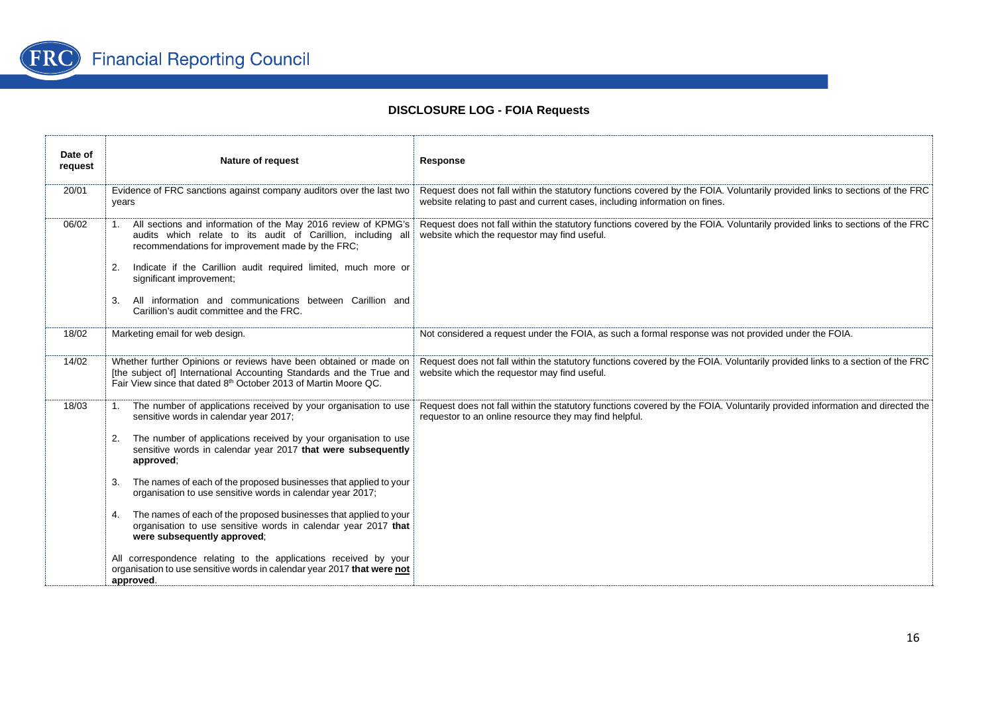

| Date of<br>request | Nature of request                                                                                                                                                                                                                                                                                                                                                                                                                                                                                                                                                                                                                                                                                                                                | Response                                                                                                                                                                                                   |
|--------------------|--------------------------------------------------------------------------------------------------------------------------------------------------------------------------------------------------------------------------------------------------------------------------------------------------------------------------------------------------------------------------------------------------------------------------------------------------------------------------------------------------------------------------------------------------------------------------------------------------------------------------------------------------------------------------------------------------------------------------------------------------|------------------------------------------------------------------------------------------------------------------------------------------------------------------------------------------------------------|
| 20/01              | Evidence of FRC sanctions against company auditors over the last two<br>years                                                                                                                                                                                                                                                                                                                                                                                                                                                                                                                                                                                                                                                                    | Request does not fall within the statutory functions covered by the FOIA. Voluntarily provided links to sections of the FRC<br>website relating to past and current cases, including information on fines. |
| 06/02              | 1. All sections and information of the May 2016 review of KPMG's<br>audits which relate to its audit of Carillion, including all<br>recommendations for improvement made by the FRC;<br>Indicate if the Carillion audit required limited, much more or<br>2.<br>significant improvement;<br>All information and communications between Carillion and<br>3.<br>Carillion's audit committee and the FRC.                                                                                                                                                                                                                                                                                                                                           | Request does not fall within the statutory functions covered by the FOIA. Voluntarily provided links to sections of the FRC<br>website which the requestor may find useful.                                |
| 18/02              | Marketing email for web design.                                                                                                                                                                                                                                                                                                                                                                                                                                                                                                                                                                                                                                                                                                                  | Not considered a request under the FOIA, as such a formal response was not provided under the FOIA.                                                                                                        |
| 14/02              | Whether further Opinions or reviews have been obtained or made on<br>[the subject of] International Accounting Standards and the True and<br>Fair View since that dated 8th October 2013 of Martin Moore QC.                                                                                                                                                                                                                                                                                                                                                                                                                                                                                                                                     | Request does not fall within the statutory functions covered by the FOIA. Voluntarily provided links to a section of the FRC<br>website which the requestor may find useful.                               |
| 18/03              | The number of applications received by your organisation to use<br>sensitive words in calendar year 2017;<br>The number of applications received by your organisation to use<br>2.<br>sensitive words in calendar year 2017 that were subsequently<br>approved:<br>The names of each of the proposed businesses that applied to your<br>3.<br>organisation to use sensitive words in calendar year 2017;<br>The names of each of the proposed businesses that applied to your<br>4.<br>organisation to use sensitive words in calendar year 2017 that<br>were subsequently approved;<br>All correspondence relating to the applications received by your<br>organisation to use sensitive words in calendar year 2017 that were not<br>approved. | Request does not fall within the statutory functions covered by the FOIA. Voluntarily provided information and directed the<br>requestor to an online resource they may find helpful.                      |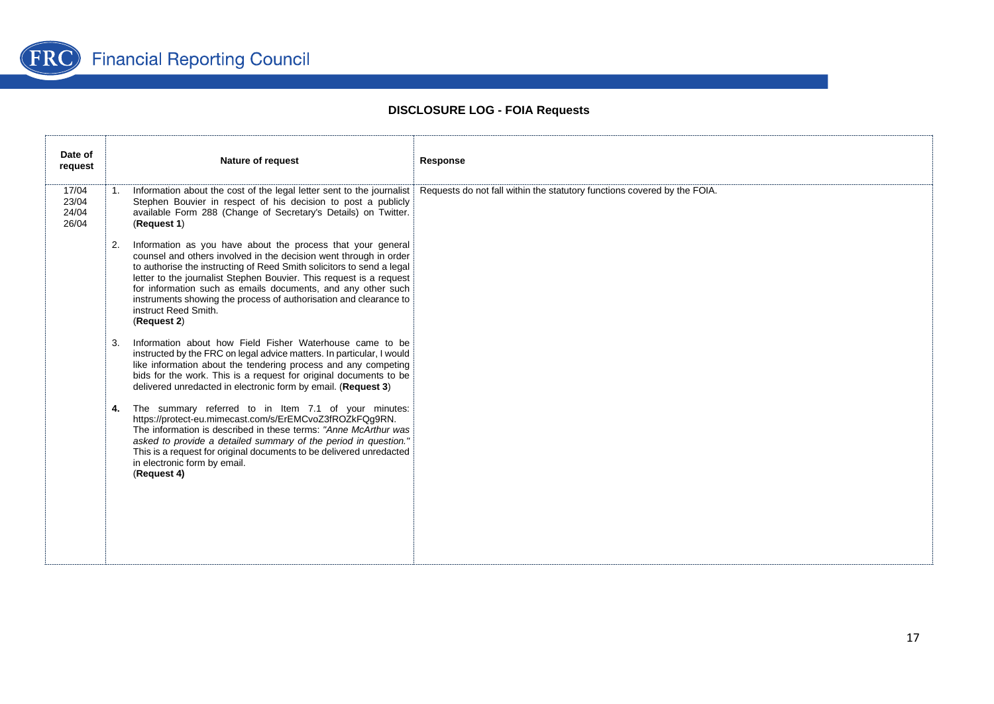

| Date of<br>request               | <b>Nature of request</b>                                                                                                                                                                                                                                                                                                                                                                                                                                           | Response                                                                 |
|----------------------------------|--------------------------------------------------------------------------------------------------------------------------------------------------------------------------------------------------------------------------------------------------------------------------------------------------------------------------------------------------------------------------------------------------------------------------------------------------------------------|--------------------------------------------------------------------------|
| 17/04<br>23/04<br>24/04<br>26/04 | Information about the cost of the legal letter sent to the journalist<br>1.<br>Stephen Bouvier in respect of his decision to post a publicly<br>available Form 288 (Change of Secretary's Details) on Twitter.<br>(Request 1)                                                                                                                                                                                                                                      | Requests do not fall within the statutory functions covered by the FOIA. |
|                                  | Information as you have about the process that your general<br>2.<br>counsel and others involved in the decision went through in order<br>to authorise the instructing of Reed Smith solicitors to send a legal<br>letter to the journalist Stephen Bouvier. This request is a request<br>for information such as emails documents, and any other such<br>instruments showing the process of authorisation and clearance to<br>instruct Reed Smith.<br>(Request 2) |                                                                          |
|                                  | Information about how Field Fisher Waterhouse came to be<br>3.<br>instructed by the FRC on legal advice matters. In particular, I would<br>like information about the tendering process and any competing<br>bids for the work. This is a request for original documents to be<br>delivered unredacted in electronic form by email. (Request 3)                                                                                                                    |                                                                          |
|                                  | The summary referred to in Item 7.1 of your minutes:<br>4.<br>https://protect-eu.mimecast.com/s/ErEMCvoZ3fROZkFQg9RN.<br>The information is described in these terms: "Anne McArthur was<br>asked to provide a detailed summary of the period in question."<br>This is a request for original documents to be delivered unredacted<br>in electronic form by email.<br>(Request 4)                                                                                  |                                                                          |
|                                  |                                                                                                                                                                                                                                                                                                                                                                                                                                                                    |                                                                          |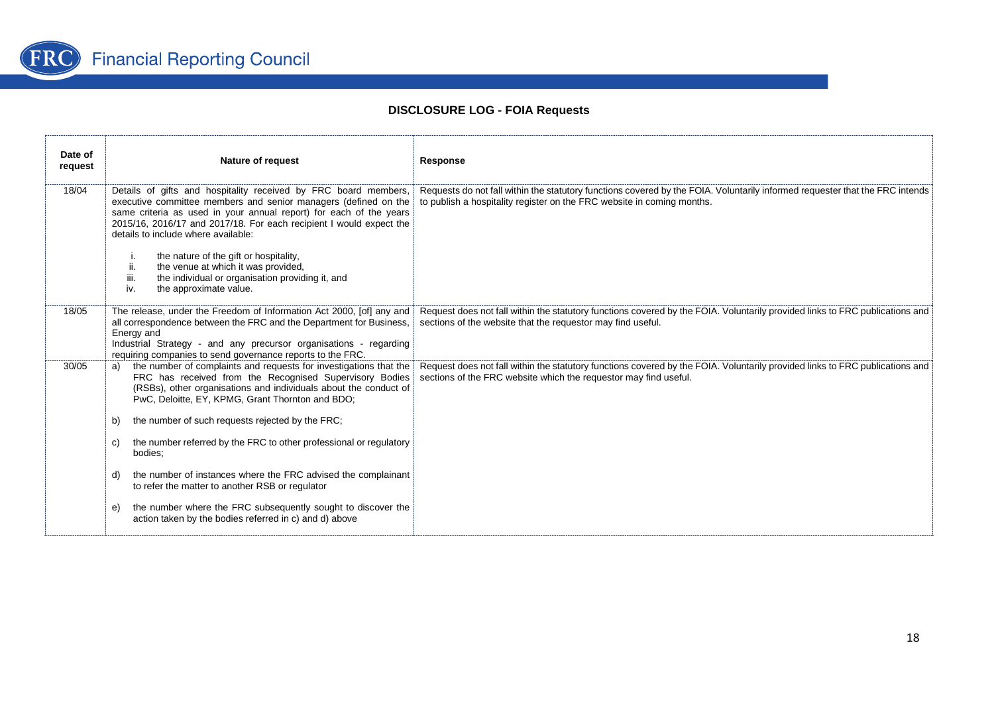

| Date of<br>request | <b>Nature of request</b>                                                                                                                                                                                                                                                                                               | Response                                                                                                                                                                                               |
|--------------------|------------------------------------------------------------------------------------------------------------------------------------------------------------------------------------------------------------------------------------------------------------------------------------------------------------------------|--------------------------------------------------------------------------------------------------------------------------------------------------------------------------------------------------------|
| 18/04              | Details of gifts and hospitality received by FRC board members,<br>executive committee members and senior managers (defined on the<br>same criteria as used in your annual report) for each of the years<br>2015/16, 2016/17 and 2017/18. For each recipient I would expect the<br>details to include where available: | Requests do not fall within the statutory functions covered by the FOIA. Voluntarily informed requester that the FRC intends<br>to publish a hospitality register on the FRC website in coming months. |
|                    | the nature of the gift or hospitality,<br>j.<br>ii.<br>the venue at which it was provided,<br>iii.<br>the individual or organisation providing it, and<br>iv.<br>the approximate value.                                                                                                                                |                                                                                                                                                                                                        |
| 18/05              | The release, under the Freedom of Information Act 2000, [of] any and<br>all correspondence between the FRC and the Department for Business,<br>Energy and<br>Industrial Strategy - and any precursor organisations - regarding<br>requiring companies to send governance reports to the FRC.                           | Request does not fall within the statutory functions covered by the FOIA. Voluntarily provided links to FRC publications and<br>sections of the website that the requestor may find useful.            |
| 30/05              | the number of complaints and requests for investigations that the<br>a)<br>FRC has received from the Recognised Supervisory Bodies<br>(RSBs), other organisations and individuals about the conduct of<br>PwC, Deloitte, EY, KPMG, Grant Thornton and BDO;                                                             | Request does not fall within the statutory functions covered by the FOIA. Voluntarily provided links to FRC publications and<br>sections of the FRC website which the requestor may find useful.       |
|                    | the number of such requests rejected by the FRC;<br>b)                                                                                                                                                                                                                                                                 |                                                                                                                                                                                                        |
|                    | the number referred by the FRC to other professional or regulatory<br>C)<br>bodies:                                                                                                                                                                                                                                    |                                                                                                                                                                                                        |
|                    | the number of instances where the FRC advised the complainant<br>d)<br>to refer the matter to another RSB or regulator                                                                                                                                                                                                 |                                                                                                                                                                                                        |
|                    | the number where the FRC subsequently sought to discover the<br>e)<br>action taken by the bodies referred in c) and d) above                                                                                                                                                                                           |                                                                                                                                                                                                        |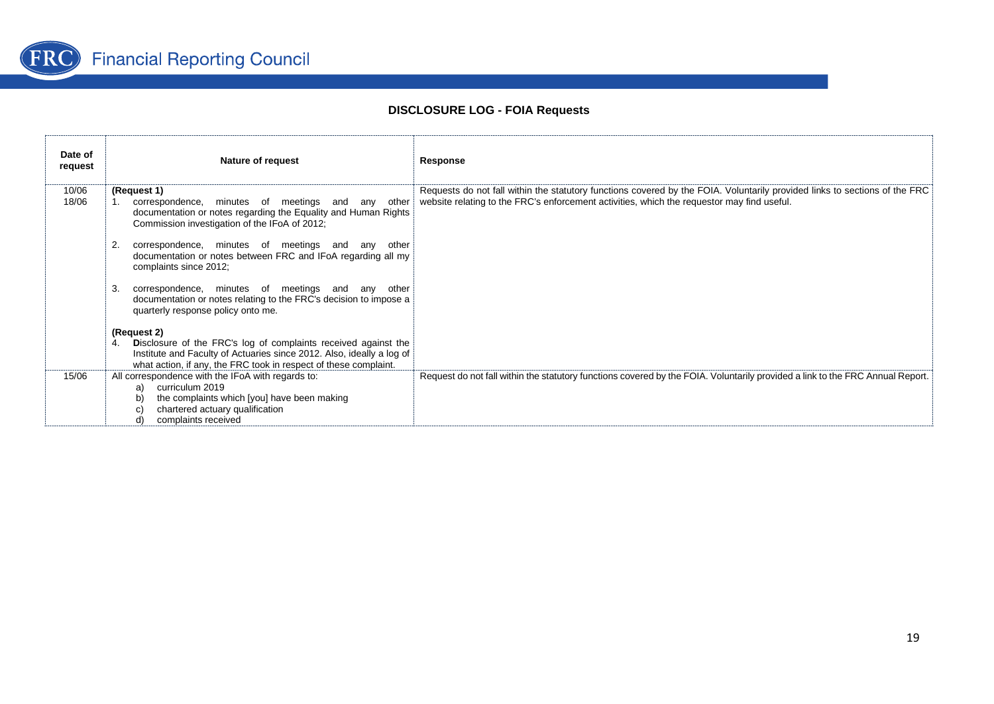

| Date of<br>request | Nature of request                                                                                                                                                                         | Response                                                                                                                                                                                                                 |
|--------------------|-------------------------------------------------------------------------------------------------------------------------------------------------------------------------------------------|--------------------------------------------------------------------------------------------------------------------------------------------------------------------------------------------------------------------------|
| 10/06<br>18/06     | (Request 1)<br>correspondence, minutes of meetings and any other<br>documentation or notes regarding the Equality and Human Rights<br>Commission investigation of the IFoA of 2012;       | Requests do not fall within the statutory functions covered by the FOIA. Voluntarily provided links to sections of the FRC<br>website relating to the FRC's enforcement activities, which the requestor may find useful. |
|                    | correspondence, minutes of meetings and any other<br>documentation or notes between FRC and IFoA regarding all my<br>complaints since 2012;                                               |                                                                                                                                                                                                                          |
|                    | correspondence, minutes of meetings and any other<br>З.<br>documentation or notes relating to the FRC's decision to impose a<br>quarterly response policy onto me.                        |                                                                                                                                                                                                                          |
|                    | (Request 2)<br>Disclosure of the FRC's log of complaints received against the<br>4.                                                                                                       |                                                                                                                                                                                                                          |
|                    | Institute and Faculty of Actuaries since 2012. Also, ideally a log of<br>what action, if any, the FRC took in respect of these complaint.                                                 |                                                                                                                                                                                                                          |
| 15/06              | All correspondence with the IFoA with regards to:<br>curriculum 2019<br>a)<br>the complaints which [you] have been making<br>chartered actuary qualification<br>C)<br>complaints received | Request do not fall within the statutory functions covered by the FOIA. Voluntarily provided a link to the FRC Annual Report.                                                                                            |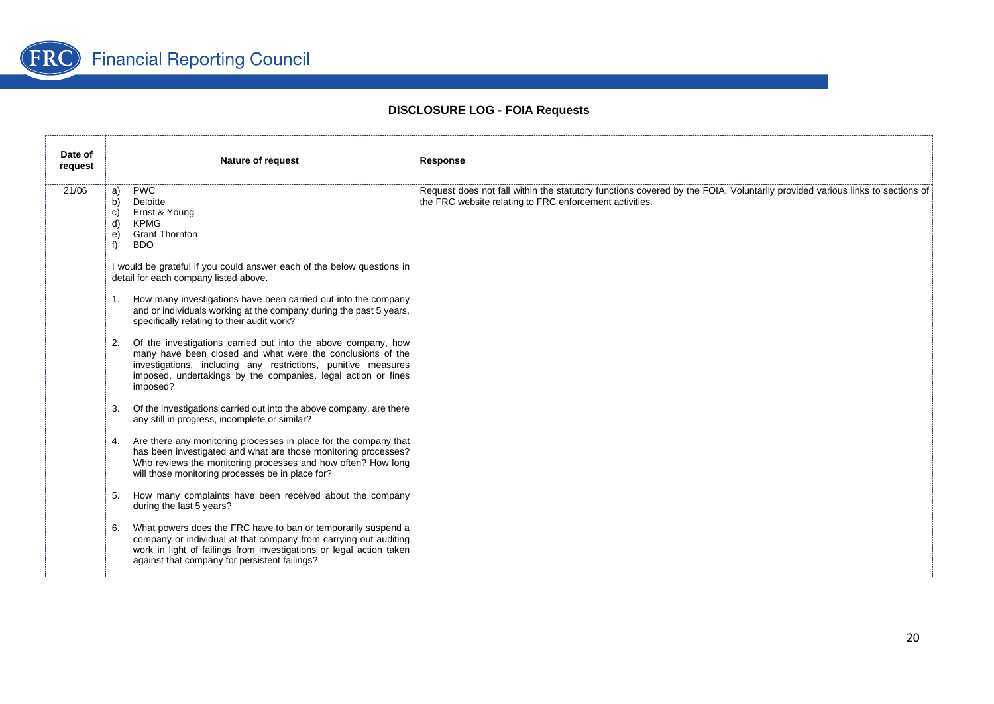

| Date of<br>request | <b>Nature of request</b>                                                                                                                                                                                                                                                                                                                                                                                                                                                                                                                                                                                                                                                                                                                                                                                                                                                                                                                                                                                                                                                                                                                                                                                                                                                                                                                                                                                                                         | Response                                                                                                                                                                               |
|--------------------|--------------------------------------------------------------------------------------------------------------------------------------------------------------------------------------------------------------------------------------------------------------------------------------------------------------------------------------------------------------------------------------------------------------------------------------------------------------------------------------------------------------------------------------------------------------------------------------------------------------------------------------------------------------------------------------------------------------------------------------------------------------------------------------------------------------------------------------------------------------------------------------------------------------------------------------------------------------------------------------------------------------------------------------------------------------------------------------------------------------------------------------------------------------------------------------------------------------------------------------------------------------------------------------------------------------------------------------------------------------------------------------------------------------------------------------------------|----------------------------------------------------------------------------------------------------------------------------------------------------------------------------------------|
| 21/06              | <b>PWC</b><br>a)<br>Deloitte<br>b)<br>Ernst & Young<br>C)<br><b>KPMG</b><br>d)<br><b>Grant Thornton</b><br>e)<br><b>BDO</b><br>f<br>I would be grateful if you could answer each of the below questions in<br>detail for each company listed above.<br>How many investigations have been carried out into the company<br>1.<br>and or individuals working at the company during the past 5 years,<br>specifically relating to their audit work?<br>Of the investigations carried out into the above company, how<br>2.<br>many have been closed and what were the conclusions of the<br>investigations, including any restrictions, punitive measures<br>imposed, undertakings by the companies, legal action or fines<br>imposed?<br>Of the investigations carried out into the above company, are there<br>3.<br>any still in progress, incomplete or similar?<br>Are there any monitoring processes in place for the company that<br>4.<br>has been investigated and what are those monitoring processes?<br>Who reviews the monitoring processes and how often? How long<br>will those monitoring processes be in place for?<br>How many complaints have been received about the company<br>5.<br>during the last 5 years?<br>What powers does the FRC have to ban or temporarily suspend a<br>6.<br>company or individual at that company from carrying out auditing<br>work in light of failings from investigations or legal action taken | Request does not fall within the statutory functions covered by the FOIA. Voluntarily provided various links to sections of<br>the FRC website relating to FRC enforcement activities. |
|                    | against that company for persistent failings?                                                                                                                                                                                                                                                                                                                                                                                                                                                                                                                                                                                                                                                                                                                                                                                                                                                                                                                                                                                                                                                                                                                                                                                                                                                                                                                                                                                                    |                                                                                                                                                                                        |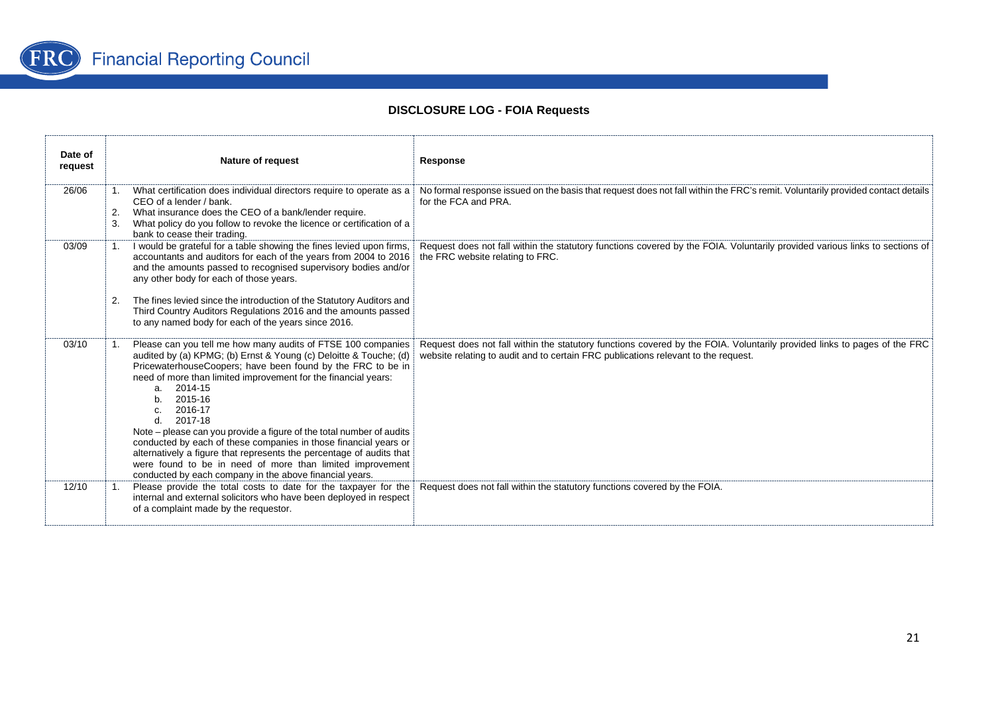

| Date of<br>request | Nature of request                                                                                                                                                                                                                                                                                                                                                                                                                                                                                                                                                                                                                                                                 | Response                                                                                                                                                                                                       |
|--------------------|-----------------------------------------------------------------------------------------------------------------------------------------------------------------------------------------------------------------------------------------------------------------------------------------------------------------------------------------------------------------------------------------------------------------------------------------------------------------------------------------------------------------------------------------------------------------------------------------------------------------------------------------------------------------------------------|----------------------------------------------------------------------------------------------------------------------------------------------------------------------------------------------------------------|
| 26/06              | What certification does individual directors require to operate as a<br>CEO of a lender / bank.<br>What insurance does the CEO of a bank/lender require.<br>2.<br>What policy do you follow to revoke the licence or certification of a<br>3.<br>bank to cease their trading                                                                                                                                                                                                                                                                                                                                                                                                      | No formal response issued on the basis that request does not fall within the FRC's remit. Voluntarily provided contact details<br>for the FCA and PRA.                                                         |
| 03/09              | I would be grateful for a table showing the fines levied upon firms,<br>$\mathbf{1}$ .<br>accountants and auditors for each of the years from 2004 to 2016<br>and the amounts passed to recognised supervisory bodies and/or<br>any other body for each of those years.<br>The fines levied since the introduction of the Statutory Auditors and<br>2.<br>Third Country Auditors Regulations 2016 and the amounts passed<br>to any named body for each of the years since 2016.                                                                                                                                                                                                   | Request does not fall within the statutory functions covered by the FOIA. Voluntarily provided various links to sections of<br>the FRC website relating to FRC.                                                |
| 03/10              | Please can you tell me how many audits of FTSE 100 companies<br>1.<br>audited by (a) KPMG; (b) Ernst & Young (c) Deloitte & Touche; (d)<br>PricewaterhouseCoopers; have been found by the FRC to be in<br>need of more than limited improvement for the financial years:<br>2014-15<br>a.<br>2015-16<br>2016-17<br>2017-18<br>$d_{-}$<br>Note – please can you provide a figure of the total number of audits<br>conducted by each of these companies in those financial years or<br>alternatively a figure that represents the percentage of audits that<br>were found to be in need of more than limited improvement<br>conducted by each company in the above financial years. | Request does not fall within the statutory functions covered by the FOIA. Voluntarily provided links to pages of the FRC<br>website relating to audit and to certain FRC publications relevant to the request. |
| 12/10              | Please provide the total costs to date for the taxpayer for the<br>$\mathbf{1}$ .<br>internal and external solicitors who have been deployed in respect<br>of a complaint made by the requestor.                                                                                                                                                                                                                                                                                                                                                                                                                                                                                  | Request does not fall within the statutory functions covered by the FOIA.                                                                                                                                      |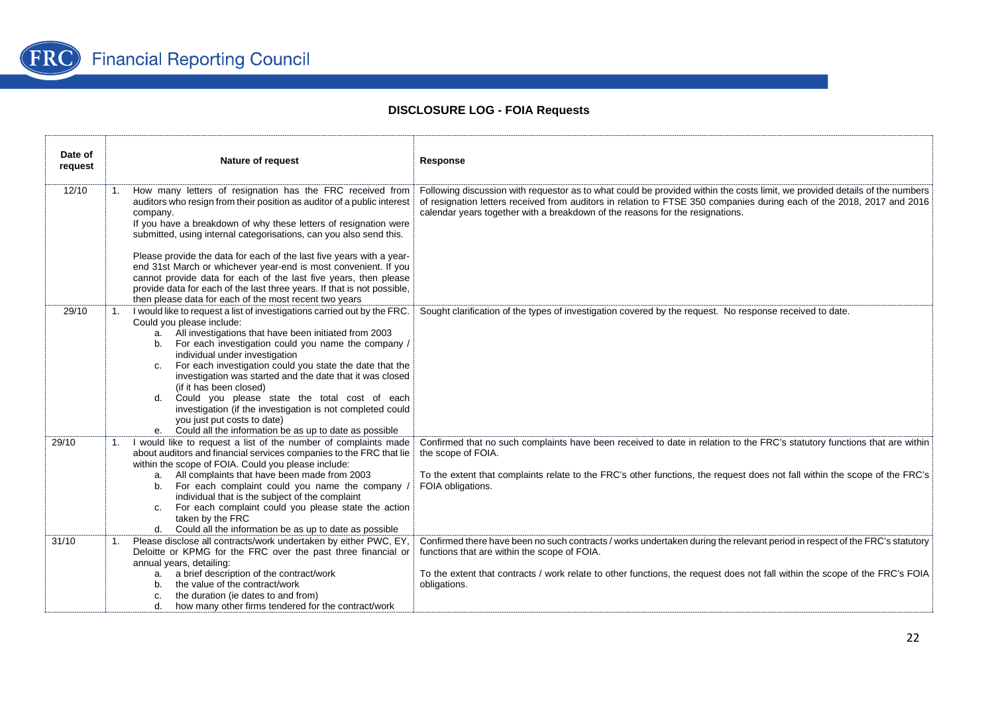

| Date of<br>request | Nature of request                                                                                                                                                                                                                                                                                                                                                                                                                                                                                                                                                                                                                                    | Response                                                                                                                                                                                                                                                                                                                               |
|--------------------|------------------------------------------------------------------------------------------------------------------------------------------------------------------------------------------------------------------------------------------------------------------------------------------------------------------------------------------------------------------------------------------------------------------------------------------------------------------------------------------------------------------------------------------------------------------------------------------------------------------------------------------------------|----------------------------------------------------------------------------------------------------------------------------------------------------------------------------------------------------------------------------------------------------------------------------------------------------------------------------------------|
| 12/10              | How many letters of resignation has the FRC received from<br>1.<br>auditors who resign from their position as auditor of a public interest<br>company.<br>If you have a breakdown of why these letters of resignation were<br>submitted, using internal categorisations, can you also send this.<br>Please provide the data for each of the last five years with a year-<br>end 31st March or whichever year-end is most convenient. If you<br>cannot provide data for each of the last five years, then please<br>provide data for each of the last three years. If that is not possible,<br>then please data for each of the most recent two years | Following discussion with requestor as to what could be provided within the costs limit, we provided details of the numbers<br>of resignation letters received from auditors in relation to FTSE 350 companies during each of the 2018, 2017 and 2016<br>calendar years together with a breakdown of the reasons for the resignations. |
| 29/10              | I would like to request a list of investigations carried out by the FRC.<br>1.<br>Could you please include:<br>a. All investigations that have been initiated from 2003<br>b. For each investigation could you name the company /<br>individual under investigation<br>c. For each investigation could you state the date that the<br>investigation was started and the date that it was closed<br>(if it has been closed)<br>Could you please state the total cost of each<br>d.<br>investigation (if the investigation is not completed could<br>you just put costs to date)<br>e. Could all the information be as up to date as possible          | Sought clarification of the types of investigation covered by the request. No response received to date.                                                                                                                                                                                                                               |
| 29/10              | I would like to request a list of the number of complaints made<br>about auditors and financial services companies to the FRC that lie<br>within the scope of FOIA. Could you please include:<br>a. All complaints that have been made from 2003<br>b. For each complaint could you name the company /<br>individual that is the subject of the complaint<br>For each complaint could you please state the action<br>C.<br>taken by the FRC<br>d. Could all the information be as up to date as possible                                                                                                                                             | Confirmed that no such complaints have been received to date in relation to the FRC's statutory functions that are within<br>the scope of FOIA.<br>To the extent that complaints relate to the FRC's other functions, the request does not fall within the scope of the FRC's<br>FOIA obligations.                                     |
| 31/10              | Please disclose all contracts/work undertaken by either PWC, EY,<br>$1_{\cdot}$<br>Deloitte or KPMG for the FRC over the past three financial or<br>annual years, detailing:<br>a. a brief description of the contract/work<br>b. the value of the contract/work<br>the duration (ie dates to and from)<br>C.<br>how many other firms tendered for the contract/work<br>d.                                                                                                                                                                                                                                                                           | Confirmed there have been no such contracts / works undertaken during the relevant period in respect of the FRC's statutory<br>functions that are within the scope of FOIA.<br>To the extent that contracts / work relate to other functions, the request does not fall within the scope of the FRC's FOIA<br>obligations.             |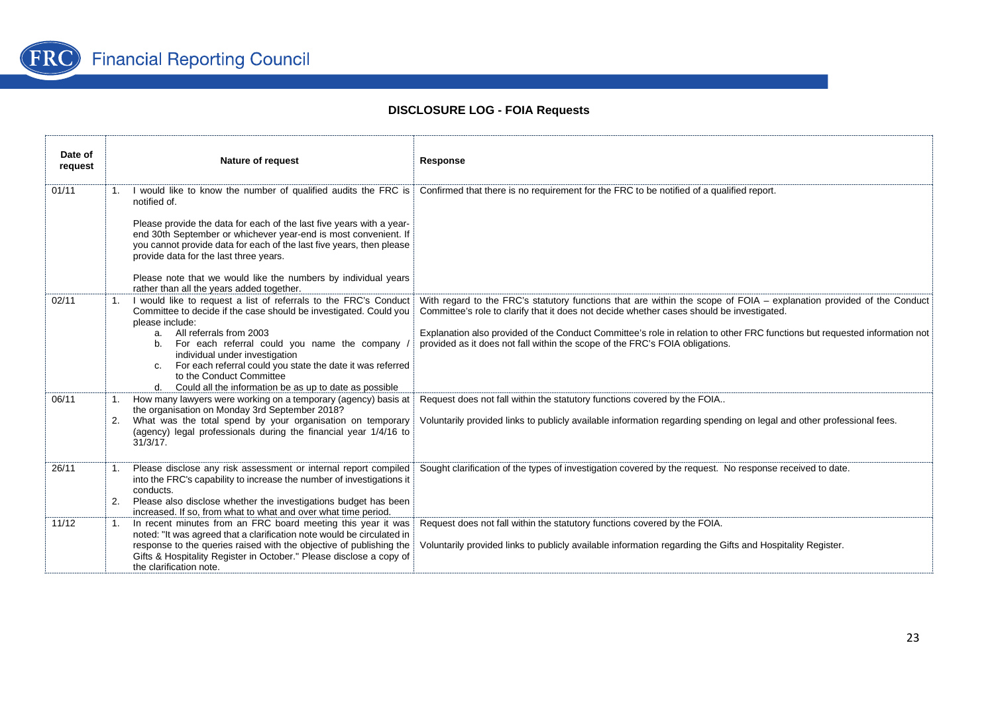

| Date of<br>request | <b>Nature of request</b>                                                                                                                                                                                                                                                                                                                                                                                                                    | Response                                                                                                                                                                                                                                                                                                                                                                                                                        |
|--------------------|---------------------------------------------------------------------------------------------------------------------------------------------------------------------------------------------------------------------------------------------------------------------------------------------------------------------------------------------------------------------------------------------------------------------------------------------|---------------------------------------------------------------------------------------------------------------------------------------------------------------------------------------------------------------------------------------------------------------------------------------------------------------------------------------------------------------------------------------------------------------------------------|
| 01/11              | notified of.<br>Please provide the data for each of the last five years with a year-<br>end 30th September or whichever year-end is most convenient. If<br>you cannot provide data for each of the last five years, then please<br>provide data for the last three years.<br>Please note that we would like the numbers by individual years<br>rather than all the years added together.                                                    | 1. I would like to know the number of qualified audits the FRC is Confirmed that there is no requirement for the FRC to be notified of a qualified report.                                                                                                                                                                                                                                                                      |
| 02/11              | I would like to request a list of referrals to the FRC's Conduct<br>Committee to decide if the case should be investigated. Could you<br>please include:<br>a. All referrals from 2003<br>For each referral could you name the company<br>b.<br>individual under investigation<br>For each referral could you state the date it was referred<br>C.<br>to the Conduct Committee<br>d. Could all the information be as up to date as possible | With regard to the FRC's statutory functions that are within the scope of FOIA – explanation provided of the Conduct<br>Committee's role to clarify that it does not decide whether cases should be investigated.<br>Explanation also provided of the Conduct Committee's role in relation to other FRC functions but requested information not<br>provided as it does not fall within the scope of the FRC's FOIA obligations. |
| 06/11              | How many lawyers were working on a temporary (agency) basis at<br>the organisation on Monday 3rd September 2018?<br>What was the total spend by your organisation on temporary<br>2.<br>(agency) legal professionals during the financial year 1/4/16 to<br>$31/3/17$ .                                                                                                                                                                     | Request does not fall within the statutory functions covered by the FOIA<br>Voluntarily provided links to publicly available information regarding spending on legal and other professional fees.                                                                                                                                                                                                                               |
| 26/11              | Please disclose any risk assessment or internal report compiled<br>into the FRC's capability to increase the number of investigations it<br>conducts.<br>Please also disclose whether the investigations budget has been<br>2.<br>increased. If so, from what to what and over what time period.                                                                                                                                            | Sought clarification of the types of investigation covered by the request. No response received to date.                                                                                                                                                                                                                                                                                                                        |
| 11/12              | In recent minutes from an FRC board meeting this year it was<br>1.<br>noted: "It was agreed that a clarification note would be circulated in<br>response to the queries raised with the objective of publishing the<br>Gifts & Hospitality Register in October." Please disclose a copy of<br>the clarification note.                                                                                                                       | Request does not fall within the statutory functions covered by the FOIA.<br>Voluntarily provided links to publicly available information regarding the Gifts and Hospitality Register.                                                                                                                                                                                                                                         |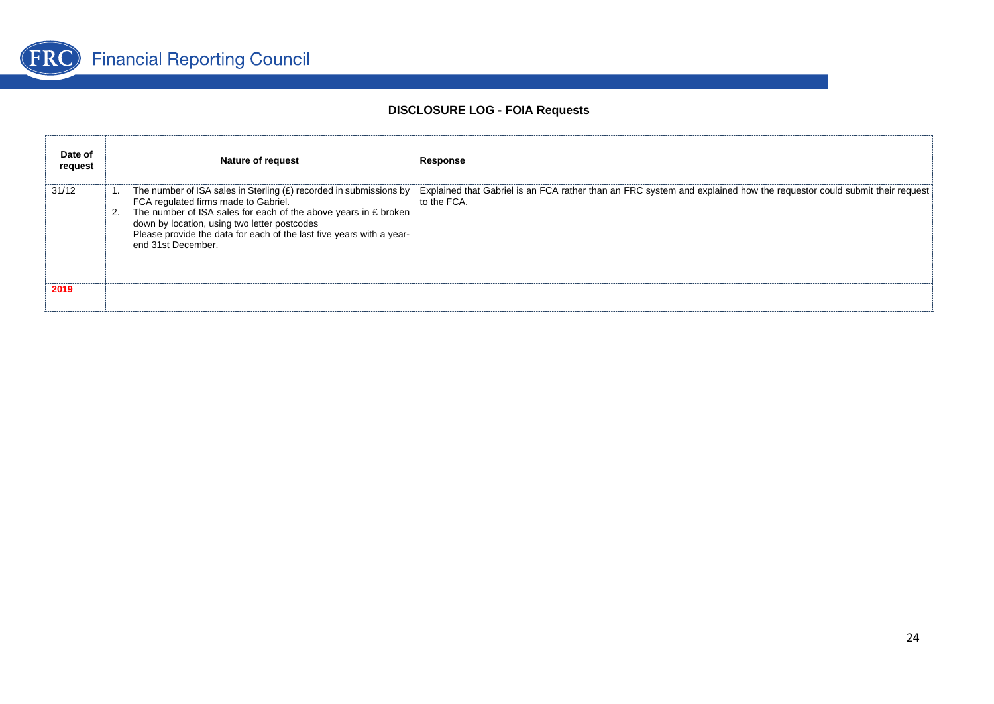

| Date of<br>request | <b>Nature of request</b>                                                                                                                                                                                                                              | Response                                                                                                                                                                                                      |
|--------------------|-------------------------------------------------------------------------------------------------------------------------------------------------------------------------------------------------------------------------------------------------------|---------------------------------------------------------------------------------------------------------------------------------------------------------------------------------------------------------------|
| 31/12              | FCA regulated firms made to Gabriel.<br>The number of ISA sales for each of the above years in £ broken<br>down by location, using two letter postcodes<br>Please provide the data for each of the last five years with a year-<br>end 31st December. | The number of ISA sales in Sterling $(E)$ recorded in submissions by $E$ Explained that Gabriel is an FCA rather than an FRC system and explained how the requestor could submit their request<br>to the FCA. |
| 2019               |                                                                                                                                                                                                                                                       |                                                                                                                                                                                                               |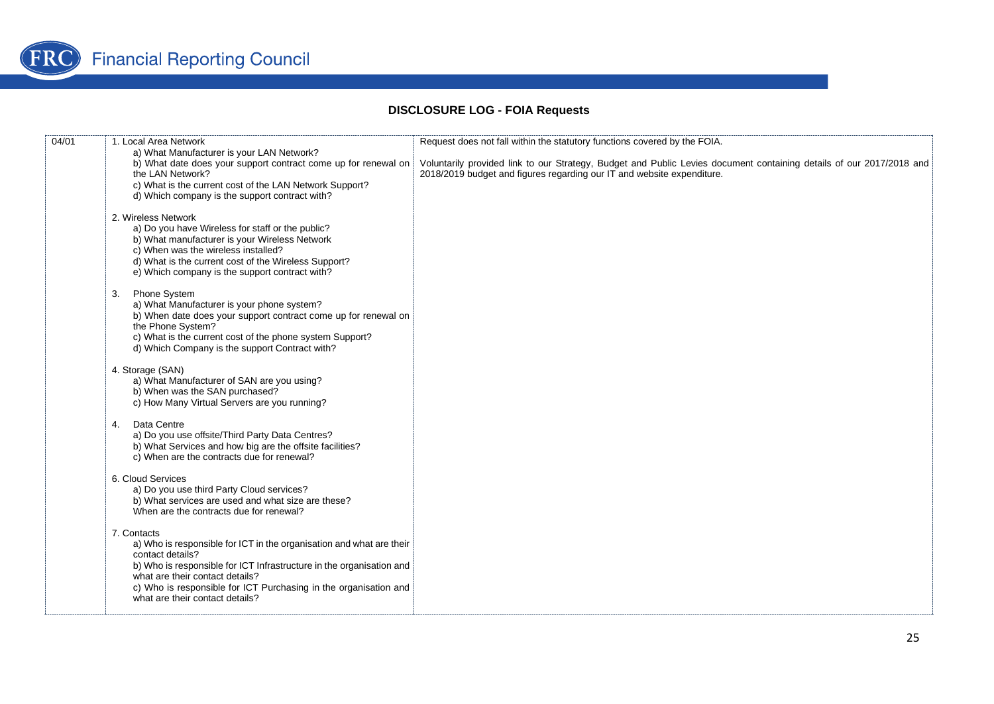

| 04/01 | 1. Local Area Network                                                                                                                                                                                                                                                                                                     | Request does not fall within the statutory functions covered by the FOIA.                                                                                                                      |
|-------|---------------------------------------------------------------------------------------------------------------------------------------------------------------------------------------------------------------------------------------------------------------------------------------------------------------------------|------------------------------------------------------------------------------------------------------------------------------------------------------------------------------------------------|
|       | a) What Manufacturer is your LAN Network?<br>b) What date does your support contract come up for renewal on<br>the LAN Network?<br>c) What is the current cost of the LAN Network Support?<br>d) Which company is the support contract with?                                                                              | Voluntarily provided link to our Strategy, Budget and Public Levies document containing details of our 2017/2018 and<br>2018/2019 budget and figures regarding our IT and website expenditure. |
|       | 2. Wireless Network<br>a) Do you have Wireless for staff or the public?<br>b) What manufacturer is your Wireless Network<br>c) When was the wireless installed?<br>d) What is the current cost of the Wireless Support?<br>e) Which company is the support contract with?                                                 |                                                                                                                                                                                                |
|       | <b>Phone System</b><br>3.<br>a) What Manufacturer is your phone system?<br>b) When date does your support contract come up for renewal on<br>the Phone System?<br>c) What is the current cost of the phone system Support?<br>d) Which Company is the support Contract with?                                              |                                                                                                                                                                                                |
|       | 4. Storage (SAN)<br>a) What Manufacturer of SAN are you using?<br>b) When was the SAN purchased?<br>c) How Many Virtual Servers are you running?                                                                                                                                                                          |                                                                                                                                                                                                |
|       | Data Centre<br>4.<br>a) Do you use offsite/Third Party Data Centres?<br>b) What Services and how big are the offsite facilities?<br>c) When are the contracts due for renewal?                                                                                                                                            |                                                                                                                                                                                                |
|       | 6. Cloud Services<br>a) Do you use third Party Cloud services?<br>b) What services are used and what size are these?<br>When are the contracts due for renewal?                                                                                                                                                           |                                                                                                                                                                                                |
|       | 7. Contacts<br>a) Who is responsible for ICT in the organisation and what are their<br>contact details?<br>b) Who is responsible for ICT Infrastructure in the organisation and<br>what are their contact details?<br>c) Who is responsible for ICT Purchasing in the organisation and<br>what are their contact details? |                                                                                                                                                                                                |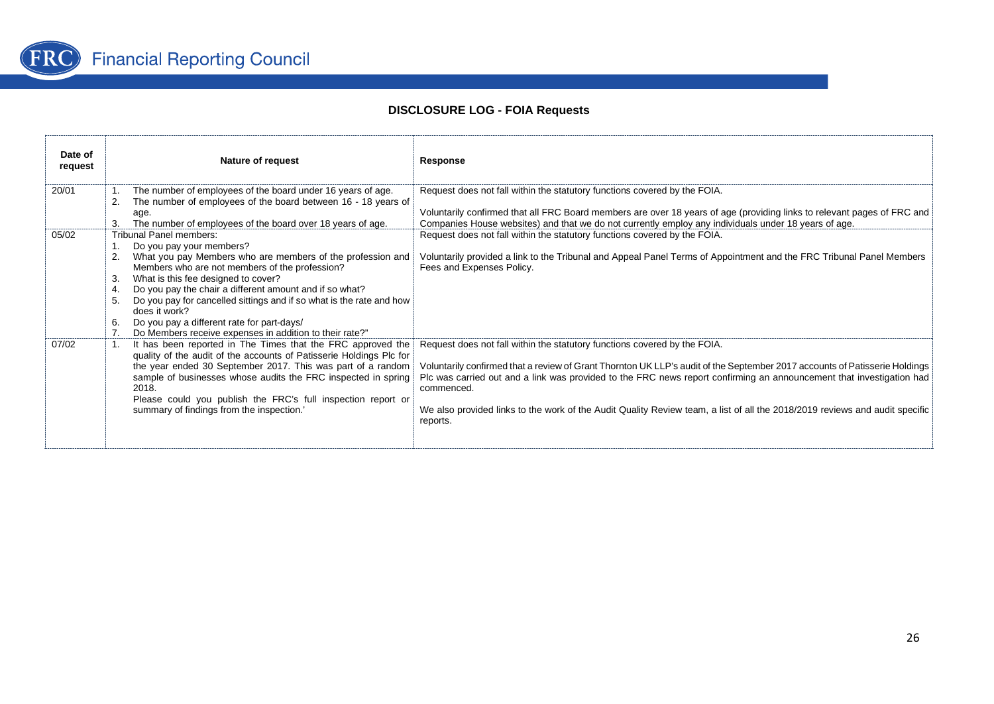

| Date of<br>request | Nature of request                                                                                                                                                                                                                                                                                                                                                                                                                                                                                        | Response                                                                                                                                                                                                                                                                                                                                                                                                                                                                                 |
|--------------------|----------------------------------------------------------------------------------------------------------------------------------------------------------------------------------------------------------------------------------------------------------------------------------------------------------------------------------------------------------------------------------------------------------------------------------------------------------------------------------------------------------|------------------------------------------------------------------------------------------------------------------------------------------------------------------------------------------------------------------------------------------------------------------------------------------------------------------------------------------------------------------------------------------------------------------------------------------------------------------------------------------|
| 20/01              | The number of employees of the board under 16 years of age.<br>The number of employees of the board between 16 - 18 years of<br>2.<br>age.<br>The number of employees of the board over 18 years of age.                                                                                                                                                                                                                                                                                                 | Request does not fall within the statutory functions covered by the FOIA.<br>Voluntarily confirmed that all FRC Board members are over 18 years of age (providing links to relevant pages of FRC and<br>Companies House websites) and that we do not currently employ any individuals under 18 years of age.                                                                                                                                                                             |
| 05/02              | Tribunal Panel members:<br>Do you pay your members?<br>What you pay Members who are members of the profession and<br>2.<br>Members who are not members of the profession?<br>What is this fee designed to cover?<br>3.<br>Do you pay the chair a different amount and if so what?<br>4.<br>Do you pay for cancelled sittings and if so what is the rate and how<br>5.<br>does it work?<br>6.<br>Do you pay a different rate for part-days/<br>7. Do Members receive expenses in addition to their rate?" | Request does not fall within the statutory functions covered by the FOIA.<br>Voluntarily provided a link to the Tribunal and Appeal Panel Terms of Appointment and the FRC Tribunal Panel Members<br>Fees and Expenses Policy.                                                                                                                                                                                                                                                           |
| 07/02              | It has been reported in The Times that the FRC approved the<br>1.<br>quality of the audit of the accounts of Patisserie Holdings Plc for<br>the year ended 30 September 2017. This was part of a random<br>sample of businesses whose audits the FRC inspected in spring<br>2018.<br>Please could you publish the FRC's full inspection report or<br>summary of findings from the inspection.'                                                                                                           | Request does not fall within the statutory functions covered by the FOIA.<br>Voluntarily confirmed that a review of Grant Thornton UK LLP's audit of the September 2017 accounts of Patisserie Holdings<br>Plc was carried out and a link was provided to the FRC news report confirming an announcement that investigation had<br>commenced.<br>We also provided links to the work of the Audit Quality Review team, a list of all the 2018/2019 reviews and audit specific<br>reports. |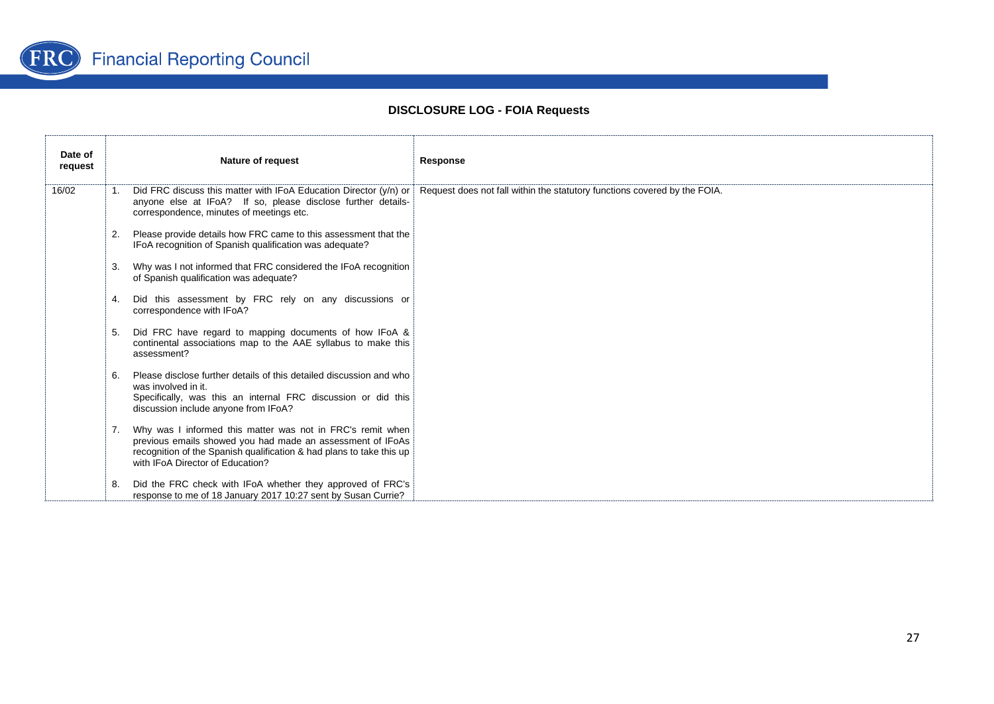

| Date of<br>request |    | <b>Nature of request</b>                                                                                                                                                                                                             | Response                                                                  |
|--------------------|----|--------------------------------------------------------------------------------------------------------------------------------------------------------------------------------------------------------------------------------------|---------------------------------------------------------------------------|
| 16/02              |    | 1. Did FRC discuss this matter with IFoA Education Director (y/n) or<br>anyone else at IFoA? If so, please disclose further details-<br>correspondence, minutes of meetings etc.                                                     | Request does not fall within the statutory functions covered by the FOIA. |
|                    | 2. | Please provide details how FRC came to this assessment that the<br>IFoA recognition of Spanish qualification was adequate?                                                                                                           |                                                                           |
|                    | 3. | Why was I not informed that FRC considered the IFoA recognition<br>of Spanish qualification was adequate?                                                                                                                            |                                                                           |
|                    |    | Did this assessment by FRC rely on any discussions or<br>correspondence with IFoA?                                                                                                                                                   |                                                                           |
|                    | 5. | Did FRC have regard to mapping documents of how IFoA &<br>continental associations map to the AAE syllabus to make this<br>assessment?                                                                                               |                                                                           |
|                    | 6. | Please disclose further details of this detailed discussion and who<br>was involved in it.<br>Specifically, was this an internal FRC discussion or did this<br>discussion include anyone from IFoA?                                  |                                                                           |
|                    | 7. | Why was I informed this matter was not in FRC's remit when<br>previous emails showed you had made an assessment of IFoAs<br>recognition of the Spanish qualification & had plans to take this up<br>with IFoA Director of Education? |                                                                           |
|                    | 8. | Did the FRC check with IFoA whether they approved of FRC's<br>response to me of 18 January 2017 10:27 sent by Susan Currie?                                                                                                          |                                                                           |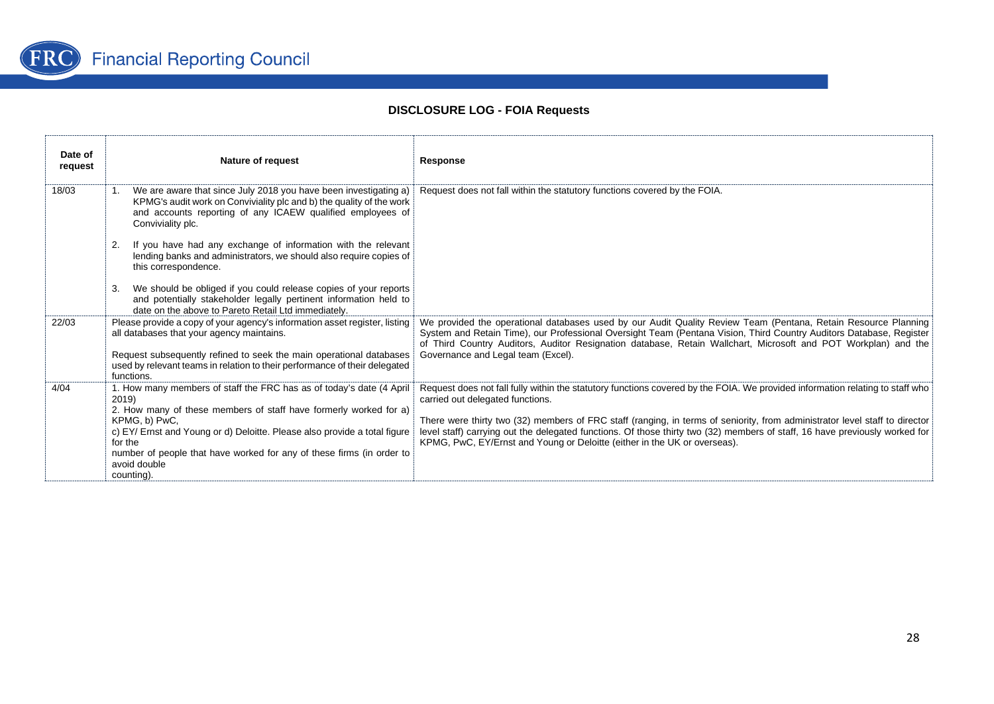

| Date of<br>request | <b>Nature of request</b>                                                                                                                                                                                                                                                                                                                                                         | Response                                                                                                                                                                                                                                                                                                                                                                                                                                                                                                     |
|--------------------|----------------------------------------------------------------------------------------------------------------------------------------------------------------------------------------------------------------------------------------------------------------------------------------------------------------------------------------------------------------------------------|--------------------------------------------------------------------------------------------------------------------------------------------------------------------------------------------------------------------------------------------------------------------------------------------------------------------------------------------------------------------------------------------------------------------------------------------------------------------------------------------------------------|
| 18/03              | We are aware that since July 2018 you have been investigating a)<br>1.<br>KPMG's audit work on Conviviality plc and b) the quality of the work<br>and accounts reporting of any ICAEW qualified employees of<br>Conviviality plc.                                                                                                                                                | Request does not fall within the statutory functions covered by the FOIA.                                                                                                                                                                                                                                                                                                                                                                                                                                    |
|                    | If you have had any exchange of information with the relevant<br>2.<br>lending banks and administrators, we should also require copies of<br>this correspondence.                                                                                                                                                                                                                |                                                                                                                                                                                                                                                                                                                                                                                                                                                                                                              |
|                    | We should be obliged if you could release copies of your reports<br>3.<br>and potentially stakeholder legally pertinent information held to<br>date on the above to Pareto Retail Ltd immediately.                                                                                                                                                                               |                                                                                                                                                                                                                                                                                                                                                                                                                                                                                                              |
| 22/03              | Please provide a copy of your agency's information asset register, listing<br>all databases that your agency maintains.<br>Request subsequently refined to seek the main operational databases<br>used by relevant teams in relation to their performance of their delegated                                                                                                     | We provided the operational databases used by our Audit Quality Review Team (Pentana, Retain Resource Planning<br>System and Retain Time), our Professional Oversight Team (Pentana Vision, Third Country Auditors Database, Register<br>of Third Country Auditors, Auditor Resignation database, Retain Wallchart, Microsoft and POT Workplan) and the<br>Governance and Legal team (Excel).                                                                                                                |
| 4/04               | functions.<br>1. How many members of staff the FRC has as of today's date (4 April<br>2019)<br>2. How many of these members of staff have formerly worked for a)<br>KPMG, b) PwC,<br>c) EY/ Ernst and Young or d) Deloitte. Please also provide a total figure<br>for the<br>number of people that have worked for any of these firms (in order to<br>avoid double<br>counting). | Request does not fall fully within the statutory functions covered by the FOIA. We provided information relating to staff who<br>carried out delegated functions.<br>There were thirty two (32) members of FRC staff (ranging, in terms of seniority, from administrator level staff to director<br>level staff) carrying out the delegated functions. Of those thirty two (32) members of staff, 16 have previously worked for<br>KPMG, PwC, EY/Ernst and Young or Deloitte (either in the UK or overseas). |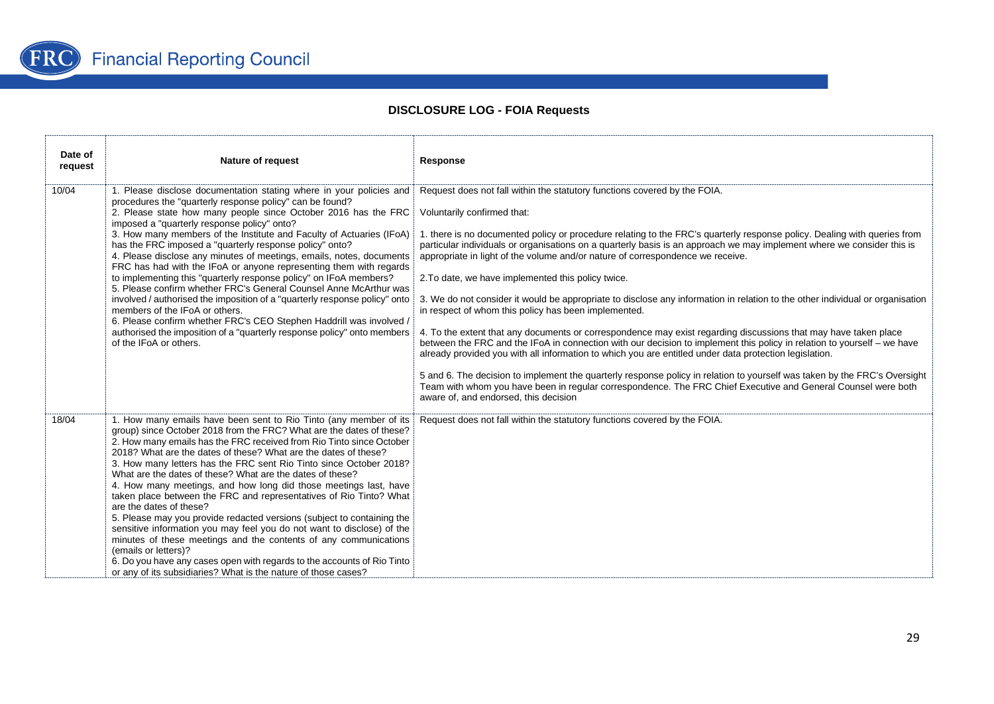

| Date of<br>request | <b>Nature of request</b>                                                                                                                                                                                                                                                                                                                                                                                                                                                                                                                                                                                                                                                                                                                                                                                                                                                                                                                                                                  | <b>Response</b>                                                                                                                                                                                                                                                                                                                                                                                                                                                                                                                                                                                                                                                                                                                                                                                                                                                                                                                                                                                                                                                                                                                                                                                                                                                                                                                                |
|--------------------|-------------------------------------------------------------------------------------------------------------------------------------------------------------------------------------------------------------------------------------------------------------------------------------------------------------------------------------------------------------------------------------------------------------------------------------------------------------------------------------------------------------------------------------------------------------------------------------------------------------------------------------------------------------------------------------------------------------------------------------------------------------------------------------------------------------------------------------------------------------------------------------------------------------------------------------------------------------------------------------------|------------------------------------------------------------------------------------------------------------------------------------------------------------------------------------------------------------------------------------------------------------------------------------------------------------------------------------------------------------------------------------------------------------------------------------------------------------------------------------------------------------------------------------------------------------------------------------------------------------------------------------------------------------------------------------------------------------------------------------------------------------------------------------------------------------------------------------------------------------------------------------------------------------------------------------------------------------------------------------------------------------------------------------------------------------------------------------------------------------------------------------------------------------------------------------------------------------------------------------------------------------------------------------------------------------------------------------------------|
| 10/04              | 1. Please disclose documentation stating where in your policies and<br>procedures the "quarterly response policy" can be found?<br>2. Please state how many people since October 2016 has the FRC<br>imposed a "quarterly response policy" onto?<br>3. How many members of the Institute and Faculty of Actuaries (IFoA)<br>has the FRC imposed a "quarterly response policy" onto?<br>4. Please disclose any minutes of meetings, emails, notes, documents<br>FRC has had with the IFoA or anyone representing them with regards<br>to implementing this "quarterly response policy" on IFoA members?<br>5. Please confirm whether FRC's General Counsel Anne McArthur was<br>involved / authorised the imposition of a "quarterly response policy" onto<br>members of the IFoA or others.<br>6. Please confirm whether FRC's CEO Stephen Haddrill was involved /<br>authorised the imposition of a "quarterly response policy" onto members<br>of the IFoA or others.                   | Request does not fall within the statutory functions covered by the FOIA.<br>Voluntarily confirmed that:<br>1. there is no documented policy or procedure relating to the FRC's quarterly response policy. Dealing with queries from<br>particular individuals or organisations on a quarterly basis is an approach we may implement where we consider this is<br>appropriate in light of the volume and/or nature of correspondence we receive.<br>2. To date, we have implemented this policy twice.<br>3. We do not consider it would be appropriate to disclose any information in relation to the other individual or organisation<br>in respect of whom this policy has been implemented.<br>4. To the extent that any documents or correspondence may exist regarding discussions that may have taken place<br>between the FRC and the IFoA in connection with our decision to implement this policy in relation to yourself – we have<br>already provided you with all information to which you are entitled under data protection legislation.<br>5 and 6. The decision to implement the quarterly response policy in relation to yourself was taken by the FRC's Oversight<br>Team with whom you have been in regular correspondence. The FRC Chief Executive and General Counsel were both<br>aware of, and endorsed, this decision |
| 18/04              | 1. How many emails have been sent to Rio Tinto (any member of its<br>group) since October 2018 from the FRC? What are the dates of these?<br>2. How many emails has the FRC received from Rio Tinto since October<br>2018? What are the dates of these? What are the dates of these?<br>3. How many letters has the FRC sent Rio Tinto since October 2018?<br>What are the dates of these? What are the dates of these?<br>4. How many meetings, and how long did those meetings last, have<br>taken place between the FRC and representatives of Rio Tinto? What<br>are the dates of these?<br>5. Please may you provide redacted versions (subject to containing the<br>sensitive information you may feel you do not want to disclose) of the<br>minutes of these meetings and the contents of any communications<br>(emails or letters)?<br>6. Do you have any cases open with regards to the accounts of Rio Tinto<br>or any of its subsidiaries? What is the nature of those cases? | Request does not fall within the statutory functions covered by the FOIA.                                                                                                                                                                                                                                                                                                                                                                                                                                                                                                                                                                                                                                                                                                                                                                                                                                                                                                                                                                                                                                                                                                                                                                                                                                                                      |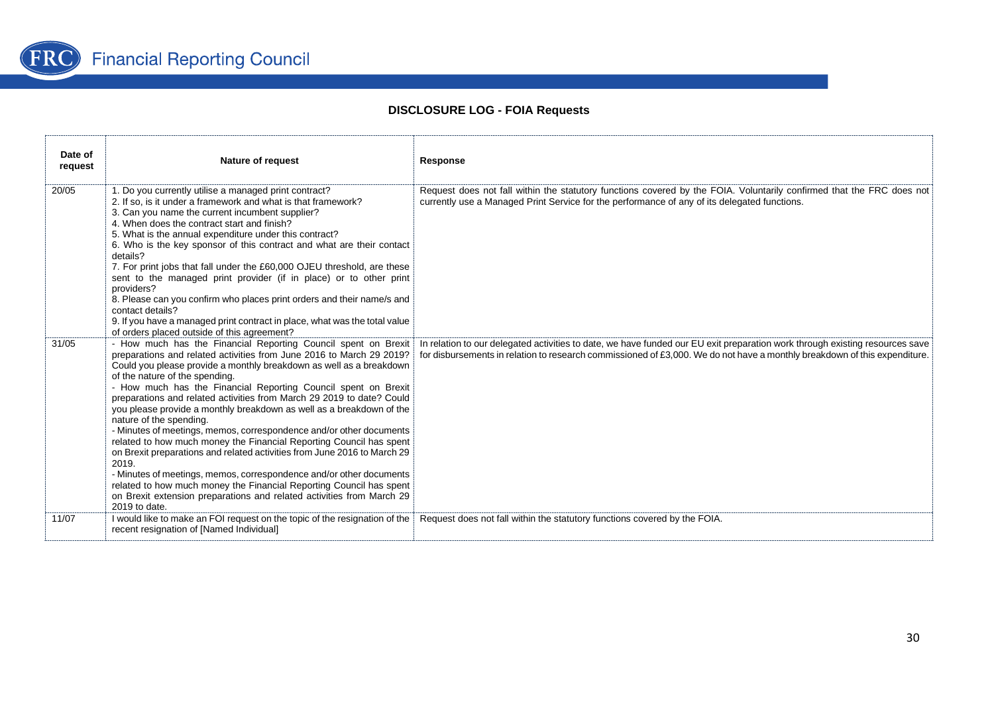

| Date of<br>request | <b>Nature of request</b>                                                                                                                                                                                                                                                                                                                                                                                                                                                                                                                                                                                                                                                                                                                                                                                                                                                                                                                                                 | Response                                                                                                                                                                                                                                                  |
|--------------------|--------------------------------------------------------------------------------------------------------------------------------------------------------------------------------------------------------------------------------------------------------------------------------------------------------------------------------------------------------------------------------------------------------------------------------------------------------------------------------------------------------------------------------------------------------------------------------------------------------------------------------------------------------------------------------------------------------------------------------------------------------------------------------------------------------------------------------------------------------------------------------------------------------------------------------------------------------------------------|-----------------------------------------------------------------------------------------------------------------------------------------------------------------------------------------------------------------------------------------------------------|
| 20/05              | 1. Do you currently utilise a managed print contract?<br>2. If so, is it under a framework and what is that framework?<br>3. Can you name the current incumbent supplier?<br>4. When does the contract start and finish?<br>5. What is the annual expenditure under this contract?<br>6. Who is the key sponsor of this contract and what are their contact<br>details?<br>7. For print jobs that fall under the £60,000 OJEU threshold, are these<br>sent to the managed print provider (if in place) or to other print<br>providers?<br>8. Please can you confirm who places print orders and their name/s and<br>contact details?<br>9. If you have a managed print contract in place, what was the total value<br>of orders placed outside of this agreement?                                                                                                                                                                                                        | Request does not fall within the statutory functions covered by the FOIA. Voluntarily confirmed that the FRC does not<br>currently use a Managed Print Service for the performance of any of its delegated functions.                                     |
| 31/05              | - How much has the Financial Reporting Council spent on Brexit<br>preparations and related activities from June 2016 to March 29 2019?<br>Could you please provide a monthly breakdown as well as a breakdown<br>of the nature of the spending.<br>- How much has the Financial Reporting Council spent on Brexit<br>preparations and related activities from March 29 2019 to date? Could<br>you please provide a monthly breakdown as well as a breakdown of the<br>nature of the spending.<br>- Minutes of meetings, memos, correspondence and/or other documents<br>related to how much money the Financial Reporting Council has spent<br>on Brexit preparations and related activities from June 2016 to March 29<br>2019.<br>- Minutes of meetings, memos, correspondence and/or other documents<br>related to how much money the Financial Reporting Council has spent<br>on Brexit extension preparations and related activities from March 29<br>2019 to date. | In relation to our delegated activities to date, we have funded our EU exit preparation work through existing resources save<br>for disbursements in relation to research commissioned of £3,000. We do not have a monthly breakdown of this expenditure. |
| 11/07              | I would like to make an FOI request on the topic of the resignation of the<br>recent resignation of [Named Individual]                                                                                                                                                                                                                                                                                                                                                                                                                                                                                                                                                                                                                                                                                                                                                                                                                                                   | Request does not fall within the statutory functions covered by the FOIA.                                                                                                                                                                                 |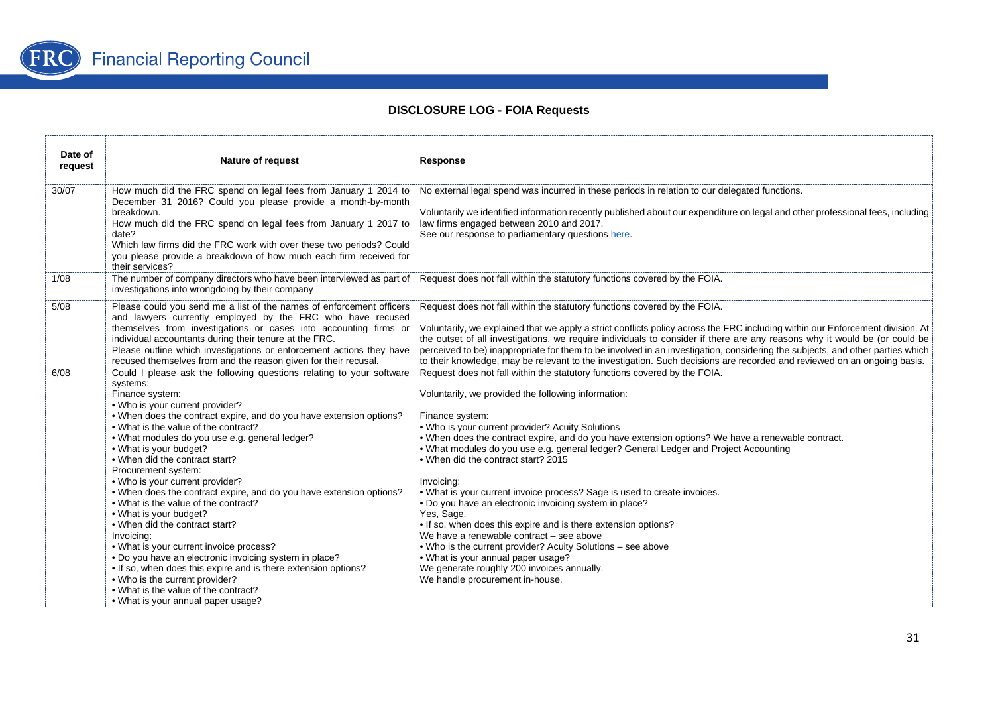

| Date of<br>request | <b>Nature of request</b>                                                                                                                                                                                                                                                                                                                                                                                                                                                                                                                                                                                                                                                                                                                                                                                                                                                                                      | Response                                                                                                                                                                                                                                                                                                                                                                                                                                                                                                                                                                                                                                                                                                                                                                                                                                                                                                          |
|--------------------|---------------------------------------------------------------------------------------------------------------------------------------------------------------------------------------------------------------------------------------------------------------------------------------------------------------------------------------------------------------------------------------------------------------------------------------------------------------------------------------------------------------------------------------------------------------------------------------------------------------------------------------------------------------------------------------------------------------------------------------------------------------------------------------------------------------------------------------------------------------------------------------------------------------|-------------------------------------------------------------------------------------------------------------------------------------------------------------------------------------------------------------------------------------------------------------------------------------------------------------------------------------------------------------------------------------------------------------------------------------------------------------------------------------------------------------------------------------------------------------------------------------------------------------------------------------------------------------------------------------------------------------------------------------------------------------------------------------------------------------------------------------------------------------------------------------------------------------------|
| 30/07              | How much did the FRC spend on legal fees from January 1 2014 to<br>December 31 2016? Could you please provide a month-by-month<br>breakdown.<br>How much did the FRC spend on legal fees from January 1 2017 to<br>date?<br>Which law firms did the FRC work with over these two periods? Could<br>you please provide a breakdown of how much each firm received for<br>their services?                                                                                                                                                                                                                                                                                                                                                                                                                                                                                                                       | No external legal spend was incurred in these periods in relation to our delegated functions.<br>Voluntarily we identified information recently published about our expenditure on legal and other professional fees, including<br>law firms engaged between 2010 and 2017.<br>See our response to parliamentary questions here.                                                                                                                                                                                                                                                                                                                                                                                                                                                                                                                                                                                  |
| 1/08               | The number of company directors who have been interviewed as part of<br>investigations into wrongdoing by their company                                                                                                                                                                                                                                                                                                                                                                                                                                                                                                                                                                                                                                                                                                                                                                                       | Request does not fall within the statutory functions covered by the FOIA.                                                                                                                                                                                                                                                                                                                                                                                                                                                                                                                                                                                                                                                                                                                                                                                                                                         |
| 5/08               | Please could you send me a list of the names of enforcement officers<br>and lawyers currently employed by the FRC who have recused<br>themselves from investigations or cases into accounting firms or<br>individual accountants during their tenure at the FRC.<br>Please outline which investigations or enforcement actions they have<br>recused themselves from and the reason given for their recusal.                                                                                                                                                                                                                                                                                                                                                                                                                                                                                                   | Request does not fall within the statutory functions covered by the FOIA.<br>Voluntarily, we explained that we apply a strict conflicts policy across the FRC including within our Enforcement division. At<br>the outset of all investigations, we require individuals to consider if there are any reasons why it would be (or could be<br>perceived to be) inappropriate for them to be involved in an investigation, considering the subjects, and other parties which<br>to their knowledge, may be relevant to the investigation. Such decisions are recorded and reviewed on an ongoing basis.                                                                                                                                                                                                                                                                                                             |
| 6/08               | Could I please ask the following questions relating to your software<br>systems:<br>Finance system:<br>. Who is your current provider?<br>• When does the contract expire, and do you have extension options?<br>• What is the value of the contract?<br>• What modules do you use e.g. general ledger?<br>• What is your budget?<br>• When did the contract start?<br>Procurement system:<br>. Who is your current provider?<br>• When does the contract expire, and do you have extension options?<br>. What is the value of the contract?<br>• What is your budget?<br>• When did the contract start?<br>Invoicing:<br>• What is your current invoice process?<br>. Do you have an electronic invoicing system in place?<br>• If so, when does this expire and is there extension options?<br>. Who is the current provider?<br>• What is the value of the contract?<br>• What is your annual paper usage? | Request does not fall within the statutory functions covered by the FOIA.<br>Voluntarily, we provided the following information:<br>Finance system:<br>. Who is your current provider? Acuity Solutions<br>. When does the contract expire, and do you have extension options? We have a renewable contract.<br>. What modules do you use e.g. general ledger? General Ledger and Project Accounting<br>. When did the contract start? 2015<br>Invoicing:<br>. What is your current invoice process? Sage is used to create invoices.<br>. Do you have an electronic invoicing system in place?<br>Yes, Sage.<br>. If so, when does this expire and is there extension options?<br>We have a renewable contract – see above<br>. Who is the current provider? Acuity Solutions - see above<br>• What is your annual paper usage?<br>We generate roughly 200 invoices annually.<br>We handle procurement in-house. |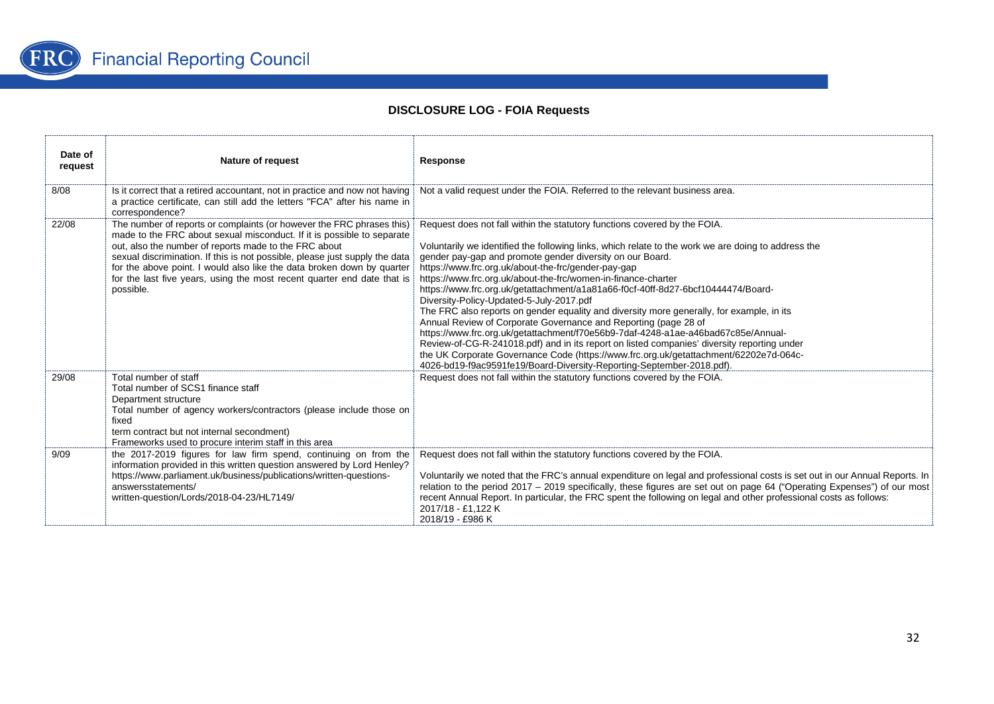

| Date of<br>request | Nature of request                                                                                                                                                                                                                                                                                                                                                                                                                                         | Response                                                                                                                                                                                                                                                                                                                                                                                                                                                                                                                                                                                                                                                                                                                                                                                                                                                                                                                                                                                                                    |
|--------------------|-----------------------------------------------------------------------------------------------------------------------------------------------------------------------------------------------------------------------------------------------------------------------------------------------------------------------------------------------------------------------------------------------------------------------------------------------------------|-----------------------------------------------------------------------------------------------------------------------------------------------------------------------------------------------------------------------------------------------------------------------------------------------------------------------------------------------------------------------------------------------------------------------------------------------------------------------------------------------------------------------------------------------------------------------------------------------------------------------------------------------------------------------------------------------------------------------------------------------------------------------------------------------------------------------------------------------------------------------------------------------------------------------------------------------------------------------------------------------------------------------------|
| 8/08               | Is it correct that a retired accountant, not in practice and now not having<br>a practice certificate, can still add the letters "FCA" after his name in<br>correspondence?                                                                                                                                                                                                                                                                               | Not a valid request under the FOIA. Referred to the relevant business area.                                                                                                                                                                                                                                                                                                                                                                                                                                                                                                                                                                                                                                                                                                                                                                                                                                                                                                                                                 |
| 22/08              | The number of reports or complaints (or however the FRC phrases this)<br>made to the FRC about sexual misconduct. If it is possible to separate<br>out, also the number of reports made to the FRC about<br>sexual discrimination. If this is not possible, please just supply the data<br>for the above point. I would also like the data broken down by quarter<br>for the last five years, using the most recent quarter end date that is<br>possible. | Request does not fall within the statutory functions covered by the FOIA.<br>Voluntarily we identified the following links, which relate to the work we are doing to address the<br>gender pay-gap and promote gender diversity on our Board.<br>https://www.frc.org.uk/about-the-frc/gender-pay-gap<br>https://www.frc.org.uk/about-the-frc/women-in-finance-charter<br>https://www.frc.org.uk/getattachment/a1a81a66-f0cf-40ff-8d27-6bcf10444474/Board-<br>Diversity-Policy-Updated-5-July-2017.pdf<br>The FRC also reports on gender equality and diversity more generally, for example, in its<br>Annual Review of Corporate Governance and Reporting (page 28 of<br>https://www.frc.org.uk/getattachment/f70e56b9-7daf-4248-a1ae-a46bad67c85e/Annual-<br>Review-of-CG-R-241018.pdf) and in its report on listed companies' diversity reporting under<br>the UK Corporate Governance Code (https://www.frc.org.uk/getattachment/62202e7d-064c-<br>4026-bd19-f9ac9591fe19/Board-Diversity-Reporting-September-2018.pdf). |
| 29/08              | Total number of staff<br>Total number of SCS1 finance staff<br>Department structure<br>Total number of agency workers/contractors (please include those on<br>fixed<br>term contract but not internal secondment)<br>Frameworks used to procure interim staff in this area                                                                                                                                                                                | Request does not fall within the statutory functions covered by the FOIA.                                                                                                                                                                                                                                                                                                                                                                                                                                                                                                                                                                                                                                                                                                                                                                                                                                                                                                                                                   |
| 9/09               | the 2017-2019 figures for law firm spend, continuing on from the<br>information provided in this written question answered by Lord Henley?<br>https://www.parliament.uk/business/publications/written-questions-<br>answersstatements/<br>written-question/Lords/2018-04-23/HL7149/                                                                                                                                                                       | Request does not fall within the statutory functions covered by the FOIA.<br>Voluntarily we noted that the FRC's annual expenditure on legal and professional costs is set out in our Annual Reports. In<br>relation to the period 2017 – 2019 specifically, these figures are set out on page 64 ("Operating Expenses") of our most<br>recent Annual Report. In particular, the FRC spent the following on legal and other professional costs as follows:<br>2017/18 - £1.122 K<br>2018/19 - £986 K                                                                                                                                                                                                                                                                                                                                                                                                                                                                                                                        |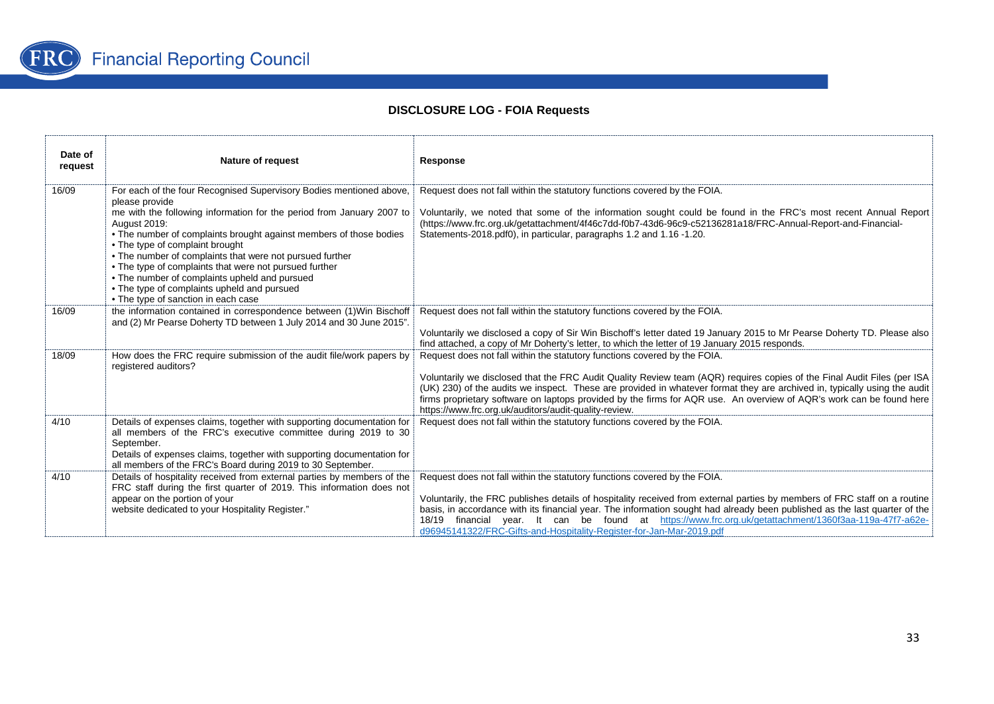

| Date of<br>request | <b>Nature of request</b>                                                                                                                                                                                                                                                                                                                                                                                                                                                                                                                                    | Response                                                                                                                                                                                                                                                                                                                                                                                                                                                                                                                  |
|--------------------|-------------------------------------------------------------------------------------------------------------------------------------------------------------------------------------------------------------------------------------------------------------------------------------------------------------------------------------------------------------------------------------------------------------------------------------------------------------------------------------------------------------------------------------------------------------|---------------------------------------------------------------------------------------------------------------------------------------------------------------------------------------------------------------------------------------------------------------------------------------------------------------------------------------------------------------------------------------------------------------------------------------------------------------------------------------------------------------------------|
| 16/09              | For each of the four Recognised Supervisory Bodies mentioned above,<br>please provide<br>me with the following information for the period from January 2007 to<br><b>August 2019:</b><br>• The number of complaints brought against members of those bodies<br>• The type of complaint brought<br>• The number of complaints that were not pursued further<br>• The type of complaints that were not pursued further<br>• The number of complaints upheld and pursued<br>• The type of complaints upheld and pursued<br>• The type of sanction in each case | Request does not fall within the statutory functions covered by the FOIA.<br>Voluntarily, we noted that some of the information sought could be found in the FRC's most recent Annual Report<br>(https://www.frc.org.uk/getattachment/4f46c7dd-f0b7-43d6-96c9-c52136281a18/FRC-Annual-Report-and-Financial-<br>Statements-2018.pdf0), in particular, paragraphs 1.2 and 1.16 -1.20.                                                                                                                                       |
| 16/09              | the information contained in correspondence between (1) Win Bischoff<br>and (2) Mr Pearse Doherty TD between 1 July 2014 and 30 June 2015".                                                                                                                                                                                                                                                                                                                                                                                                                 | Request does not fall within the statutory functions covered by the FOIA.<br>Voluntarily we disclosed a copy of Sir Win Bischoff's letter dated 19 January 2015 to Mr Pearse Doherty TD. Please also<br>find attached, a copy of Mr Doherty's letter, to which the letter of 19 January 2015 responds.                                                                                                                                                                                                                    |
| 18/09              | How does the FRC require submission of the audit file/work papers by<br>registered auditors?                                                                                                                                                                                                                                                                                                                                                                                                                                                                | Request does not fall within the statutory functions covered by the FOIA.<br>Voluntarily we disclosed that the FRC Audit Quality Review team (AQR) requires copies of the Final Audit Files (per ISA<br>(UK) 230) of the audits we inspect. These are provided in whatever format they are archived in, typically using the audit<br>firms proprietary software on laptops provided by the firms for AQR use. An overview of AQR's work can be found here<br>https://www.frc.org.uk/auditors/audit-quality-review.        |
| 4/10               | Details of expenses claims, together with supporting documentation for<br>all members of the FRC's executive committee during 2019 to 30<br>September.<br>Details of expenses claims, together with supporting documentation for<br>all members of the FRC's Board during 2019 to 30 September.                                                                                                                                                                                                                                                             | Request does not fall within the statutory functions covered by the FOIA.                                                                                                                                                                                                                                                                                                                                                                                                                                                 |
| 4/10               | Details of hospitality received from external parties by members of the<br>FRC staff during the first quarter of 2019. This information does not<br>appear on the portion of your<br>website dedicated to your Hospitality Register."                                                                                                                                                                                                                                                                                                                       | Request does not fall within the statutory functions covered by the FOIA.<br>Voluntarily, the FRC publishes details of hospitality received from external parties by members of FRC staff on a routine<br>basis, in accordance with its financial year. The information sought had already been published as the last quarter of the<br>financial year. It can be found at https://www.frc.org.uk/getattachment/1360f3aa-119a-47f7-a62e-<br>18/19<br>d96945141322/FRC-Gifts-and-Hospitality-Register-for-Jan-Mar-2019.pdf |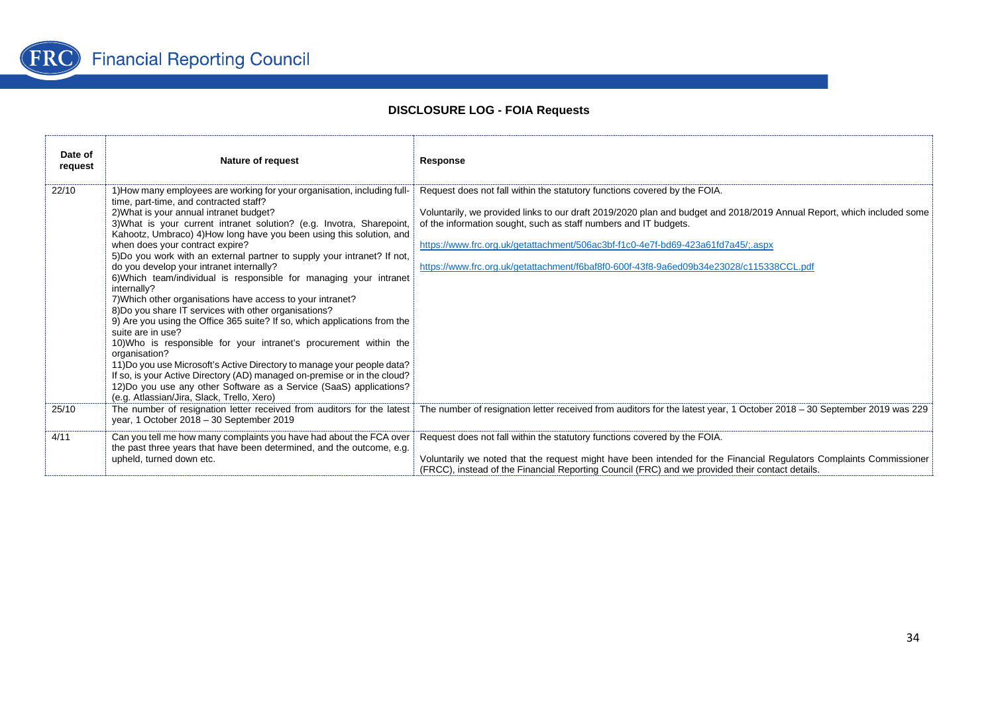

| Date of<br>request | <b>Nature of request</b>                                                                                                                                                                                                                                                                                                                                                                                                                                                                                                                                                                                                                                                                                                                                                                                                                                                                                                                                                                                                                                                                                                                                 | Response                                                                                                                                                                                                                                                                                                                                                                                                                                               |
|--------------------|----------------------------------------------------------------------------------------------------------------------------------------------------------------------------------------------------------------------------------------------------------------------------------------------------------------------------------------------------------------------------------------------------------------------------------------------------------------------------------------------------------------------------------------------------------------------------------------------------------------------------------------------------------------------------------------------------------------------------------------------------------------------------------------------------------------------------------------------------------------------------------------------------------------------------------------------------------------------------------------------------------------------------------------------------------------------------------------------------------------------------------------------------------|--------------------------------------------------------------------------------------------------------------------------------------------------------------------------------------------------------------------------------------------------------------------------------------------------------------------------------------------------------------------------------------------------------------------------------------------------------|
| 22/10              | 1) How many employees are working for your organisation, including full-<br>time, part-time, and contracted staff?<br>2) What is your annual intranet budget?<br>3) What is your current intranet solution? (e.g. Invotra, Sharepoint,<br>Kahootz, Umbraco) 4) How long have you been using this solution, and<br>when does your contract expire?<br>5)Do you work with an external partner to supply your intranet? If not,<br>do you develop your intranet internally?<br>6) Which team/individual is responsible for managing your intranet<br>internally?<br>7) Which other organisations have access to your intranet?<br>8) Do you share IT services with other organisations?<br>9) Are you using the Office 365 suite? If so, which applications from the<br>suite are in use?<br>10) Who is responsible for your intranet's procurement within the<br>organisation?<br>11) Do you use Microsoft's Active Directory to manage your people data?<br>If so, is your Active Directory (AD) managed on-premise or in the cloud?<br>12) Do you use any other Software as a Service (SaaS) applications?<br>(e.g. Atlassian/Jira, Slack, Trello, Xero) | Request does not fall within the statutory functions covered by the FOIA.<br>Voluntarily, we provided links to our draft 2019/2020 plan and budget and 2018/2019 Annual Report, which included some<br>of the information sought, such as staff numbers and IT budgets.<br>https://www.frc.org.uk/getattachment/506ac3bf-f1c0-4e7f-bd69-423a61fd7a45/:.aspx<br>https://www.frc.org.uk/getattachment/f6baf8f0-600f-43f8-9a6ed09b34e23028/c115338CCL.pdf |
| 25/10              | The number of resignation letter received from auditors for the latest<br>year, 1 October 2018 - 30 September 2019                                                                                                                                                                                                                                                                                                                                                                                                                                                                                                                                                                                                                                                                                                                                                                                                                                                                                                                                                                                                                                       | The number of resignation letter received from auditors for the latest year, 1 October 2018 - 30 September 2019 was 229                                                                                                                                                                                                                                                                                                                                |
| 4/11               | Can you tell me how many complaints you have had about the FCA over<br>the past three years that have been determined, and the outcome, e.g.<br>upheld, turned down etc.                                                                                                                                                                                                                                                                                                                                                                                                                                                                                                                                                                                                                                                                                                                                                                                                                                                                                                                                                                                 | Request does not fall within the statutory functions covered by the FOIA.<br>Voluntarily we noted that the request might have been intended for the Financial Regulators Complaints Commissioner<br>(FRCC), instead of the Financial Reporting Council (FRC) and we provided their contact details.                                                                                                                                                    |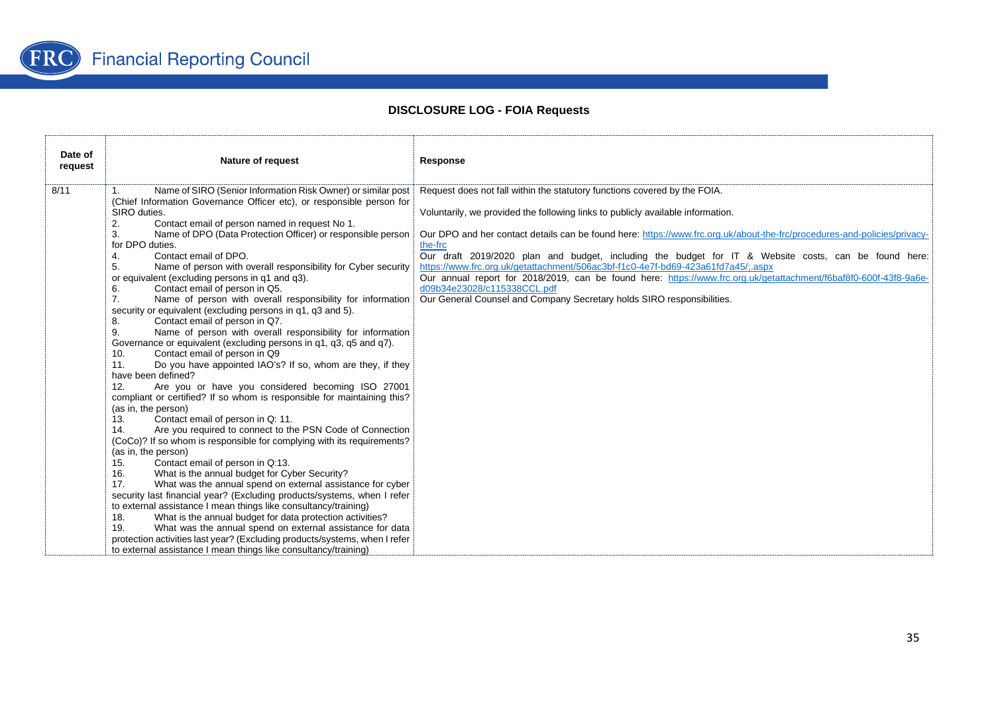

| Date of<br>request | <b>Nature of request</b>                                                                                                                                                                                                                                                                                                                                                                                                                                                                                                                                                                                                                                                                                                                                                                                                                                                                                                                                                                                                                                                                                                                                                                                                                                                                                                                                                                                                                                                                                                                                                                                                                                                                                                                                                                                                                                                                                                                                     | Response                                                                                                                                                                                                                                                                                                                                                                                                                                                                                                                                                                                                                                                                                                                      |
|--------------------|--------------------------------------------------------------------------------------------------------------------------------------------------------------------------------------------------------------------------------------------------------------------------------------------------------------------------------------------------------------------------------------------------------------------------------------------------------------------------------------------------------------------------------------------------------------------------------------------------------------------------------------------------------------------------------------------------------------------------------------------------------------------------------------------------------------------------------------------------------------------------------------------------------------------------------------------------------------------------------------------------------------------------------------------------------------------------------------------------------------------------------------------------------------------------------------------------------------------------------------------------------------------------------------------------------------------------------------------------------------------------------------------------------------------------------------------------------------------------------------------------------------------------------------------------------------------------------------------------------------------------------------------------------------------------------------------------------------------------------------------------------------------------------------------------------------------------------------------------------------------------------------------------------------------------------------------------------------|-------------------------------------------------------------------------------------------------------------------------------------------------------------------------------------------------------------------------------------------------------------------------------------------------------------------------------------------------------------------------------------------------------------------------------------------------------------------------------------------------------------------------------------------------------------------------------------------------------------------------------------------------------------------------------------------------------------------------------|
| 8/11               | Name of SIRO (Senior Information Risk Owner) or similar post<br>(Chief Information Governance Officer etc), or responsible person for<br>SIRO duties.<br>Contact email of person named in request No 1.<br>2.<br>Name of DPO (Data Protection Officer) or responsible person<br>3.<br>for DPO duties.<br>Contact email of DPO.<br>4.<br>Name of person with overall responsibility for Cyber security<br>5.<br>or equivalent (excluding persons in q1 and q3).<br>Contact email of person in Q5.<br>6.<br>7.<br>Name of person with overall responsibility for information<br>security or equivalent (excluding persons in q1, q3 and 5).<br>Contact email of person in Q7.<br>8.<br>Name of person with overall responsibility for information<br>9.<br>Governance or equivalent (excluding persons in q1, q3, q5 and q7).<br>Contact email of person in Q9<br>10.<br>Do you have appointed IAO's? If so, whom are they, if they<br>11.<br>have been defined?<br>Are you or have you considered becoming ISO 27001<br>12.<br>compliant or certified? If so whom is responsible for maintaining this?<br>(as in, the person)<br>Contact email of person in Q: 11.<br>13.<br>Are you required to connect to the PSN Code of Connection<br>14.<br>(CoCo)? If so whom is responsible for complying with its requirements?<br>(as in, the person)<br>Contact email of person in Q:13.<br>15.<br>What is the annual budget for Cyber Security?<br>16.<br>17.<br>What was the annual spend on external assistance for cyber<br>security last financial year? (Excluding products/systems, when I refer<br>to external assistance I mean things like consultancy/training)<br>What is the annual budget for data protection activities?<br>18.<br>19.<br>What was the annual spend on external assistance for data<br>protection activities last year? (Excluding products/systems, when I refer<br>to external assistance I mean things like consultancy/training) | Request does not fall within the statutory functions covered by the FOIA.<br>Voluntarily, we provided the following links to publicly available information.<br>Our DPO and her contact details can be found here: https://www.frc.org.uk/about-the-frc/procedures-and-policies/privacy-<br>the-frc<br>Our draft 2019/2020 plan and budget, including the budget for IT & Website costs, can be found here:<br>https://www.frc.org.uk/getattachment/506ac3bf-f1c0-4e7f-bd69-423a61fd7a45/:.aspx<br>Our annual report for 2018/2019, can be found here: https://www.frc.org.uk/getattachment/f6baf8f0-600f-43f8-9a6e-<br>d09b34e23028/c115338CCL.pdf<br>Our General Counsel and Company Secretary holds SIRO responsibilities. |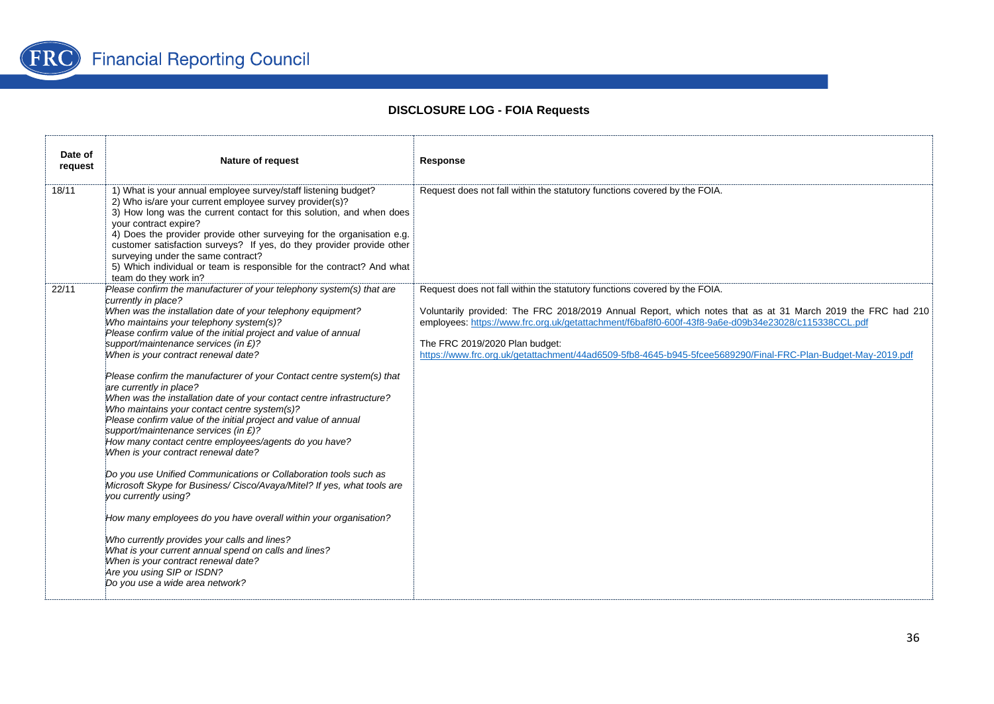

| Date of<br>request | <b>Nature of request</b>                                                                                                                                                                                                                                                                                                                                                                                                                                                                                                                                                                                                                                                                                                                                                                                                                                                                                                                                                                                                                                                                                                                                                                                                                                    | Response                                                                                                                                                                                                                                                                                                                                                                                                                                          |
|--------------------|-------------------------------------------------------------------------------------------------------------------------------------------------------------------------------------------------------------------------------------------------------------------------------------------------------------------------------------------------------------------------------------------------------------------------------------------------------------------------------------------------------------------------------------------------------------------------------------------------------------------------------------------------------------------------------------------------------------------------------------------------------------------------------------------------------------------------------------------------------------------------------------------------------------------------------------------------------------------------------------------------------------------------------------------------------------------------------------------------------------------------------------------------------------------------------------------------------------------------------------------------------------|---------------------------------------------------------------------------------------------------------------------------------------------------------------------------------------------------------------------------------------------------------------------------------------------------------------------------------------------------------------------------------------------------------------------------------------------------|
| 18/11              | 1) What is your annual employee survey/staff listening budget?<br>2) Who is/are your current employee survey provider(s)?<br>3) How long was the current contact for this solution, and when does<br>your contract expire?<br>4) Does the provider provide other surveying for the organisation e.g.<br>customer satisfaction surveys? If yes, do they provider provide other<br>surveying under the same contract?<br>5) Which individual or team is responsible for the contract? And what<br>team do they work in?                                                                                                                                                                                                                                                                                                                                                                                                                                                                                                                                                                                                                                                                                                                                       | Request does not fall within the statutory functions covered by the FOIA.                                                                                                                                                                                                                                                                                                                                                                         |
| 22/11              | Please confirm the manufacturer of your telephony system(s) that are<br>currently in place?<br>When was the installation date of your telephony equipment?<br>Who maintains your telephony system(s)?<br>Please confirm value of the initial project and value of annual<br>support/maintenance services (in £)?<br>When is your contract renewal date?<br>Please confirm the manufacturer of your Contact centre system(s) that<br>are currently in place?<br>When was the installation date of your contact centre infrastructure?<br>Who maintains your contact centre system(s)?<br>Please confirm value of the initial project and value of annual<br>support/maintenance services (in £)?<br>How many contact centre employees/agents do you have?<br>When is your contract renewal date?<br>Do you use Unified Communications or Collaboration tools such as<br>Microsoft Skype for Business/ Cisco/Avaya/Mitel? If yes, what tools are<br>you currently using?<br>How many employees do you have overall within your organisation?<br>Who currently provides your calls and lines?<br>What is your current annual spend on calls and lines?<br>When is your contract renewal date?<br>Are you using SIP or ISDN?<br>Do you use a wide area network? | Request does not fall within the statutory functions covered by the FOIA.<br>Voluntarily provided: The FRC 2018/2019 Annual Report, which notes that as at 31 March 2019 the FRC had 210<br>employees: https://www.frc.org.uk/getattachment/f6baf8f0-600f-43f8-9a6e-d09b34e23028/c115338CCL.pdf<br>The FRC 2019/2020 Plan budget:<br>https://www.frc.org.uk/getattachment/44ad6509-5fb8-4645-b945-5fcee5689290/Final-FRC-Plan-Budget-May-2019.pdf |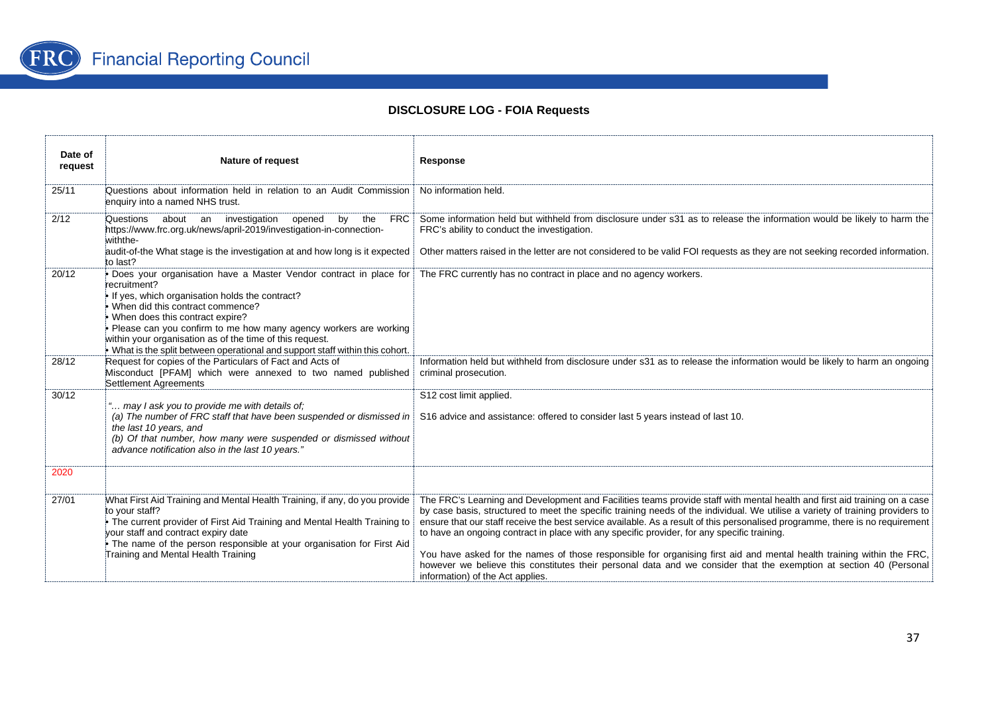

| Date of<br>request | <b>Nature of request</b>                                                                                                                                                                                                                                                                                                                                                                                                        | Response                                                                                                                                                                                                                                                                                                                                                                                                                                                                                                                                                                                                                                                                                                                                                                       |
|--------------------|---------------------------------------------------------------------------------------------------------------------------------------------------------------------------------------------------------------------------------------------------------------------------------------------------------------------------------------------------------------------------------------------------------------------------------|--------------------------------------------------------------------------------------------------------------------------------------------------------------------------------------------------------------------------------------------------------------------------------------------------------------------------------------------------------------------------------------------------------------------------------------------------------------------------------------------------------------------------------------------------------------------------------------------------------------------------------------------------------------------------------------------------------------------------------------------------------------------------------|
| 25/11              | Questions about information held in relation to an Audit Commission<br>enquiry into a named NHS trust.                                                                                                                                                                                                                                                                                                                          | No information held.                                                                                                                                                                                                                                                                                                                                                                                                                                                                                                                                                                                                                                                                                                                                                           |
| 2/12               | Questions about an investigation<br>opened<br>the<br>FRC<br>by<br>https://www.frc.org.uk/news/april-2019/investigation-in-connection-<br>withthe-<br>audit-of-the What stage is the investigation at and how long is it expected<br>to last?                                                                                                                                                                                    | Some information held but withheld from disclosure under s31 as to release the information would be likely to harm the<br>FRC's ability to conduct the investigation.<br>Other matters raised in the letter are not considered to be valid FOI requests as they are not seeking recorded information.                                                                                                                                                                                                                                                                                                                                                                                                                                                                          |
| 20/12              | . Does your organisation have a Master Vendor contract in place for<br>recruitment?<br>If yes, which organisation holds the contract?<br>. When did this contract commence?<br>When does this contract expire?<br>Please can you confirm to me how many agency workers are working<br>within your organisation as of the time of this request.<br>. What is the split between operational and support staff within this cohort. | The FRC currently has no contract in place and no agency workers.                                                                                                                                                                                                                                                                                                                                                                                                                                                                                                                                                                                                                                                                                                              |
| 28/12              | Request for copies of the Particulars of Fact and Acts of<br>Misconduct [PFAM] which were annexed to two named published<br>Settlement Agreements                                                                                                                                                                                                                                                                               | Information held but withheld from disclosure under s31 as to release the information would be likely to harm an ongoing<br>criminal prosecution.                                                                                                                                                                                                                                                                                                                                                                                                                                                                                                                                                                                                                              |
| 30/12              | " may I ask you to provide me with details of;<br>the last 10 years, and<br>(b) Of that number, how many were suspended or dismissed without<br>advance notification also in the last 10 years."                                                                                                                                                                                                                                | S12 cost limit applied.<br>(a) The number of FRC staff that have been suspended or dismissed in S16 advice and assistance: offered to consider last 5 years instead of last 10.                                                                                                                                                                                                                                                                                                                                                                                                                                                                                                                                                                                                |
| 2020               |                                                                                                                                                                                                                                                                                                                                                                                                                                 |                                                                                                                                                                                                                                                                                                                                                                                                                                                                                                                                                                                                                                                                                                                                                                                |
| 27/01              | What First Aid Training and Mental Health Training, if any, do you provide<br>to your staff?<br>• The current provider of First Aid Training and Mental Health Training to<br>your staff and contract expiry date<br>• The name of the person responsible at your organisation for First Aid<br>Training and Mental Health Training                                                                                             | The FRC's Learning and Development and Facilities teams provide staff with mental health and first aid training on a case<br>by case basis, structured to meet the specific training needs of the individual. We utilise a variety of training providers to<br>ensure that our staff receive the best service available. As a result of this personalised programme, there is no requirement<br>to have an ongoing contract in place with any specific provider, for any specific training.<br>You have asked for the names of those responsible for organising first aid and mental health training within the FRC,<br>however we believe this constitutes their personal data and we consider that the exemption at section 40 (Personal<br>information) of the Act applies. |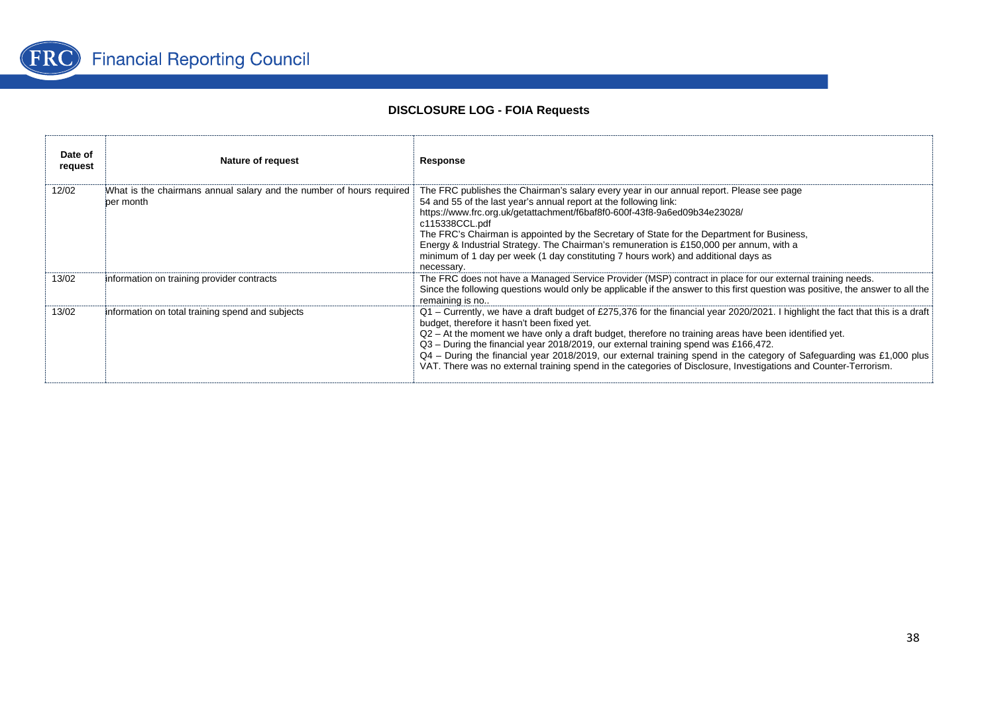

| Date of<br>request | Nature of request                                                                 | Response                                                                                                                                                                                                                                                                                                                                                                                                                                                                                                                                                                                                                     |
|--------------------|-----------------------------------------------------------------------------------|------------------------------------------------------------------------------------------------------------------------------------------------------------------------------------------------------------------------------------------------------------------------------------------------------------------------------------------------------------------------------------------------------------------------------------------------------------------------------------------------------------------------------------------------------------------------------------------------------------------------------|
| 12/02              | What is the chairmans annual salary and the number of hours required<br>per month | The FRC publishes the Chairman's salary every year in our annual report. Please see page<br>54 and 55 of the last year's annual report at the following link:<br>https://www.frc.org.uk/getattachment/f6baf8f0-600f-43f8-9a6ed09b34e23028/<br>c115338CCL.pdf<br>The FRC's Chairman is appointed by the Secretary of State for the Department for Business,<br>Energy & Industrial Strategy. The Chairman's remuneration is £150,000 per annum, with a<br>minimum of 1 day per week (1 day constituting 7 hours work) and additional days as<br>necessary.                                                                    |
| 13/02              | information on training provider contracts                                        | The FRC does not have a Managed Service Provider (MSP) contract in place for our external training needs.<br>Since the following questions would only be applicable if the answer to this first question was positive, the answer to all the<br>remaining is no                                                                                                                                                                                                                                                                                                                                                              |
| 13/02              | information on total training spend and subjects                                  | Q1 – Currently, we have a draft budget of £275,376 for the financial year 2020/2021. I highlight the fact that this is a draft<br>budget, therefore it hasn't been fixed yet.<br>Q2 - At the moment we have only a draft budget, therefore no training areas have been identified yet.<br>$Q3$ – During the financial year 2018/2019, our external training spend was £166,472.<br>Q4 - During the financial year 2018/2019, our external training spend in the category of Safeguarding was £1,000 plus<br>VAT. There was no external training spend in the categories of Disclosure, Investigations and Counter-Terrorism. |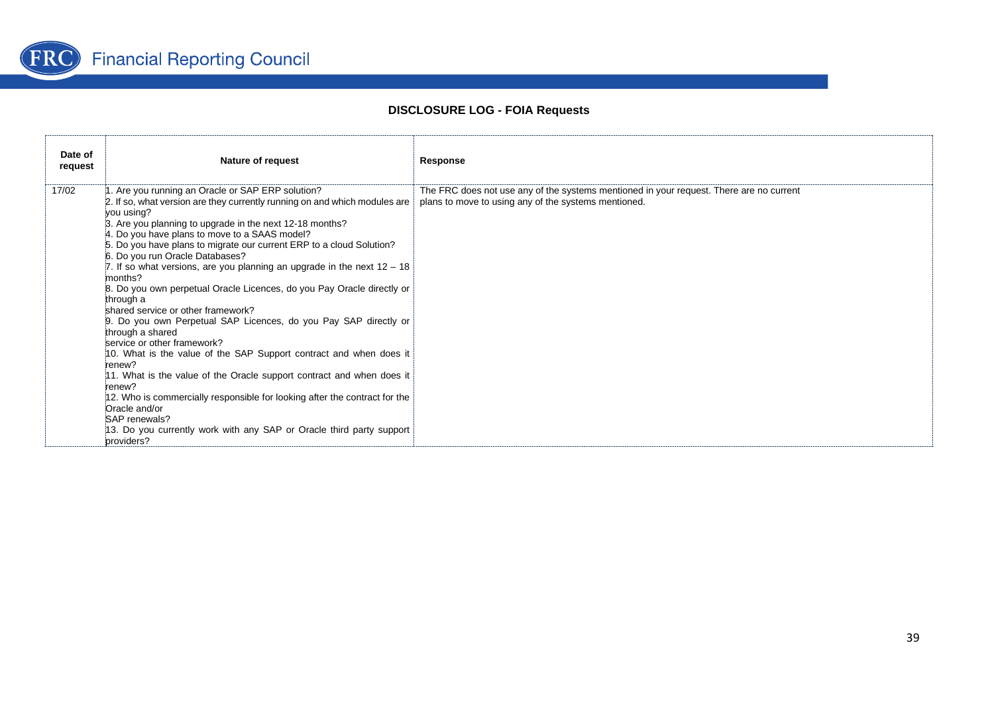

| Date of<br>request | <b>Nature of request</b>                                                                                                                                                                                                                                                                                                                                                                                                                                                                                                                                                                                                                                                                                                                                                                                                                                                                                                                                                                                                                                                                   | Response                                                                                                                                        |
|--------------------|--------------------------------------------------------------------------------------------------------------------------------------------------------------------------------------------------------------------------------------------------------------------------------------------------------------------------------------------------------------------------------------------------------------------------------------------------------------------------------------------------------------------------------------------------------------------------------------------------------------------------------------------------------------------------------------------------------------------------------------------------------------------------------------------------------------------------------------------------------------------------------------------------------------------------------------------------------------------------------------------------------------------------------------------------------------------------------------------|-------------------------------------------------------------------------------------------------------------------------------------------------|
| 17/02              | 1. Are you running an Oracle or SAP ERP solution?<br>2. If so, what version are they currently running on and which modules are<br>you using?<br>3. Are you planning to upgrade in the next 12-18 months?<br>4. Do you have plans to move to a SAAS model?<br>5. Do you have plans to migrate our current ERP to a cloud Solution?<br>6. Do you run Oracle Databases?<br>7. If so what versions, are you planning an upgrade in the next $12 - 18$<br>months?<br>8. Do you own perpetual Oracle Licences, do you Pay Oracle directly or<br>through a<br>shared service or other framework?<br>9. Do you own Perpetual SAP Licences, do you Pay SAP directly or<br>through a shared<br>service or other framework?<br>10. What is the value of the SAP Support contract and when does it<br>renew?<br>11. What is the value of the Oracle support contract and when does it<br>renew?<br>12. Who is commercially responsible for looking after the contract for the<br>Oracle and/or<br>SAP renewals?<br>13. Do you currently work with any SAP or Oracle third party support<br>providers? | The FRC does not use any of the systems mentioned in your request. There are no current<br>plans to move to using any of the systems mentioned. |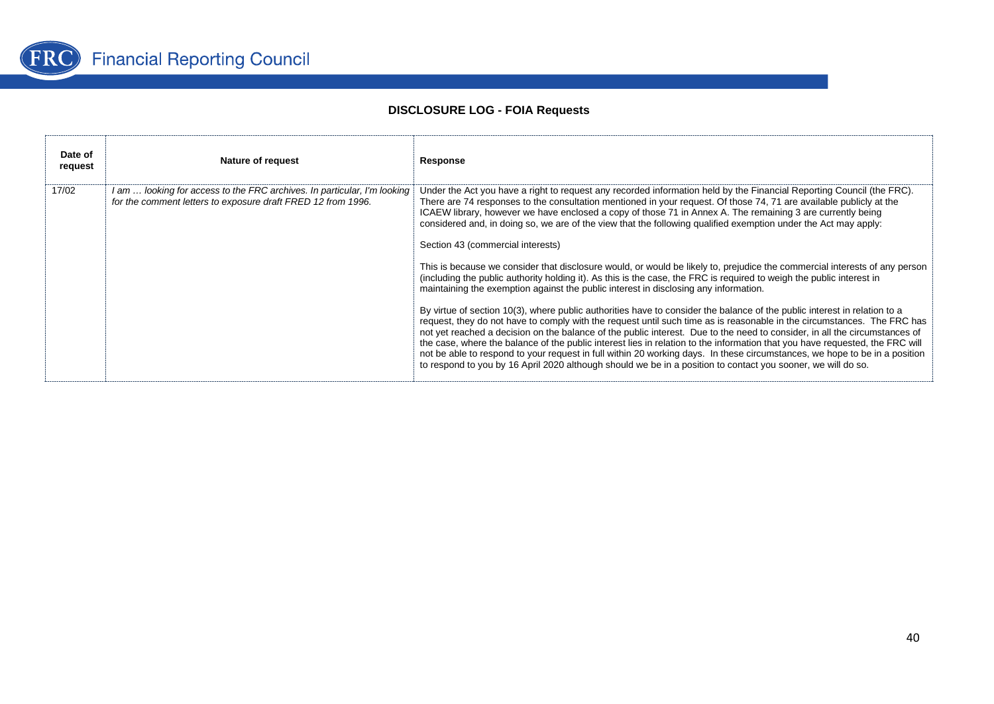

| Date of<br>request | Nature of request                                                                                                                        | Response                                                                                                                                                                                                                                                                                                                                                                                                                                                                                                                                                                                                                                                                                                                                                                                                                                                                                                                                                                                                                                                                                                                                                                                                                                                                                                                                                                                                                                                                                                                                                                                                                              |
|--------------------|------------------------------------------------------------------------------------------------------------------------------------------|---------------------------------------------------------------------------------------------------------------------------------------------------------------------------------------------------------------------------------------------------------------------------------------------------------------------------------------------------------------------------------------------------------------------------------------------------------------------------------------------------------------------------------------------------------------------------------------------------------------------------------------------------------------------------------------------------------------------------------------------------------------------------------------------------------------------------------------------------------------------------------------------------------------------------------------------------------------------------------------------------------------------------------------------------------------------------------------------------------------------------------------------------------------------------------------------------------------------------------------------------------------------------------------------------------------------------------------------------------------------------------------------------------------------------------------------------------------------------------------------------------------------------------------------------------------------------------------------------------------------------------------|
| 17/02              | 1 am  looking for access to the FRC archives. In particular, I'm looking<br>for the comment letters to exposure draft FRED 12 from 1996. | Under the Act you have a right to request any recorded information held by the Financial Reporting Council (the FRC).<br>There are 74 responses to the consultation mentioned in your request. Of those 74, 71 are available publicly at the<br>ICAEW library, however we have enclosed a copy of those 71 in Annex A. The remaining 3 are currently being<br>considered and, in doing so, we are of the view that the following qualified exemption under the Act may apply:<br>Section 43 (commercial interests)<br>This is because we consider that disclosure would, or would be likely to, prejudice the commercial interests of any person<br>(including the public authority holding it). As this is the case, the FRC is required to weigh the public interest in<br>maintaining the exemption against the public interest in disclosing any information.<br>By virtue of section 10(3), where public authorities have to consider the balance of the public interest in relation to a<br>request, they do not have to comply with the request until such time as is reasonable in the circumstances. The FRC has<br>not yet reached a decision on the balance of the public interest. Due to the need to consider, in all the circumstances of<br>the case, where the balance of the public interest lies in relation to the information that you have requested, the FRC will<br>not be able to respond to your request in full within 20 working days. In these circumstances, we hope to be in a position<br>to respond to you by 16 April 2020 although should we be in a position to contact you sooner, we will do so. |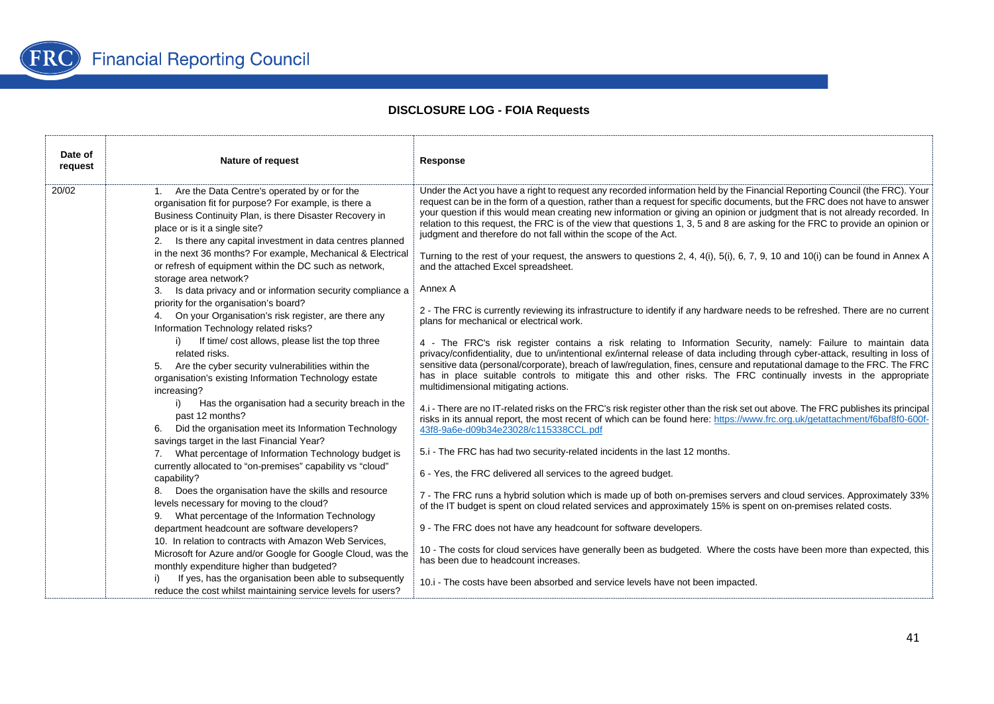

| Date of<br>request | Nature of request                                                                                                                                                                                                                                                                                                                                                                                                                                                                                                                                                                                                                                                                                                                                                                                                                                                                                                                                                                                                                                                                                                                                                                                                                                                                                                                                                                                                                                                                                             | Response                                                                                                                                                                                                                                                                                                                                                                                                                                                                                                                                                                                                                                                                                                                                                                                                                                                                                                                                                                                                                                                                                                                                                                                                                                                                                                                                                                                                                                                                                                                                                                                                                                                                                                                                                                                                                                                                                                                                                                                                                                                                                                                                                                                                                                                                                                                                                                                                                                                 |
|--------------------|---------------------------------------------------------------------------------------------------------------------------------------------------------------------------------------------------------------------------------------------------------------------------------------------------------------------------------------------------------------------------------------------------------------------------------------------------------------------------------------------------------------------------------------------------------------------------------------------------------------------------------------------------------------------------------------------------------------------------------------------------------------------------------------------------------------------------------------------------------------------------------------------------------------------------------------------------------------------------------------------------------------------------------------------------------------------------------------------------------------------------------------------------------------------------------------------------------------------------------------------------------------------------------------------------------------------------------------------------------------------------------------------------------------------------------------------------------------------------------------------------------------|----------------------------------------------------------------------------------------------------------------------------------------------------------------------------------------------------------------------------------------------------------------------------------------------------------------------------------------------------------------------------------------------------------------------------------------------------------------------------------------------------------------------------------------------------------------------------------------------------------------------------------------------------------------------------------------------------------------------------------------------------------------------------------------------------------------------------------------------------------------------------------------------------------------------------------------------------------------------------------------------------------------------------------------------------------------------------------------------------------------------------------------------------------------------------------------------------------------------------------------------------------------------------------------------------------------------------------------------------------------------------------------------------------------------------------------------------------------------------------------------------------------------------------------------------------------------------------------------------------------------------------------------------------------------------------------------------------------------------------------------------------------------------------------------------------------------------------------------------------------------------------------------------------------------------------------------------------------------------------------------------------------------------------------------------------------------------------------------------------------------------------------------------------------------------------------------------------------------------------------------------------------------------------------------------------------------------------------------------------------------------------------------------------------------------------------------------------|
| 20/02              | 1. Are the Data Centre's operated by or for the<br>organisation fit for purpose? For example, is there a<br>Business Continuity Plan, is there Disaster Recovery in<br>place or is it a single site?<br>2. Is there any capital investment in data centres planned<br>in the next 36 months? For example, Mechanical & Electrical<br>or refresh of equipment within the DC such as network,<br>storage area network?<br>Is data privacy and or information security compliance a<br>3.<br>priority for the organisation's board?<br>4. On your Organisation's risk register, are there any<br>Information Technology related risks?<br>If time/ cost allows, please list the top three<br>i)<br>related risks.<br>5. Are the cyber security vulnerabilities within the<br>organisation's existing Information Technology estate<br>increasing?<br>i)<br>Has the organisation had a security breach in the<br>past 12 months?<br>Did the organisation meet its Information Technology<br>savings target in the last Financial Year?<br>7. What percentage of Information Technology budget is<br>currently allocated to "on-premises" capability vs "cloud"<br>capability?<br>8. Does the organisation have the skills and resource<br>levels necessary for moving to the cloud?<br>9. What percentage of the Information Technology<br>department headcount are software developers?<br>10. In relation to contracts with Amazon Web Services,<br>Microsoft for Azure and/or Google for Google Cloud, was the | Under the Act you have a right to request any recorded information held by the Financial Reporting Council (the FRC). Your<br>request can be in the form of a question, rather than a request for specific documents, but the FRC does not have to answer<br>your question if this would mean creating new information or giving an opinion or judgment that is not already recorded. In<br>relation to this request, the FRC is of the view that questions 1, 3, 5 and 8 are asking for the FRC to provide an opinion or<br>judgment and therefore do not fall within the scope of the Act.<br>Turning to the rest of your request, the answers to questions 2, 4, 4(i), 5(i), 6, 7, 9, 10 and 10(i) can be found in Annex A<br>and the attached Excel spreadsheet.<br>Annex A<br>2 - The FRC is currently reviewing its infrastructure to identify if any hardware needs to be refreshed. There are no current<br>plans for mechanical or electrical work.<br>4 - The FRC's risk register contains a risk relating to Information Security, namely: Failure to maintain data<br>privacy/confidentiality, due to un/intentional ex/internal release of data including through cyber-attack, resulting in loss of<br>sensitive data (personal/corporate), breach of law/regulation, fines, censure and reputational damage to the FRC. The FRC<br>has in place suitable controls to mitigate this and other risks. The FRC continually invests in the appropriate<br>multidimensional mitigating actions.<br>4.i - There are no IT-related risks on the FRC's risk register other than the risk set out above. The FRC publishes its principal<br>risks in its annual report, the most recent of which can be found here: https://www.frc.org.uk/getattachment/f6baf8f0-600f-<br>43f8-9a6e-d09b34e23028/c115338CCL.pdf<br>5.i - The FRC has had two security-related incidents in the last 12 months.<br>6 - Yes, the FRC delivered all services to the agreed budget.<br>7 - The FRC runs a hybrid solution which is made up of both on-premises servers and cloud services. Approximately 33%<br>of the IT budget is spent on cloud related services and approximately 15% is spent on on-premises related costs.<br>9 - The FRC does not have any headcount for software developers.<br>10 - The costs for cloud services have generally been as budgeted. Where the costs have been more than expected, this<br>has been due to headcount increases. |
|                    | monthly expenditure higher than budgeted?<br>If yes, has the organisation been able to subsequently<br>reduce the cost whilst maintaining service levels for users?                                                                                                                                                                                                                                                                                                                                                                                                                                                                                                                                                                                                                                                                                                                                                                                                                                                                                                                                                                                                                                                                                                                                                                                                                                                                                                                                           | 10.i - The costs have been absorbed and service levels have not been impacted.                                                                                                                                                                                                                                                                                                                                                                                                                                                                                                                                                                                                                                                                                                                                                                                                                                                                                                                                                                                                                                                                                                                                                                                                                                                                                                                                                                                                                                                                                                                                                                                                                                                                                                                                                                                                                                                                                                                                                                                                                                                                                                                                                                                                                                                                                                                                                                           |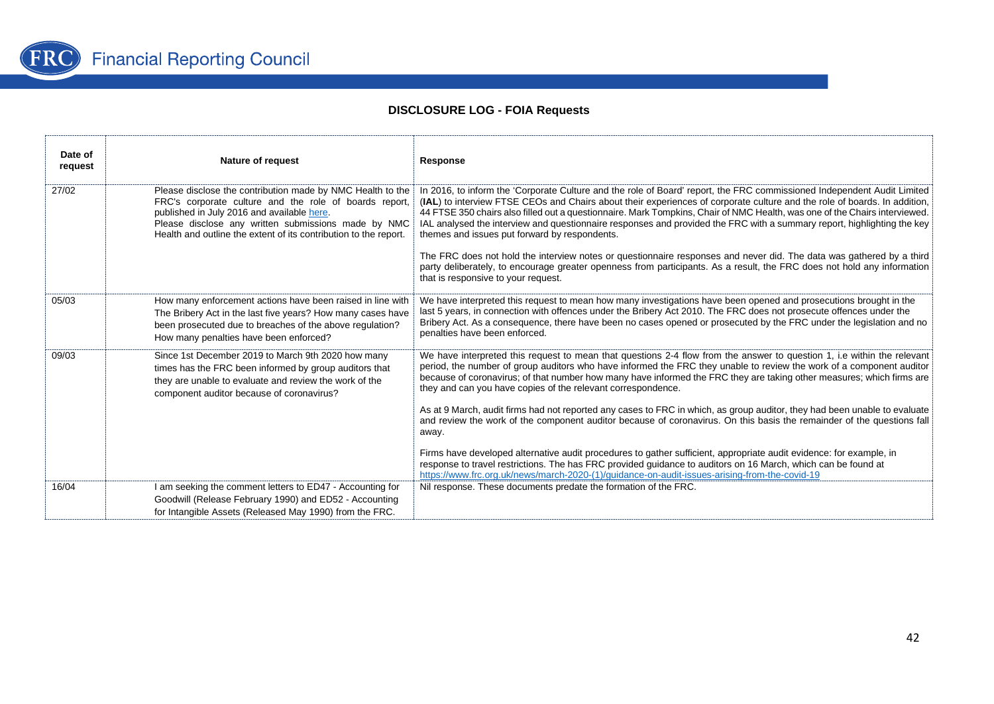

| Date of<br>request | <b>Nature of request</b>                                                                                                                                                                                                                                                                      | Response                                                                                                                                                                                                                                                                                                                                                                                                                                                                                                                                                       |
|--------------------|-----------------------------------------------------------------------------------------------------------------------------------------------------------------------------------------------------------------------------------------------------------------------------------------------|----------------------------------------------------------------------------------------------------------------------------------------------------------------------------------------------------------------------------------------------------------------------------------------------------------------------------------------------------------------------------------------------------------------------------------------------------------------------------------------------------------------------------------------------------------------|
| 27/02              | Please disclose the contribution made by NMC Health to the<br>FRC's corporate culture and the role of boards report,<br>published in July 2016 and available here.<br>Please disclose any written submissions made by NMC<br>Health and outline the extent of its contribution to the report. | In 2016, to inform the 'Corporate Culture and the role of Board' report, the FRC commissioned Independent Audit Limited<br>(IAL) to interview FTSE CEOs and Chairs about their experiences of corporate culture and the role of boards. In addition,<br>44 FTSE 350 chairs also filled out a questionnaire. Mark Tompkins, Chair of NMC Health, was one of the Chairs interviewed.<br>IAL analysed the interview and questionnaire responses and provided the FRC with a summary report, highlighting the key<br>themes and issues put forward by respondents. |
|                    |                                                                                                                                                                                                                                                                                               | The FRC does not hold the interview notes or questionnaire responses and never did. The data was gathered by a third<br>party deliberately, to encourage greater openness from participants. As a result, the FRC does not hold any information<br>that is responsive to your request.                                                                                                                                                                                                                                                                         |
| 05/03              | How many enforcement actions have been raised in line with<br>The Bribery Act in the last five years? How many cases have<br>been prosecuted due to breaches of the above regulation?<br>How many penalties have been enforced?                                                               | We have interpreted this request to mean how many investigations have been opened and prosecutions brought in the<br>last 5 years, in connection with offences under the Bribery Act 2010. The FRC does not prosecute offences under the<br>Bribery Act. As a consequence, there have been no cases opened or prosecuted by the FRC under the legislation and no<br>penalties have been enforced.                                                                                                                                                              |
| 09/03              | Since 1st December 2019 to March 9th 2020 how many<br>times has the FRC been informed by group auditors that<br>they are unable to evaluate and review the work of the<br>component auditor because of coronavirus?                                                                           | We have interpreted this request to mean that questions 2-4 flow from the answer to question 1, i.e within the relevant<br>period, the number of group auditors who have informed the FRC they unable to review the work of a component auditor<br>because of coronavirus; of that number how many have informed the FRC they are taking other measures; which firms are<br>they and can you have copies of the relevant correspondence.                                                                                                                       |
|                    |                                                                                                                                                                                                                                                                                               | As at 9 March, audit firms had not reported any cases to FRC in which, as group auditor, they had been unable to evaluate<br>and review the work of the component auditor because of coronavirus. On this basis the remainder of the questions fall<br>away.                                                                                                                                                                                                                                                                                                   |
|                    |                                                                                                                                                                                                                                                                                               | Firms have developed alternative audit procedures to gather sufficient, appropriate audit evidence: for example, in<br>response to travel restrictions. The has FRC provided guidance to auditors on 16 March, which can be found at<br>https://www.frc.org.uk/news/march-2020-(1)/guidance-on-audit-issues-arising-from-the-covid-19                                                                                                                                                                                                                          |
| 16/04              | I am seeking the comment letters to ED47 - Accounting for<br>Goodwill (Release February 1990) and ED52 - Accounting<br>for Intangible Assets (Released May 1990) from the FRC.                                                                                                                | Nil response. These documents predate the formation of the FRC.                                                                                                                                                                                                                                                                                                                                                                                                                                                                                                |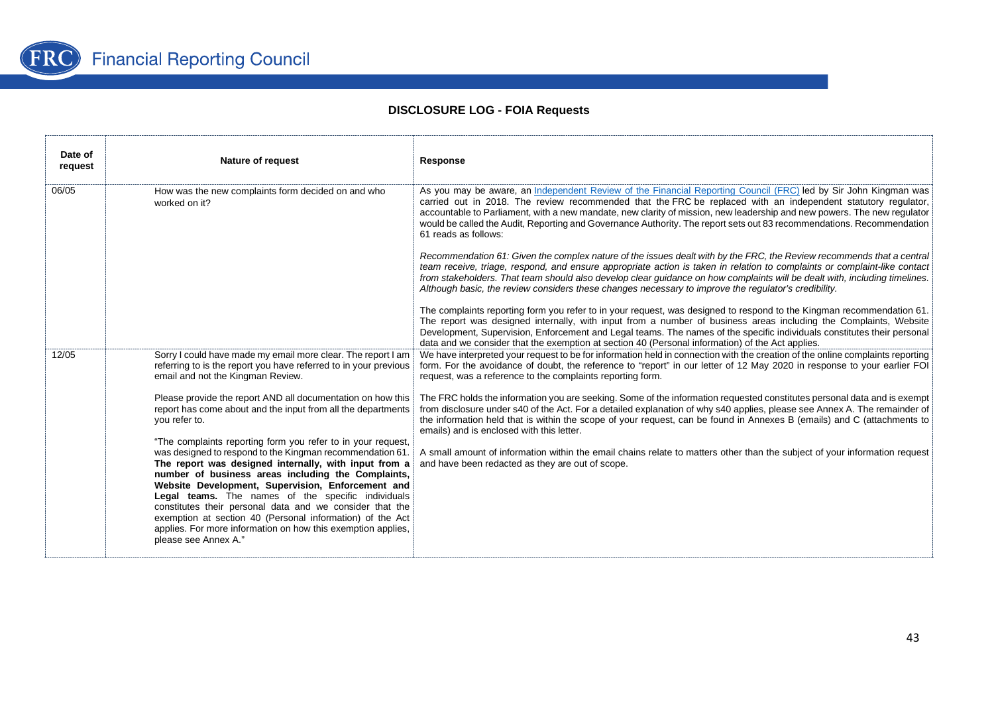

| Date of<br>request | <b>Nature of request</b>                                                                                                                                                                                                                                                                                                                                                                                                                                                                                                                                             | Response                                                                                                                                                                                                                                                                                                                                                                                                                                                                                                     |
|--------------------|----------------------------------------------------------------------------------------------------------------------------------------------------------------------------------------------------------------------------------------------------------------------------------------------------------------------------------------------------------------------------------------------------------------------------------------------------------------------------------------------------------------------------------------------------------------------|--------------------------------------------------------------------------------------------------------------------------------------------------------------------------------------------------------------------------------------------------------------------------------------------------------------------------------------------------------------------------------------------------------------------------------------------------------------------------------------------------------------|
| 06/05              | How was the new complaints form decided on and who<br>worked on it?                                                                                                                                                                                                                                                                                                                                                                                                                                                                                                  | As you may be aware, an Independent Review of the Financial Reporting Council (FRC) led by Sir John Kingman was<br>carried out in 2018. The review recommended that the FRC be replaced with an independent statutory regulator,<br>accountable to Parliament, with a new mandate, new clarity of mission, new leadership and new powers. The new regulator<br>would be called the Audit, Reporting and Governance Authority. The report sets out 83 recommendations. Recommendation<br>61 reads as follows: |
|                    |                                                                                                                                                                                                                                                                                                                                                                                                                                                                                                                                                                      | Recommendation 61: Given the complex nature of the issues dealt with by the FRC, the Review recommends that a central<br>team receive, triage, respond, and ensure appropriate action is taken in relation to complaints or complaint-like contact<br>from stakeholders. That team should also develop clear guidance on how complaints will be dealt with, including timelines.<br>Although basic, the review considers these changes necessary to improve the regulator's credibility.                     |
|                    |                                                                                                                                                                                                                                                                                                                                                                                                                                                                                                                                                                      | The complaints reporting form you refer to in your request, was designed to respond to the Kingman recommendation 61.<br>The report was designed internally, with input from a number of business areas including the Complaints, Website<br>Development, Supervision, Enforcement and Legal teams. The names of the specific individuals constitutes their personal<br>data and we consider that the exemption at section 40 (Personal information) of the Act applies.                                     |
| 12/05              | Sorry I could have made my email more clear. The report I am<br>referring to is the report you have referred to in your previous<br>email and not the Kingman Review.                                                                                                                                                                                                                                                                                                                                                                                                | We have interpreted your request to be for information held in connection with the creation of the online complaints reporting<br>form. For the avoidance of doubt, the reference to "report" in our letter of 12 May 2020 in response to your earlier FOI<br>request, was a reference to the complaints reporting form.                                                                                                                                                                                     |
|                    | Please provide the report AND all documentation on how this<br>report has come about and the input from all the departments<br>you refer to.                                                                                                                                                                                                                                                                                                                                                                                                                         | The FRC holds the information you are seeking. Some of the information requested constitutes personal data and is exempt<br>from disclosure under s40 of the Act. For a detailed explanation of why s40 applies, please see Annex A. The remainder of<br>the information held that is within the scope of your request, can be found in Annexes B (emails) and C (attachments to<br>emails) and is enclosed with this letter.                                                                                |
|                    | "The complaints reporting form you refer to in your request,<br>was designed to respond to the Kingman recommendation 61.<br>The report was designed internally, with input from a<br>number of business areas including the Complaints,<br>Website Development, Supervision, Enforcement and<br>Legal teams. The names of the specific individuals<br>constitutes their personal data and we consider that the<br>exemption at section 40 (Personal information) of the Act<br>applies. For more information on how this exemption applies,<br>please see Annex A." | A small amount of information within the email chains relate to matters other than the subject of your information request<br>and have been redacted as they are out of scope.                                                                                                                                                                                                                                                                                                                               |
|                    |                                                                                                                                                                                                                                                                                                                                                                                                                                                                                                                                                                      |                                                                                                                                                                                                                                                                                                                                                                                                                                                                                                              |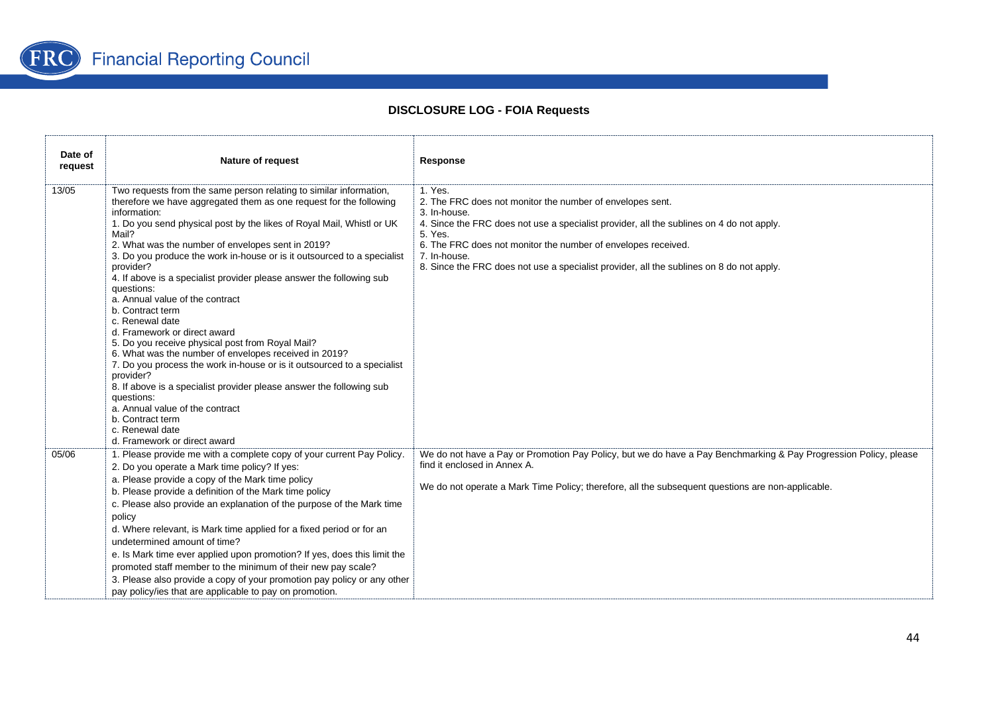

| Date of<br>request | <b>Nature of request</b>                                                                                                                                                                                                                                                                                                                                                                                                                                                                                                                                                                                                                                                                                                                                                                                                                                                                                                                                                                     | Response                                                                                                                                                                                                                                                                                                                                                                 |
|--------------------|----------------------------------------------------------------------------------------------------------------------------------------------------------------------------------------------------------------------------------------------------------------------------------------------------------------------------------------------------------------------------------------------------------------------------------------------------------------------------------------------------------------------------------------------------------------------------------------------------------------------------------------------------------------------------------------------------------------------------------------------------------------------------------------------------------------------------------------------------------------------------------------------------------------------------------------------------------------------------------------------|--------------------------------------------------------------------------------------------------------------------------------------------------------------------------------------------------------------------------------------------------------------------------------------------------------------------------------------------------------------------------|
| 13/05              | Two requests from the same person relating to similar information,<br>therefore we have aggregated them as one request for the following<br>information:<br>1. Do you send physical post by the likes of Royal Mail, Whistl or UK<br>Mail?<br>2. What was the number of envelopes sent in 2019?<br>3. Do you produce the work in-house or is it outsourced to a specialist<br>provider?<br>4. If above is a specialist provider please answer the following sub<br>questions:<br>a. Annual value of the contract<br>b. Contract term<br>c. Renewal date<br>d. Framework or direct award<br>5. Do you receive physical post from Royal Mail?<br>6. What was the number of envelopes received in 2019?<br>7. Do you process the work in-house or is it outsourced to a specialist<br>provider?<br>8. If above is a specialist provider please answer the following sub<br>questions:<br>a. Annual value of the contract<br>b. Contract term<br>c. Renewal date<br>d. Framework or direct award | 1. Yes.<br>2. The FRC does not monitor the number of envelopes sent.<br>3. In-house.<br>4. Since the FRC does not use a specialist provider, all the sublines on 4 do not apply.<br>5. Yes.<br>6. The FRC does not monitor the number of envelopes received.<br>7. In-house.<br>8. Since the FRC does not use a specialist provider, all the sublines on 8 do not apply. |
| 05/06              | 1. Please provide me with a complete copy of your current Pay Policy.<br>2. Do you operate a Mark time policy? If yes:<br>a. Please provide a copy of the Mark time policy<br>b. Please provide a definition of the Mark time policy<br>c. Please also provide an explanation of the purpose of the Mark time<br>policy<br>d. Where relevant, is Mark time applied for a fixed period or for an<br>undetermined amount of time?<br>e. Is Mark time ever applied upon promotion? If yes, does this limit the<br>promoted staff member to the minimum of their new pay scale?<br>3. Please also provide a copy of your promotion pay policy or any other<br>pay policy/ies that are applicable to pay on promotion.                                                                                                                                                                                                                                                                            | We do not have a Pay or Promotion Pay Policy, but we do have a Pay Benchmarking & Pay Progression Policy, please<br>find it enclosed in Annex A.<br>We do not operate a Mark Time Policy; therefore, all the subsequent questions are non-applicable.                                                                                                                    |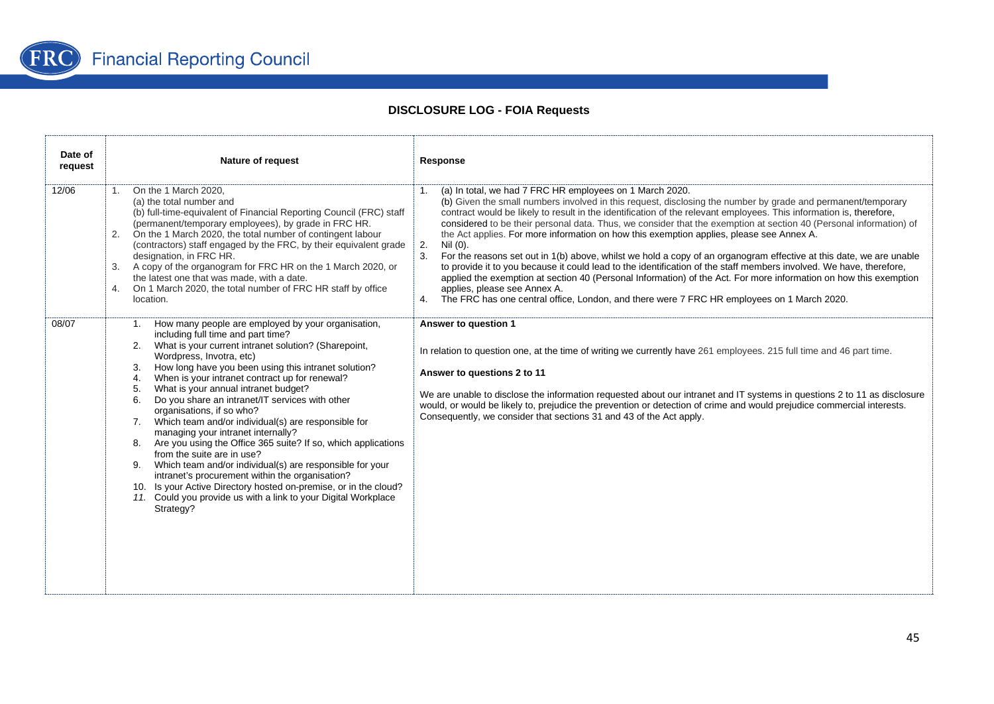

| Date of<br>request | Nature of request                                                                                                                                                                                                                                                                                                                                                                                                                                                                                                                                                                                                                                                                                                                                                                                                                                                                                                      | Response                                                                                                                                                                                                                                                                                                                                                                                                                                                                                                                                                                                                                                                                                                                                                                                                                                                                                                                                                                                                                                            |
|--------------------|------------------------------------------------------------------------------------------------------------------------------------------------------------------------------------------------------------------------------------------------------------------------------------------------------------------------------------------------------------------------------------------------------------------------------------------------------------------------------------------------------------------------------------------------------------------------------------------------------------------------------------------------------------------------------------------------------------------------------------------------------------------------------------------------------------------------------------------------------------------------------------------------------------------------|-----------------------------------------------------------------------------------------------------------------------------------------------------------------------------------------------------------------------------------------------------------------------------------------------------------------------------------------------------------------------------------------------------------------------------------------------------------------------------------------------------------------------------------------------------------------------------------------------------------------------------------------------------------------------------------------------------------------------------------------------------------------------------------------------------------------------------------------------------------------------------------------------------------------------------------------------------------------------------------------------------------------------------------------------------|
| 12/06              | On the 1 March 2020.<br>1.<br>(a) the total number and<br>(b) full-time-equivalent of Financial Reporting Council (FRC) staff<br>(permanent/temporary employees), by grade in FRC HR.<br>On the 1 March 2020, the total number of contingent labour<br>2.<br>(contractors) staff engaged by the FRC, by their equivalent grade<br>designation, in FRC HR.<br>A copy of the organogram for FRC HR on the 1 March 2020, or<br>3.<br>the latest one that was made, with a date.<br>On 1 March 2020, the total number of FRC HR staff by office<br>4.<br>location.                                                                                                                                                                                                                                                                                                                                                         | (a) In total, we had 7 FRC HR employees on 1 March 2020.<br>1.<br>(b) Given the small numbers involved in this request, disclosing the number by grade and permanent/temporary<br>contract would be likely to result in the identification of the relevant employees. This information is, therefore,<br>considered to be their personal data. Thus, we consider that the exemption at section 40 (Personal information) of<br>the Act applies. For more information on how this exemption applies, please see Annex A.<br>2.<br>Nil (0).<br>3.<br>For the reasons set out in 1(b) above, whilst we hold a copy of an organogram effective at this date, we are unable<br>to provide it to you because it could lead to the identification of the staff members involved. We have, therefore,<br>applied the exemption at section 40 (Personal Information) of the Act. For more information on how this exemption<br>applies, please see Annex A.<br>4. The FRC has one central office, London, and there were 7 FRC HR employees on 1 March 2020. |
| 08/07              | 1. How many people are employed by your organisation,<br>including full time and part time?<br>What is your current intranet solution? (Sharepoint,<br>2.<br>Wordpress, Invotra, etc)<br>How long have you been using this intranet solution?<br>3.<br>When is your intranet contract up for renewal?<br>4.<br>What is your annual intranet budget?<br>5.<br>Do you share an intranet/IT services with other<br>6.<br>organisations, if so who?<br>7. Which team and/or individual(s) are responsible for<br>managing your intranet internally?<br>8. Are you using the Office 365 suite? If so, which applications<br>from the suite are in use?<br>9. Which team and/or individual(s) are responsible for your<br>intranet's procurement within the organisation?<br>10. Is your Active Directory hosted on-premise, or in the cloud?<br>11. Could you provide us with a link to your Digital Workplace<br>Strategy? | Answer to question 1<br>In relation to question one, at the time of writing we currently have 261 employees. 215 full time and 46 part time.<br>Answer to questions 2 to 11<br>We are unable to disclose the information requested about our intranet and IT systems in questions 2 to 11 as disclosure<br>would, or would be likely to, prejudice the prevention or detection of crime and would prejudice commercial interests.<br>Consequently, we consider that sections 31 and 43 of the Act apply.                                                                                                                                                                                                                                                                                                                                                                                                                                                                                                                                            |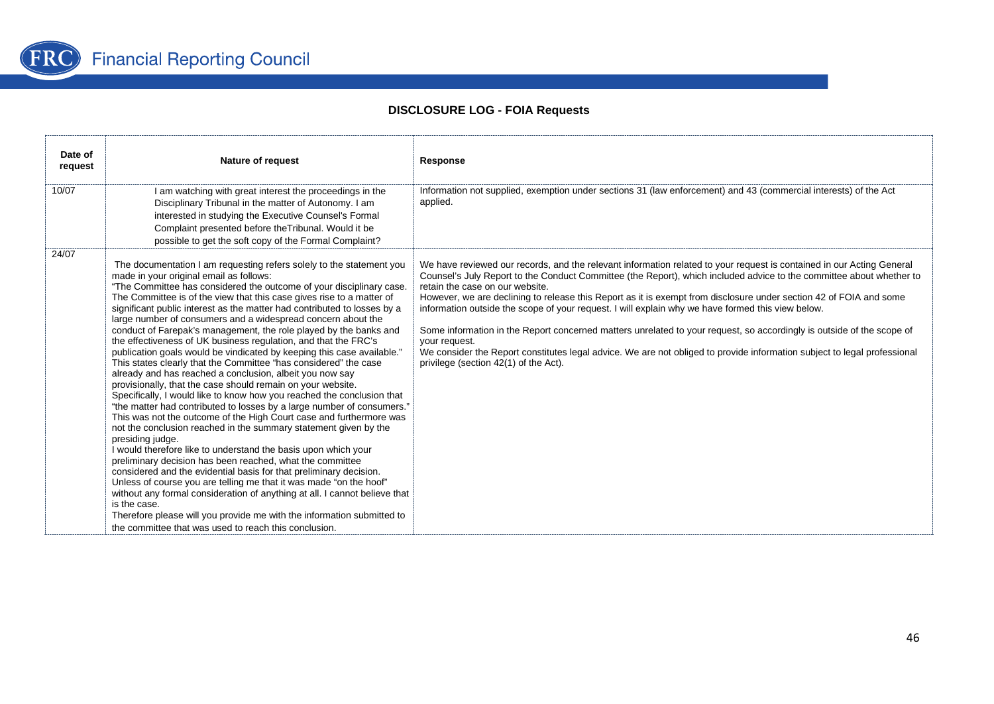

| Date of<br>request | <b>Nature of request</b>                                                                                                                                                                                                                                                                                                                                                                                                                                                                                                                                                                                                                                                                                                                                                                                                                                                                                                                                                                                                                                                                                                                                                                                                                                                                                                                                                                                                                                                                                                                                                                                                                                     | Response                                                                                                                                                                                                                                                                                                                                                                                                                                                                                                                                                                                                                                                                                                                                                                                                                   |
|--------------------|--------------------------------------------------------------------------------------------------------------------------------------------------------------------------------------------------------------------------------------------------------------------------------------------------------------------------------------------------------------------------------------------------------------------------------------------------------------------------------------------------------------------------------------------------------------------------------------------------------------------------------------------------------------------------------------------------------------------------------------------------------------------------------------------------------------------------------------------------------------------------------------------------------------------------------------------------------------------------------------------------------------------------------------------------------------------------------------------------------------------------------------------------------------------------------------------------------------------------------------------------------------------------------------------------------------------------------------------------------------------------------------------------------------------------------------------------------------------------------------------------------------------------------------------------------------------------------------------------------------------------------------------------------------|----------------------------------------------------------------------------------------------------------------------------------------------------------------------------------------------------------------------------------------------------------------------------------------------------------------------------------------------------------------------------------------------------------------------------------------------------------------------------------------------------------------------------------------------------------------------------------------------------------------------------------------------------------------------------------------------------------------------------------------------------------------------------------------------------------------------------|
| 10/07              | I am watching with great interest the proceedings in the<br>Disciplinary Tribunal in the matter of Autonomy. I am<br>interested in studying the Executive Counsel's Formal<br>Complaint presented before the Tribunal. Would it be<br>possible to get the soft copy of the Formal Complaint?                                                                                                                                                                                                                                                                                                                                                                                                                                                                                                                                                                                                                                                                                                                                                                                                                                                                                                                                                                                                                                                                                                                                                                                                                                                                                                                                                                 | Information not supplied, exemption under sections 31 (law enforcement) and 43 (commercial interests) of the Act<br>applied.                                                                                                                                                                                                                                                                                                                                                                                                                                                                                                                                                                                                                                                                                               |
| 24/07              | The documentation I am requesting refers solely to the statement you<br>made in your original email as follows:<br>"The Committee has considered the outcome of your disciplinary case.<br>The Committee is of the view that this case gives rise to a matter of<br>significant public interest as the matter had contributed to losses by a<br>large number of consumers and a widespread concern about the<br>conduct of Farepak's management, the role played by the banks and<br>the effectiveness of UK business regulation, and that the FRC's<br>publication goals would be vindicated by keeping this case available."<br>This states clearly that the Committee "has considered" the case<br>already and has reached a conclusion, albeit you now say<br>provisionally, that the case should remain on your website.<br>Specifically, I would like to know how you reached the conclusion that<br>"the matter had contributed to losses by a large number of consumers."<br>This was not the outcome of the High Court case and furthermore was<br>not the conclusion reached in the summary statement given by the<br>presiding judge.<br>I would therefore like to understand the basis upon which your<br>preliminary decision has been reached, what the committee<br>considered and the evidential basis for that preliminary decision.<br>Unless of course you are telling me that it was made "on the hoof"<br>without any formal consideration of anything at all. I cannot believe that<br>is the case.<br>Therefore please will you provide me with the information submitted to<br>the committee that was used to reach this conclusion. | We have reviewed our records, and the relevant information related to your request is contained in our Acting General<br>Counsel's July Report to the Conduct Committee (the Report), which included advice to the committee about whether to<br>retain the case on our website.<br>However, we are declining to release this Report as it is exempt from disclosure under section 42 of FOIA and some<br>information outside the scope of your request. I will explain why we have formed this view below.<br>Some information in the Report concerned matters unrelated to your request, so accordingly is outside of the scope of<br>your request.<br>We consider the Report constitutes legal advice. We are not obliged to provide information subject to legal professional<br>privilege (section 42(1) of the Act). |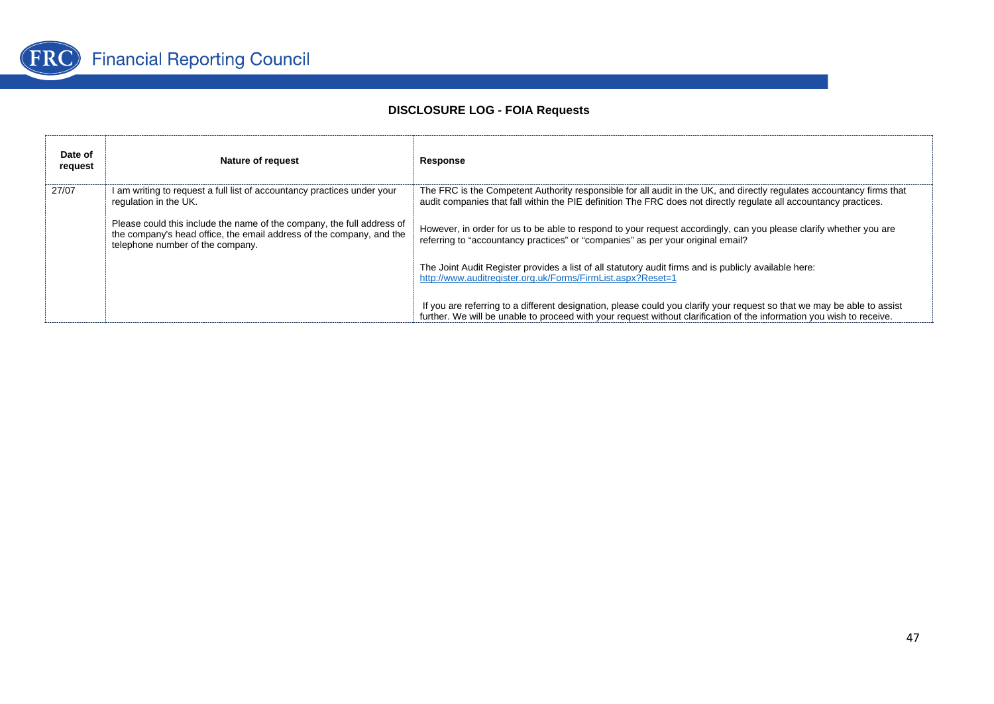

| Date of<br>request | <b>Nature of request</b>                                                                                                                                                           | Response                                                                                                                                                                                                                                         |
|--------------------|------------------------------------------------------------------------------------------------------------------------------------------------------------------------------------|--------------------------------------------------------------------------------------------------------------------------------------------------------------------------------------------------------------------------------------------------|
| 27/07              | I am writing to request a full list of accountancy practices under your<br>regulation in the UK.                                                                                   | The FRC is the Competent Authority responsible for all audit in the UK, and directly regulates accountancy firms that<br>audit companies that fall within the PIE definition The FRC does not directly regulate all accountancy practices.       |
|                    | Please could this include the name of the company, the full address of<br>the company's head office, the email address of the company, and the<br>telephone number of the company. | However, in order for us to be able to respond to your request accordingly, can you please clarify whether you are<br>referring to "accountancy practices" or "companies" as per your original email?                                            |
|                    |                                                                                                                                                                                    | The Joint Audit Register provides a list of all statutory audit firms and is publicly available here:<br>http://www.auditregister.org.uk/Forms/FirmList.aspx?Reset=1                                                                             |
|                    |                                                                                                                                                                                    | If you are referring to a different designation, please could you clarify your request so that we may be able to assist<br>further. We will be unable to proceed with your request without clarification of the information you wish to receive. |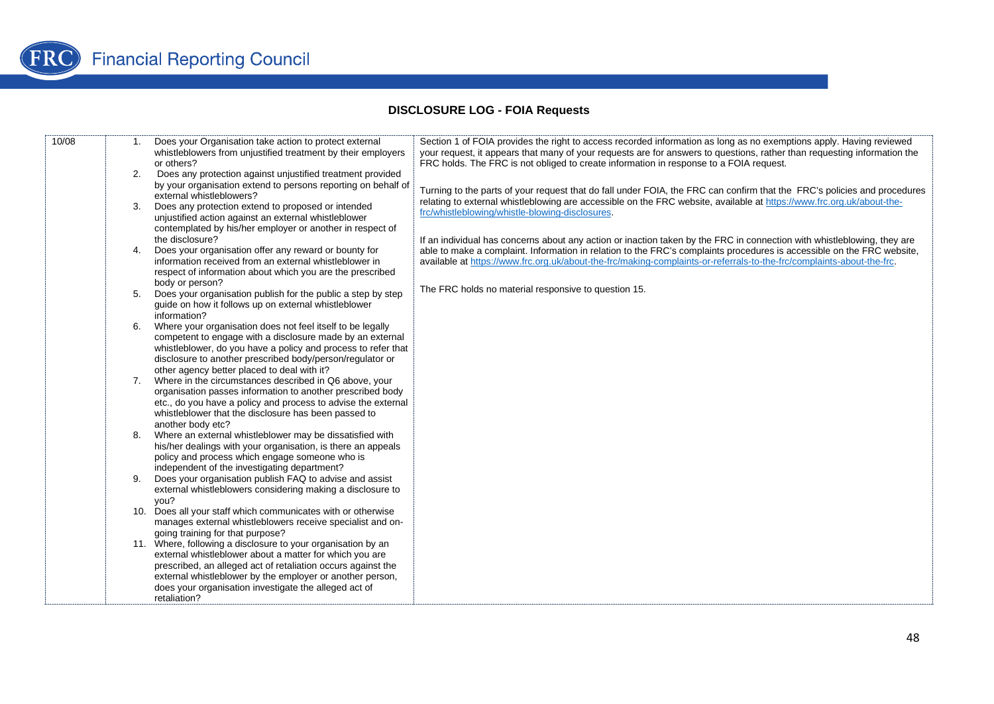| 10/08 | 1. | Does your Organisation take action to protect external<br>whistleblowers from unjustified treatment by their employers<br>or others?                                                                                                                                                                                          | Section 1 of FOIA provides the right to access recorded information as long as no exemptions apply. Having reviewed<br>your request, it appears that many of your requests are for answers to questions, rather than requesting information the<br>FRC holds. The FRC is not obliged to create information in response to a FOIA request.                                  |
|-------|----|-------------------------------------------------------------------------------------------------------------------------------------------------------------------------------------------------------------------------------------------------------------------------------------------------------------------------------|----------------------------------------------------------------------------------------------------------------------------------------------------------------------------------------------------------------------------------------------------------------------------------------------------------------------------------------------------------------------------|
|       | 2. | Does any protection against unjustified treatment provided<br>by your organisation extend to persons reporting on behalf of<br>external whistleblowers?                                                                                                                                                                       | Turning to the parts of your request that do fall under FOIA, the FRC can confirm that the FRC's policies and procedures<br>relating to external whistleblowing are accessible on the FRC website, available at https://www.frc.org.uk/about-the-                                                                                                                          |
|       | 3. | Does any protection extend to proposed or intended<br>unjustified action against an external whistleblower<br>contemplated by his/her employer or another in respect of<br>the disclosure?                                                                                                                                    | frc/whistleblowing/whistle-blowing-disclosures.                                                                                                                                                                                                                                                                                                                            |
|       | 4. | Does your organisation offer any reward or bounty for<br>information received from an external whistleblower in<br>respect of information about which you are the prescribed                                                                                                                                                  | If an individual has concerns about any action or inaction taken by the FRC in connection with whistleblowing, they are<br>able to make a complaint. Information in relation to the FRC's complaints procedures is accessible on the FRC website,<br>available at https://www.frc.org.uk/about-the-frc/making-complaints-or-referrals-to-the-frc/complaints-about-the-frc. |
|       | 5. | body or person?<br>Does your organisation publish for the public a step by step<br>quide on how it follows up on external whistleblower<br>information?                                                                                                                                                                       | The FRC holds no material responsive to question 15.                                                                                                                                                                                                                                                                                                                       |
|       | 6. | Where your organisation does not feel itself to be legally<br>competent to engage with a disclosure made by an external<br>whistleblower, do you have a policy and process to refer that<br>disclosure to another prescribed body/person/regulator or<br>other agency better placed to deal with it?                          |                                                                                                                                                                                                                                                                                                                                                                            |
|       | 7. | Where in the circumstances described in Q6 above, your<br>organisation passes information to another prescribed body<br>etc., do you have a policy and process to advise the external<br>whistleblower that the disclosure has been passed to<br>another body etc?                                                            |                                                                                                                                                                                                                                                                                                                                                                            |
|       |    | Where an external whistleblower may be dissatisfied with<br>his/her dealings with your organisation, is there an appeals<br>policy and process which engage someone who is<br>independent of the investigating department?                                                                                                    |                                                                                                                                                                                                                                                                                                                                                                            |
|       |    | Does your organisation publish FAQ to advise and assist<br>external whistleblowers considering making a disclosure to<br>vou?                                                                                                                                                                                                 |                                                                                                                                                                                                                                                                                                                                                                            |
|       |    | 10. Does all your staff which communicates with or otherwise<br>manages external whistleblowers receive specialist and on-<br>going training for that purpose?                                                                                                                                                                |                                                                                                                                                                                                                                                                                                                                                                            |
|       |    | 11. Where, following a disclosure to your organisation by an<br>external whistleblower about a matter for which you are<br>prescribed, an alleged act of retaliation occurs against the<br>external whistleblower by the employer or another person,<br>does your organisation investigate the alleged act of<br>retaliation? |                                                                                                                                                                                                                                                                                                                                                                            |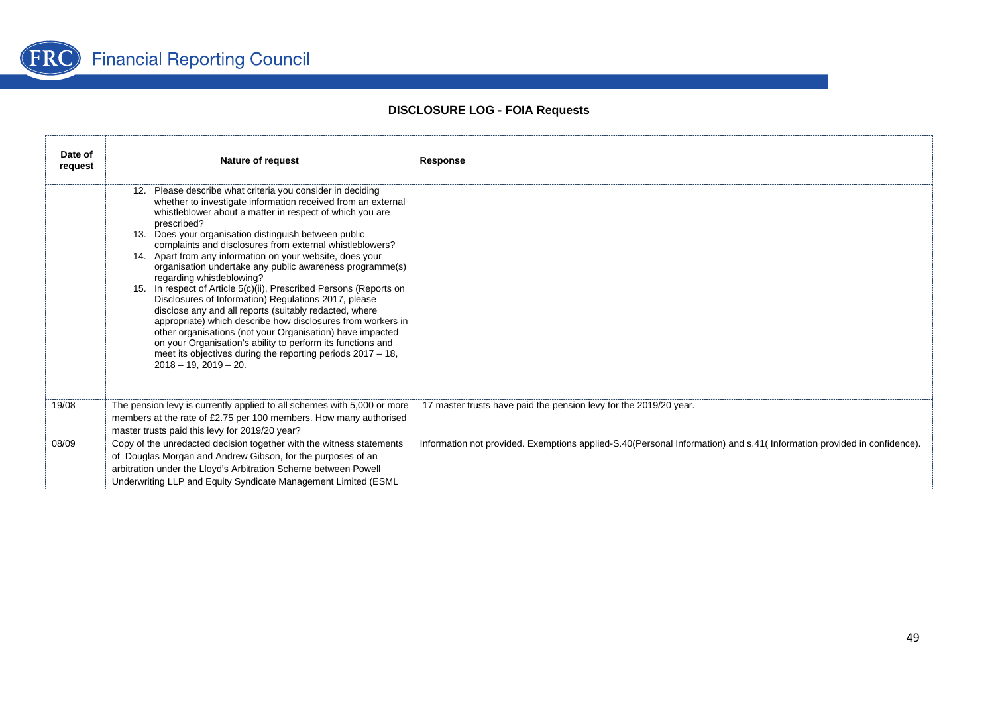

| Date of<br>request | Nature of request                                                                                                                                                                                                                                                                                                                                                                                                                                                                                                                                                                                                                                                                                                                                                                                                                                                                                                                                               | Response                                                                                                               |
|--------------------|-----------------------------------------------------------------------------------------------------------------------------------------------------------------------------------------------------------------------------------------------------------------------------------------------------------------------------------------------------------------------------------------------------------------------------------------------------------------------------------------------------------------------------------------------------------------------------------------------------------------------------------------------------------------------------------------------------------------------------------------------------------------------------------------------------------------------------------------------------------------------------------------------------------------------------------------------------------------|------------------------------------------------------------------------------------------------------------------------|
|                    | 12. Please describe what criteria you consider in deciding<br>whether to investigate information received from an external<br>whistleblower about a matter in respect of which you are<br>prescribed?<br>13. Does your organisation distinguish between public<br>complaints and disclosures from external whistleblowers?<br>14. Apart from any information on your website, does your<br>organisation undertake any public awareness programme(s)<br>regarding whistleblowing?<br>15. In respect of Article 5(c)(ii), Prescribed Persons (Reports on<br>Disclosures of Information) Regulations 2017, please<br>disclose any and all reports (suitably redacted, where<br>appropriate) which describe how disclosures from workers in<br>other organisations (not your Organisation) have impacted<br>on your Organisation's ability to perform its functions and<br>meet its objectives during the reporting periods $2017 - 18$ .<br>$2018 - 19.2019 - 20.$ |                                                                                                                        |
| 19/08              | The pension levy is currently applied to all schemes with 5,000 or more<br>members at the rate of £2.75 per 100 members. How many authorised<br>master trusts paid this levy for 2019/20 year?                                                                                                                                                                                                                                                                                                                                                                                                                                                                                                                                                                                                                                                                                                                                                                  | 17 master trusts have paid the pension levy for the 2019/20 year.                                                      |
| 08/09              | Copy of the unredacted decision together with the witness statements<br>of Douglas Morgan and Andrew Gibson, for the purposes of an<br>arbitration under the Lloyd's Arbitration Scheme between Powell<br>Underwriting LLP and Equity Syndicate Management Limited (ESML                                                                                                                                                                                                                                                                                                                                                                                                                                                                                                                                                                                                                                                                                        | Information not provided. Exemptions applied-S.40(Personal Information) and s.41( Information provided in confidence). |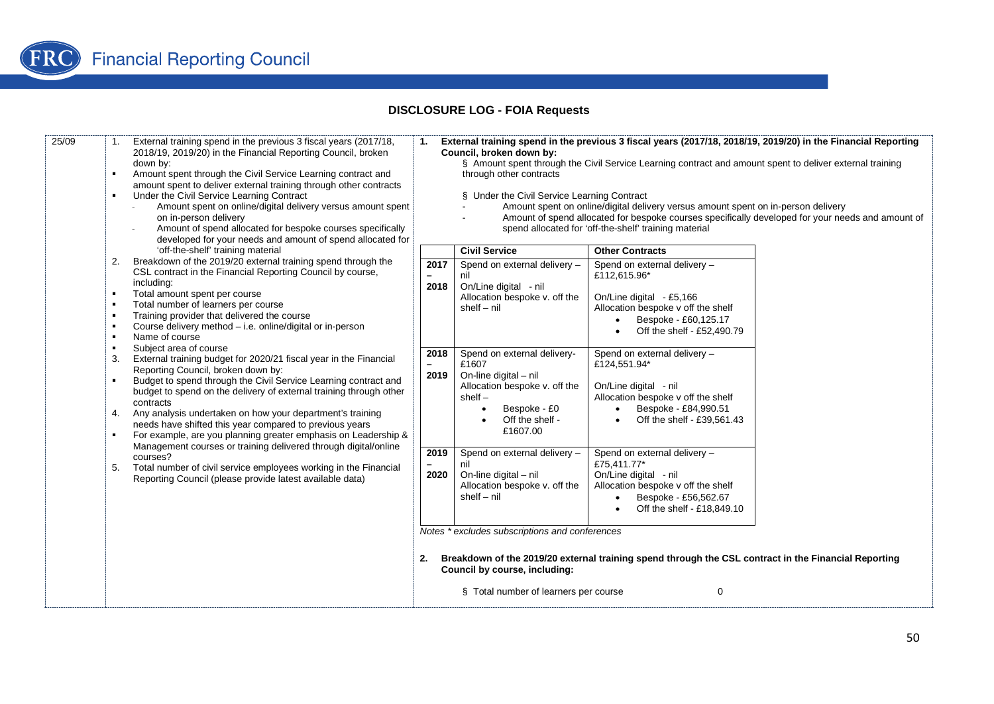| 25/09 | External training spend in the previous 3 fiscal years (2017/18,<br>2018/19, 2019/20) in the Financial Reporting Council, broken<br>down by:<br>Amount spent through the Civil Service Learning contract and<br>amount spent to deliver external training through other contracts<br>Under the Civil Service Learning Contract<br>Amount spent on online/digital delivery versus amount spent<br>on in-person delivery<br>Amount of spend allocated for bespoke courses specifically<br>developed for your needs and amount of spend allocated for<br>'off-the-shelf' training material<br>Breakdown of the 2019/20 external training spend through the<br>2.<br>CSL contract in the Financial Reporting Council by course,<br>including:<br>Total amount spent per course<br>п.<br>Total number of learners per course<br>Training provider that delivered the course<br>Course delivery method - i.e. online/digital or in-person<br>Name of course<br>Subject area of course<br>External training budget for 2020/21 fiscal year in the Financial<br>3.<br>Reporting Council, broken down by:<br>Budget to spend through the Civil Service Learning contract and<br>budget to spend on the delivery of external training through other<br>contracts<br>Any analysis undertaken on how your department's training<br>4.<br>needs have shifted this year compared to previous years<br>For example, are you planning greater emphasis on Leadership &<br>Management courses or training delivered through digital/online<br>courses?<br>Total number of civil service employees working in the Financial<br>5.<br>Reporting Council (please provide latest available data) | 1.                                       | Council, broken down by:<br>through other contracts<br>§ Under the Civil Service Learning Contract                                                         | External training spend in the previous 3 fiscal years (2017/18, 2018/19, 2019/20) in the Financial Reporting<br>§ Amount spent through the Civil Service Learning contract and amount spent to deliver external training<br>Amount spent on online/digital delivery versus amount spent on in-person delivery<br>spend allocated for 'off-the-shelf' training material | Amount of spend allocated for bespoke courses specifically developed for your needs and amount of |
|-------|-----------------------------------------------------------------------------------------------------------------------------------------------------------------------------------------------------------------------------------------------------------------------------------------------------------------------------------------------------------------------------------------------------------------------------------------------------------------------------------------------------------------------------------------------------------------------------------------------------------------------------------------------------------------------------------------------------------------------------------------------------------------------------------------------------------------------------------------------------------------------------------------------------------------------------------------------------------------------------------------------------------------------------------------------------------------------------------------------------------------------------------------------------------------------------------------------------------------------------------------------------------------------------------------------------------------------------------------------------------------------------------------------------------------------------------------------------------------------------------------------------------------------------------------------------------------------------------------------------------------------------------------------------------------------------|------------------------------------------|------------------------------------------------------------------------------------------------------------------------------------------------------------|-------------------------------------------------------------------------------------------------------------------------------------------------------------------------------------------------------------------------------------------------------------------------------------------------------------------------------------------------------------------------|---------------------------------------------------------------------------------------------------|
|       |                                                                                                                                                                                                                                                                                                                                                                                                                                                                                                                                                                                                                                                                                                                                                                                                                                                                                                                                                                                                                                                                                                                                                                                                                                                                                                                                                                                                                                                                                                                                                                                                                                                                             |                                          | <b>Civil Service</b>                                                                                                                                       | <b>Other Contracts</b>                                                                                                                                                                                                                                                                                                                                                  |                                                                                                   |
|       |                                                                                                                                                                                                                                                                                                                                                                                                                                                                                                                                                                                                                                                                                                                                                                                                                                                                                                                                                                                                                                                                                                                                                                                                                                                                                                                                                                                                                                                                                                                                                                                                                                                                             | 2017<br>$\qquad \qquad -$<br>2018        | Spend on external delivery -<br>nil<br>On/Line digital - nil<br>Allocation bespoke v. off the<br>$shell - nil$                                             | Spend on external delivery -<br>£112,615.96*<br>On/Line digital - £5,166<br>Allocation bespoke v off the shelf<br>Bespoke - £60,125.17<br>$\bullet$<br>Off the shelf - £52,490.79                                                                                                                                                                                       |                                                                                                   |
|       |                                                                                                                                                                                                                                                                                                                                                                                                                                                                                                                                                                                                                                                                                                                                                                                                                                                                                                                                                                                                                                                                                                                                                                                                                                                                                                                                                                                                                                                                                                                                                                                                                                                                             | 2018<br>$\overline{\phantom{0}}$<br>2019 | Spend on external delivery-<br>£1607<br>On-line digital - nil<br>Allocation bespoke v. off the<br>$shelf -$<br>Bespoke - £0<br>Off the shelf -<br>£1607.00 | Spend on external delivery -<br>£124,551.94*<br>On/Line digital - nil<br>Allocation bespoke v off the shelf<br>Bespoke - £84,990.51<br>$\bullet$ Off the shelf - £39,561.43                                                                                                                                                                                             |                                                                                                   |
|       |                                                                                                                                                                                                                                                                                                                                                                                                                                                                                                                                                                                                                                                                                                                                                                                                                                                                                                                                                                                                                                                                                                                                                                                                                                                                                                                                                                                                                                                                                                                                                                                                                                                                             | 2019<br>2020                             | Spend on external delivery -<br>nil<br>On-line digital - nil<br>Allocation bespoke v. off the<br>$shell - nil$                                             | Spend on external delivery -<br>£75.411.77*<br>On/Line digital - nil<br>Allocation bespoke v off the shelf<br>Bespoke - £56,562.67<br>Off the shelf - £18,849.10                                                                                                                                                                                                        |                                                                                                   |
|       |                                                                                                                                                                                                                                                                                                                                                                                                                                                                                                                                                                                                                                                                                                                                                                                                                                                                                                                                                                                                                                                                                                                                                                                                                                                                                                                                                                                                                                                                                                                                                                                                                                                                             | 2.                                       | Notes * excludes subscriptions and conferences<br>Council by course, including:<br>§ Total number of learners per course                                   | Breakdown of the 2019/20 external training spend through the CSL contract in the Financial Reporting<br>0                                                                                                                                                                                                                                                               |                                                                                                   |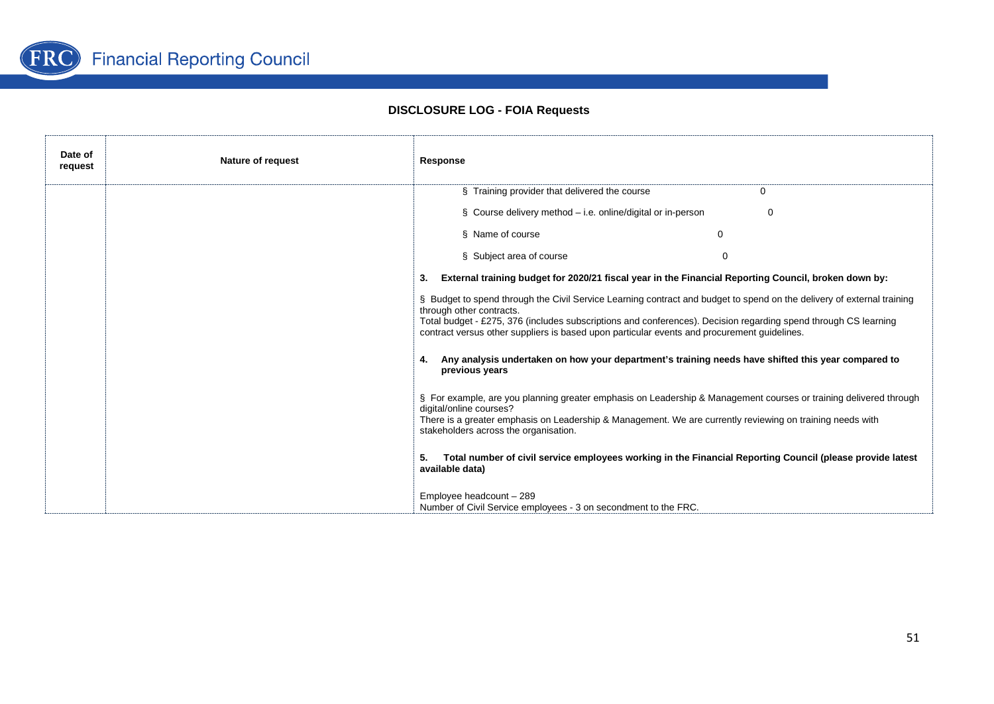

| Date of<br>request | <b>Nature of request</b> | Response                                                                                                                                                                                                                                                                                                                                                             |
|--------------------|--------------------------|----------------------------------------------------------------------------------------------------------------------------------------------------------------------------------------------------------------------------------------------------------------------------------------------------------------------------------------------------------------------|
|                    |                          | § Training provider that delivered the course                                                                                                                                                                                                                                                                                                                        |
|                    |                          | $\S$ Course delivery method – i.e. online/digital or in-person<br>$\Omega$                                                                                                                                                                                                                                                                                           |
|                    |                          | § Name of course<br>$\Omega$                                                                                                                                                                                                                                                                                                                                         |
|                    |                          | § Subject area of course<br>$\Omega$                                                                                                                                                                                                                                                                                                                                 |
|                    |                          | External training budget for 2020/21 fiscal year in the Financial Reporting Council, broken down by:<br>3.                                                                                                                                                                                                                                                           |
|                    |                          | § Budget to spend through the Civil Service Learning contract and budget to spend on the delivery of external training<br>through other contracts.<br>Total budget - £275, 376 (includes subscriptions and conferences). Decision regarding spend through CS learning<br>contract versus other suppliers is based upon particular events and procurement guidelines. |
|                    |                          | Any analysis undertaken on how your department's training needs have shifted this year compared to<br>previous years                                                                                                                                                                                                                                                 |
|                    |                          | § For example, are you planning greater emphasis on Leadership & Management courses or training delivered through<br>digital/online courses?<br>There is a greater emphasis on Leadership & Management. We are currently reviewing on training needs with<br>stakeholders across the organisation.                                                                   |
|                    |                          | Total number of civil service employees working in the Financial Reporting Council (please provide latest<br>available data)                                                                                                                                                                                                                                         |
|                    |                          | Employee headcount - 289<br>Number of Civil Service employees - 3 on secondment to the FRC.                                                                                                                                                                                                                                                                          |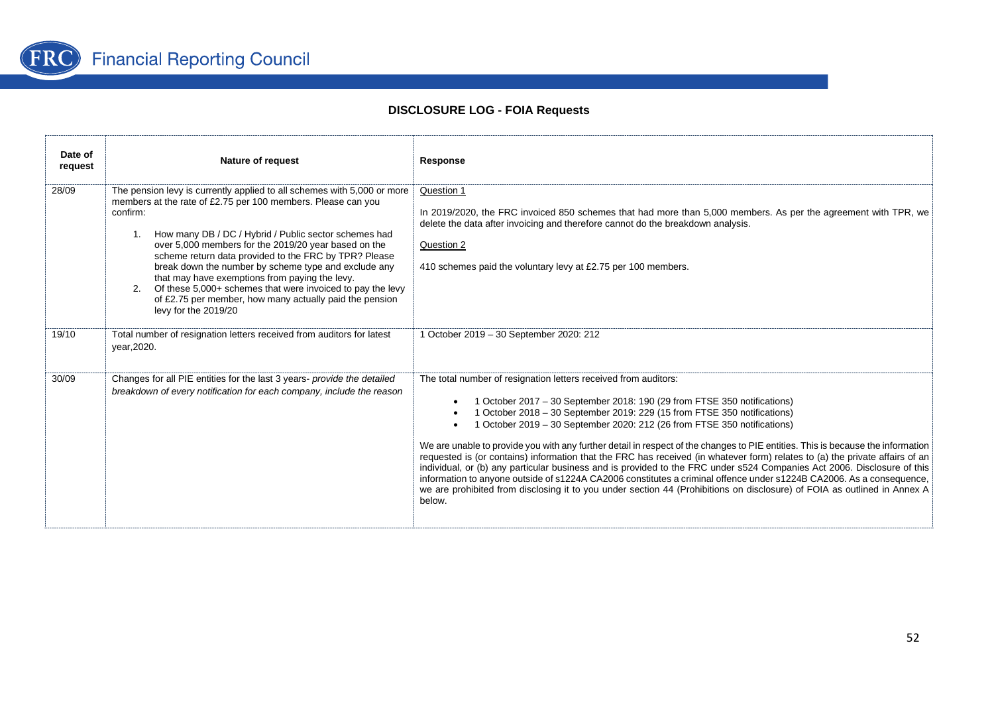

| Date of<br>request | <b>Nature of request</b>                                                                                                                                                                                                                                                                                                                                                                                                                                                                                                                                                                          | Response                                                                                                                                                                                                                                                                                                                                                                                                                                                                                                                                                                                                                                                                                                                                                                                                                                                                                                                                                                     |
|--------------------|---------------------------------------------------------------------------------------------------------------------------------------------------------------------------------------------------------------------------------------------------------------------------------------------------------------------------------------------------------------------------------------------------------------------------------------------------------------------------------------------------------------------------------------------------------------------------------------------------|------------------------------------------------------------------------------------------------------------------------------------------------------------------------------------------------------------------------------------------------------------------------------------------------------------------------------------------------------------------------------------------------------------------------------------------------------------------------------------------------------------------------------------------------------------------------------------------------------------------------------------------------------------------------------------------------------------------------------------------------------------------------------------------------------------------------------------------------------------------------------------------------------------------------------------------------------------------------------|
| 28/09              | The pension levy is currently applied to all schemes with 5,000 or more<br>members at the rate of £2.75 per 100 members. Please can you<br>confirm:<br>1. How many DB / DC / Hybrid / Public sector schemes had<br>over 5,000 members for the 2019/20 year based on the<br>scheme return data provided to the FRC by TPR? Please<br>break down the number by scheme type and exclude any<br>that may have exemptions from paying the levy.<br>Of these 5,000+ schemes that were invoiced to pay the levy<br>2.<br>of £2.75 per member, how many actually paid the pension<br>levy for the 2019/20 | Question 1<br>In 2019/2020, the FRC invoiced 850 schemes that had more than 5,000 members. As per the agreement with TPR, we<br>delete the data after invoicing and therefore cannot do the breakdown analysis.<br>Question 2<br>410 schemes paid the voluntary levy at £2.75 per 100 members.                                                                                                                                                                                                                                                                                                                                                                                                                                                                                                                                                                                                                                                                               |
| 19/10              | Total number of resignation letters received from auditors for latest<br>vear, 2020.                                                                                                                                                                                                                                                                                                                                                                                                                                                                                                              | 1 October 2019 - 30 September 2020: 212                                                                                                                                                                                                                                                                                                                                                                                                                                                                                                                                                                                                                                                                                                                                                                                                                                                                                                                                      |
| 30/09              | Changes for all PIE entities for the last 3 years- provide the detailed<br>breakdown of every notification for each company, include the reason                                                                                                                                                                                                                                                                                                                                                                                                                                                   | The total number of resignation letters received from auditors:<br>1 October 2017 - 30 September 2018: 190 (29 from FTSE 350 notifications)<br>$\bullet$<br>1 October 2018 - 30 September 2019: 229 (15 from FTSE 350 notifications)<br>1 October 2019 – 30 September 2020: 212 (26 from FTSE 350 notifications)<br>We are unable to provide you with any further detail in respect of the changes to PIE entities. This is because the information<br>requested is (or contains) information that the FRC has received (in whatever form) relates to (a) the private affairs of an<br>individual, or (b) any particular business and is provided to the FRC under s524 Companies Act 2006. Disclosure of this<br>information to anyone outside of s1224A CA2006 constitutes a criminal offence under s1224B CA2006. As a consequence,<br>we are prohibited from disclosing it to you under section 44 (Prohibitions on disclosure) of FOIA as outlined in Annex A<br>below. |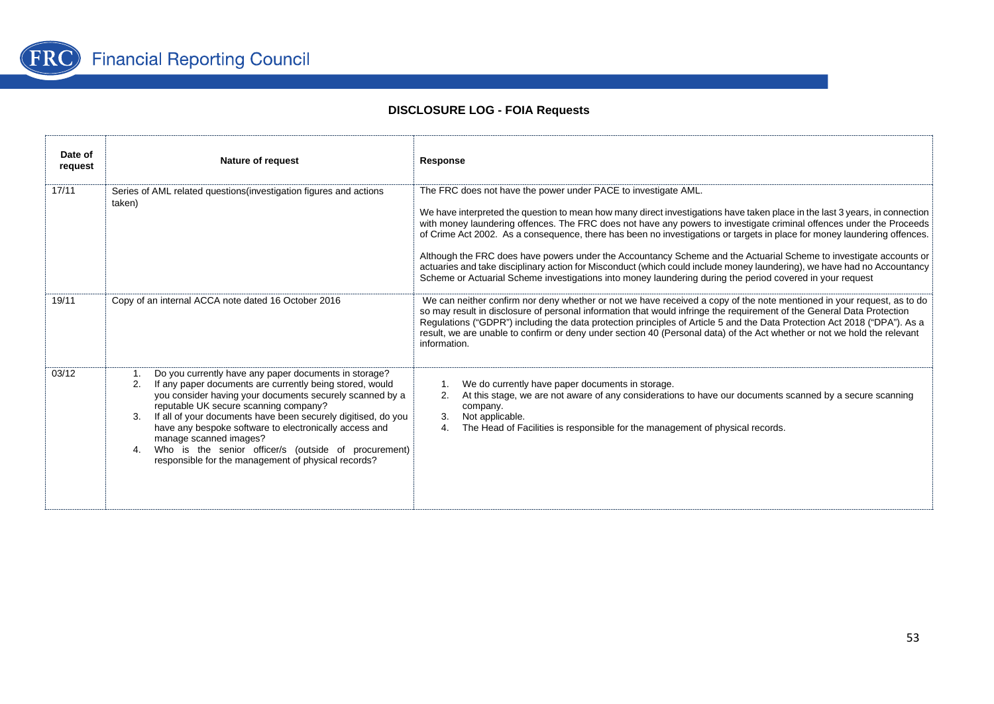

| Date of<br>request | <b>Nature of request</b>                                                                                                                                                                                                                                                                                                                                                                                                                                                                               | Response                                                                                                                                                                                                                                                                                                                                                                                                                                                                                                                                                                                                                                                                                                                                                                                                         |  |
|--------------------|--------------------------------------------------------------------------------------------------------------------------------------------------------------------------------------------------------------------------------------------------------------------------------------------------------------------------------------------------------------------------------------------------------------------------------------------------------------------------------------------------------|------------------------------------------------------------------------------------------------------------------------------------------------------------------------------------------------------------------------------------------------------------------------------------------------------------------------------------------------------------------------------------------------------------------------------------------------------------------------------------------------------------------------------------------------------------------------------------------------------------------------------------------------------------------------------------------------------------------------------------------------------------------------------------------------------------------|--|
| 17/11              | Series of AML related questions (investigation figures and actions<br>taken)                                                                                                                                                                                                                                                                                                                                                                                                                           | The FRC does not have the power under PACE to investigate AML.<br>We have interpreted the question to mean how many direct investigations have taken place in the last 3 years, in connection<br>with money laundering offences. The FRC does not have any powers to investigate criminal offences under the Proceeds<br>of Crime Act 2002. As a consequence, there has been no investigations or targets in place for money laundering offences.<br>Although the FRC does have powers under the Accountancy Scheme and the Actuarial Scheme to investigate accounts or<br>actuaries and take disciplinary action for Misconduct (which could include money laundering), we have had no Accountancy<br>Scheme or Actuarial Scheme investigations into money laundering during the period covered in your request |  |
| 19/11              | Copy of an internal ACCA note dated 16 October 2016                                                                                                                                                                                                                                                                                                                                                                                                                                                    | We can neither confirm nor deny whether or not we have received a copy of the note mentioned in your request, as to do<br>so may result in disclosure of personal information that would infringe the requirement of the General Data Protection<br>Regulations ("GDPR") including the data protection principles of Article 5 and the Data Protection Act 2018 ("DPA"). As a<br>result, we are unable to confirm or deny under section 40 (Personal data) of the Act whether or not we hold the relevant<br>information.                                                                                                                                                                                                                                                                                        |  |
| 03/12              | Do you currently have any paper documents in storage?<br>If any paper documents are currently being stored, would<br>2.<br>you consider having your documents securely scanned by a<br>reputable UK secure scanning company?<br>If all of your documents have been securely digitised, do you<br>3.<br>have any bespoke software to electronically access and<br>manage scanned images?<br>Who is the senior officer/s (outside of procurement)<br>responsible for the management of physical records? | We do currently have paper documents in storage.<br>At this stage, we are not aware of any considerations to have our documents scanned by a secure scanning<br>2.<br>company.<br>Not applicable.<br>3.<br>The Head of Facilities is responsible for the management of physical records.<br>4.                                                                                                                                                                                                                                                                                                                                                                                                                                                                                                                   |  |